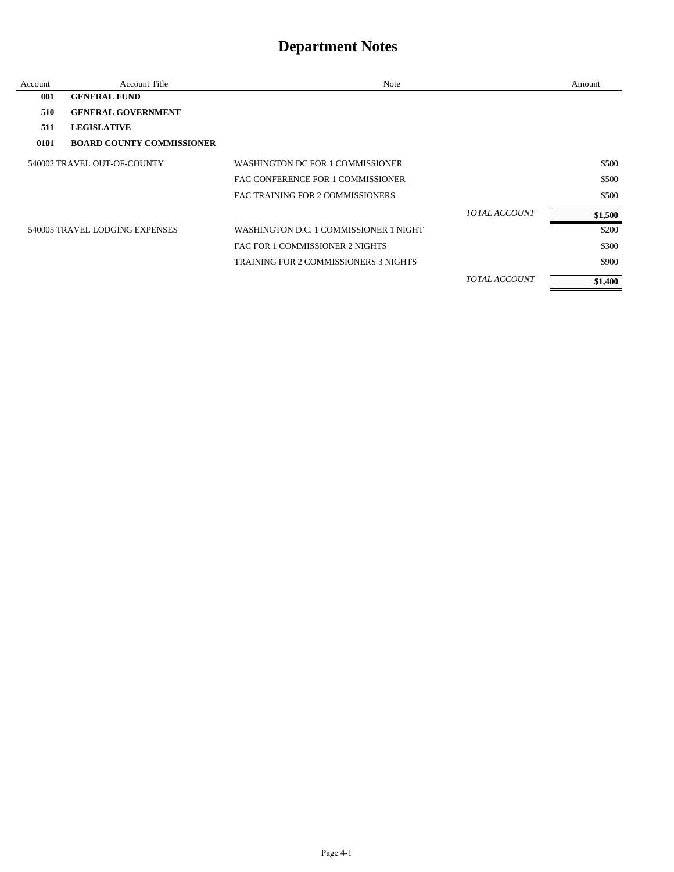| Account | <b>Account Title</b>             | Note                                         |                      | Amount  |
|---------|----------------------------------|----------------------------------------------|----------------------|---------|
| 001     | <b>GENERAL FUND</b>              |                                              |                      |         |
| 510     | <b>GENERAL GOVERNMENT</b>        |                                              |                      |         |
| 511     | <b>LEGISLATIVE</b>               |                                              |                      |         |
| 0101    | <b>BOARD COUNTY COMMISSIONER</b> |                                              |                      |         |
|         | 540002 TRAVEL OUT-OF-COUNTY      | WASHINGTON DC FOR 1 COMMISSIONER             |                      | \$500   |
|         |                                  | FAC CONFERENCE FOR 1 COMMISSIONER            |                      | \$500   |
|         |                                  | FAC TRAINING FOR 2 COMMISSIONERS             |                      | \$500   |
|         |                                  |                                              | <b>TOTAL ACCOUNT</b> | \$1,500 |
|         | 540005 TRAVEL LODGING EXPENSES   | WASHINGTON D.C. 1 COMMISSIONER 1 NIGHT       |                      | \$200   |
|         |                                  | FAC FOR 1 COMMISSIONER 2 NIGHTS              |                      | \$300   |
|         |                                  | <b>TRAINING FOR 2 COMMISSIONERS 3 NIGHTS</b> |                      | \$900   |
|         |                                  |                                              | <b>TOTAL ACCOUNT</b> | \$1,400 |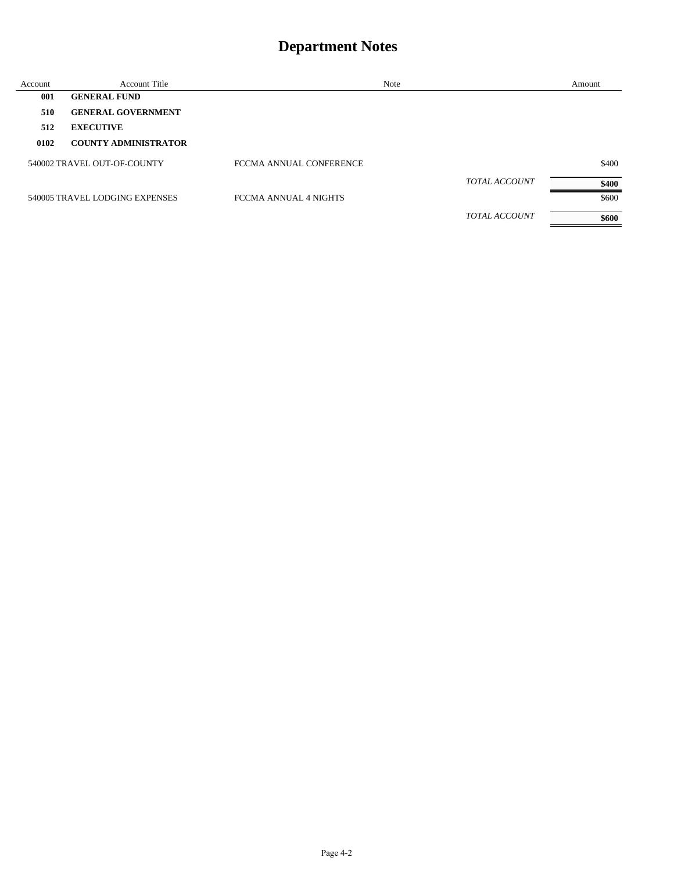| Account | <b>Account Title</b>           | <b>Note</b>             |                      | Amount |
|---------|--------------------------------|-------------------------|----------------------|--------|
| 001     | <b>GENERAL FUND</b>            |                         |                      |        |
| 510     | <b>GENERAL GOVERNMENT</b>      |                         |                      |        |
| 512     | <b>EXECUTIVE</b>               |                         |                      |        |
| 0102    | <b>COUNTY ADMINISTRATOR</b>    |                         |                      |        |
|         | 540002 TRAVEL OUT-OF-COUNTY    | FCCMA ANNUAL CONFERENCE |                      | \$400  |
|         |                                |                         | <b>TOTAL ACCOUNT</b> | \$400  |
|         | 540005 TRAVEL LODGING EXPENSES | FCCMA ANNUAL 4 NIGHTS   |                      | \$600  |
|         |                                |                         | <b>TOTAL ACCOUNT</b> | \$600  |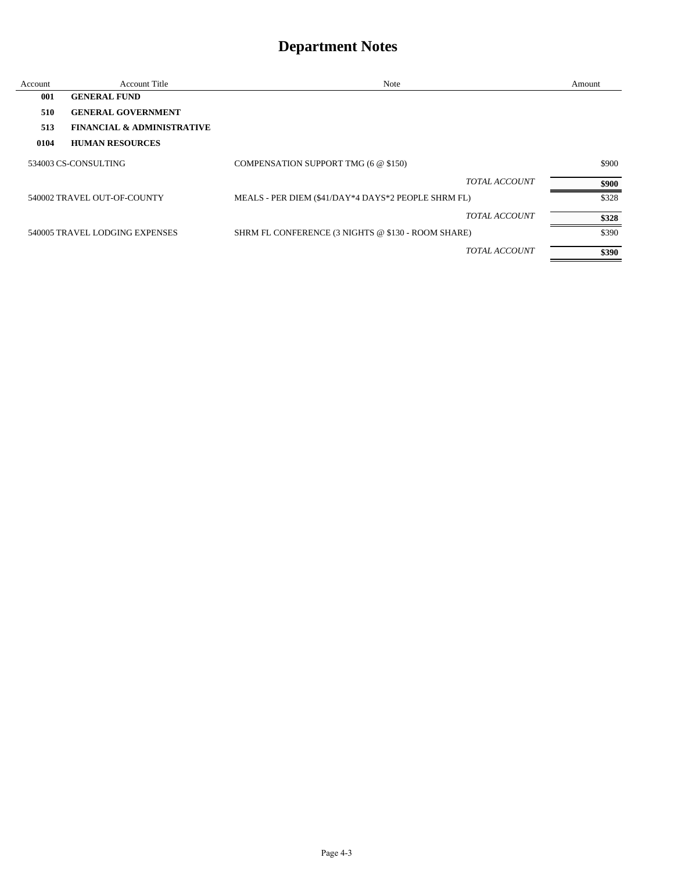| Account | <b>Account Title</b>                  | Note                                                | Amount |
|---------|---------------------------------------|-----------------------------------------------------|--------|
| 001     | <b>GENERAL FUND</b>                   |                                                     |        |
| 510     | <b>GENERAL GOVERNMENT</b>             |                                                     |        |
| 513     | <b>FINANCIAL &amp; ADMINISTRATIVE</b> |                                                     |        |
| 0104    | <b>HUMAN RESOURCES</b>                |                                                     |        |
|         | 534003 CS-CONSULTING                  | COMPENSATION SUPPORT TMG (6 @ \$150)                | \$900  |
|         |                                       | <b>TOTAL ACCOUNT</b>                                | \$900  |
|         | 540002 TRAVEL OUT-OF-COUNTY           | MEALS - PER DIEM (\$41/DAY*4 DAYS*2 PEOPLE SHRM FL) | \$328  |
|         |                                       | <b>TOTAL ACCOUNT</b>                                | \$328  |
|         | 540005 TRAVEL LODGING EXPENSES        | SHRM FL CONFERENCE (3 NIGHTS @ \$130 - ROOM SHARE)  | \$390  |
|         |                                       | <b>TOTAL ACCOUNT</b>                                | \$390  |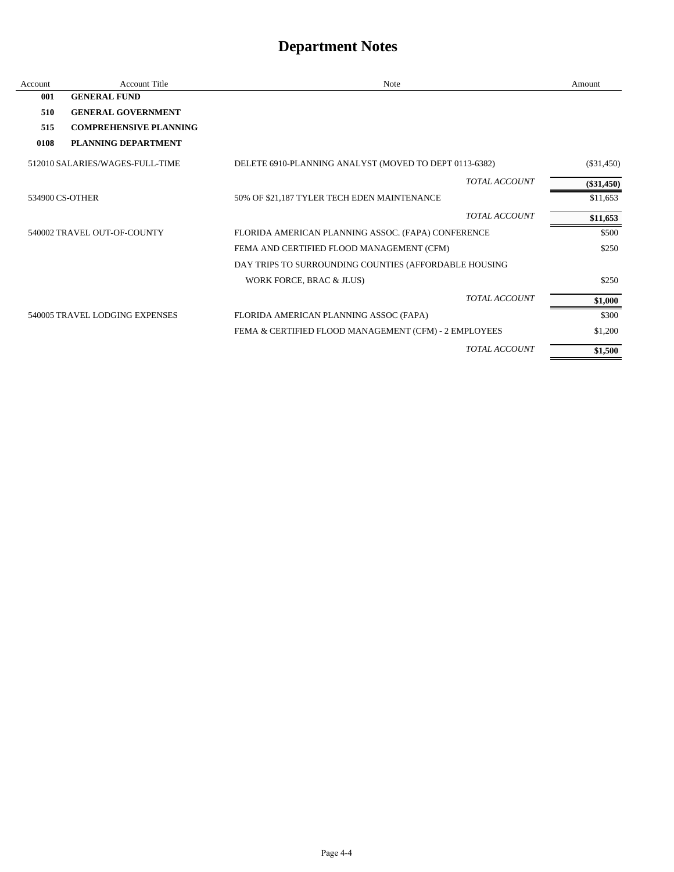| Account | <b>Account Title</b>            | <b>Note</b>                                            |                      | Amount       |
|---------|---------------------------------|--------------------------------------------------------|----------------------|--------------|
| 001     | <b>GENERAL FUND</b>             |                                                        |                      |              |
| 510     | <b>GENERAL GOVERNMENT</b>       |                                                        |                      |              |
| 515     | <b>COMPREHENSIVE PLANNING</b>   |                                                        |                      |              |
| 0108    | PLANNING DEPARTMENT             |                                                        |                      |              |
|         | 512010 SALARIES/WAGES-FULL-TIME | DELETE 6910-PLANNING ANALYST (MOVED TO DEPT 0113-6382) |                      | $(\$31,450)$ |
|         |                                 |                                                        | <b>TOTAL ACCOUNT</b> | $(\$31,450)$ |
|         | 534900 CS-OTHER                 | 50% OF \$21,187 TYLER TECH EDEN MAINTENANCE            |                      | \$11,653     |
|         |                                 |                                                        | <b>TOTAL ACCOUNT</b> | \$11,653     |
|         | 540002 TRAVEL OUT-OF-COUNTY     | FLORIDA AMERICAN PLANNING ASSOC. (FAPA) CONFERENCE     |                      | \$500        |
|         |                                 | FEMA AND CERTIFIED FLOOD MANAGEMENT (CFM)              |                      | \$250        |
|         |                                 | DAY TRIPS TO SURROUNDING COUNTIES (AFFORDABLE HOUSING  |                      |              |
|         |                                 | WORK FORCE, BRAC & JLUS)                               |                      | \$250        |
|         |                                 |                                                        | <b>TOTAL ACCOUNT</b> | \$1,000      |
|         | 540005 TRAVEL LODGING EXPENSES  | FLORIDA AMERICAN PLANNING ASSOC (FAPA)                 |                      | \$300        |
|         |                                 | FEMA & CERTIFIED FLOOD MANAGEMENT (CFM) - 2 EMPLOYEES  |                      | \$1,200      |
|         |                                 |                                                        | <b>TOTAL ACCOUNT</b> | \$1,500      |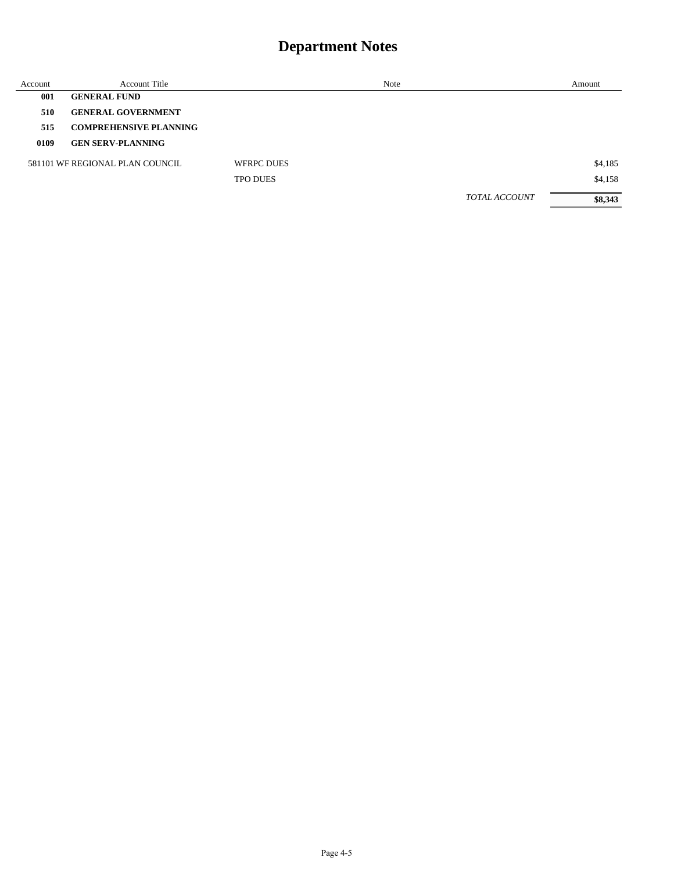| Account | <b>Account Title</b>            |                   | Note |                      | Amount  |
|---------|---------------------------------|-------------------|------|----------------------|---------|
| 001     | <b>GENERAL FUND</b>             |                   |      |                      |         |
| 510     | <b>GENERAL GOVERNMENT</b>       |                   |      |                      |         |
| 515     | <b>COMPREHENSIVE PLANNING</b>   |                   |      |                      |         |
| 0109    | <b>GEN SERV-PLANNING</b>        |                   |      |                      |         |
|         | 581101 WE REGIONAL PLAN COUNCIL | <b>WFRPC DUES</b> |      |                      | \$4,185 |
|         |                                 | <b>TPO DUES</b>   |      |                      | \$4,158 |
|         |                                 |                   |      | <b>TOTAL ACCOUNT</b> | \$8,343 |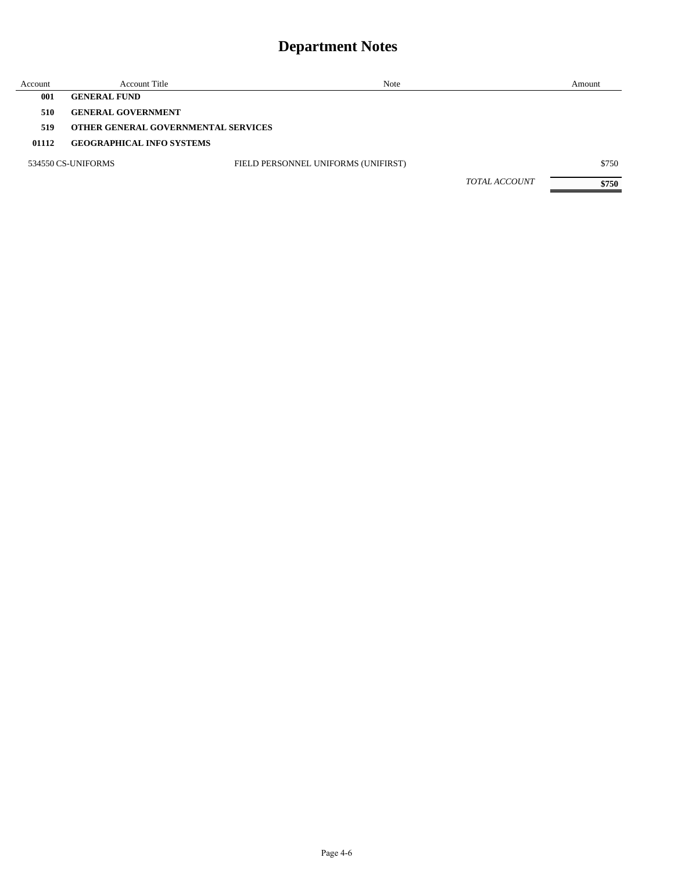| Account | <b>Account Title</b>                | Note                                |                      | Amount |
|---------|-------------------------------------|-------------------------------------|----------------------|--------|
| 001     | <b>GENERAL FUND</b>                 |                                     |                      |        |
| 510     | <b>GENERAL GOVERNMENT</b>           |                                     |                      |        |
| 519     | OTHER GENERAL GOVERNMENTAL SERVICES |                                     |                      |        |
| 01112   | <b>GEOGRAPHICAL INFO SYSTEMS</b>    |                                     |                      |        |
|         | 534550 CS-UNIFORMS                  | FIELD PERSONNEL UNIFORMS (UNIFIRST) |                      | \$750  |
|         |                                     |                                     | <b>TOTAL ACCOUNT</b> | \$750  |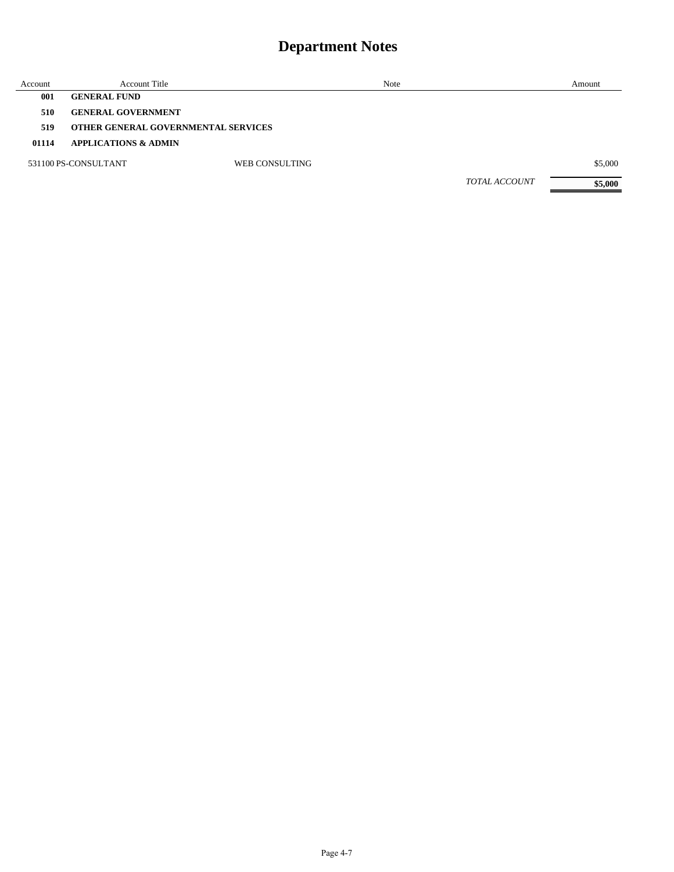| Account | <b>Account Title</b>                       |                | Note | Amount                          |
|---------|--------------------------------------------|----------------|------|---------------------------------|
| 001     | <b>GENERAL FUND</b>                        |                |      |                                 |
| 510     | <b>GENERAL GOVERNMENT</b>                  |                |      |                                 |
| 519     | <b>OTHER GENERAL GOVERNMENTAL SERVICES</b> |                |      |                                 |
| 01114   | <b>APPLICATIONS &amp; ADMIN</b>            |                |      |                                 |
|         | 531100 PS-CONSULTANT                       | WEB CONSULTING |      | \$5,000                         |
|         |                                            |                |      | <b>TOTAL ACCOUNT</b><br>\$5,000 |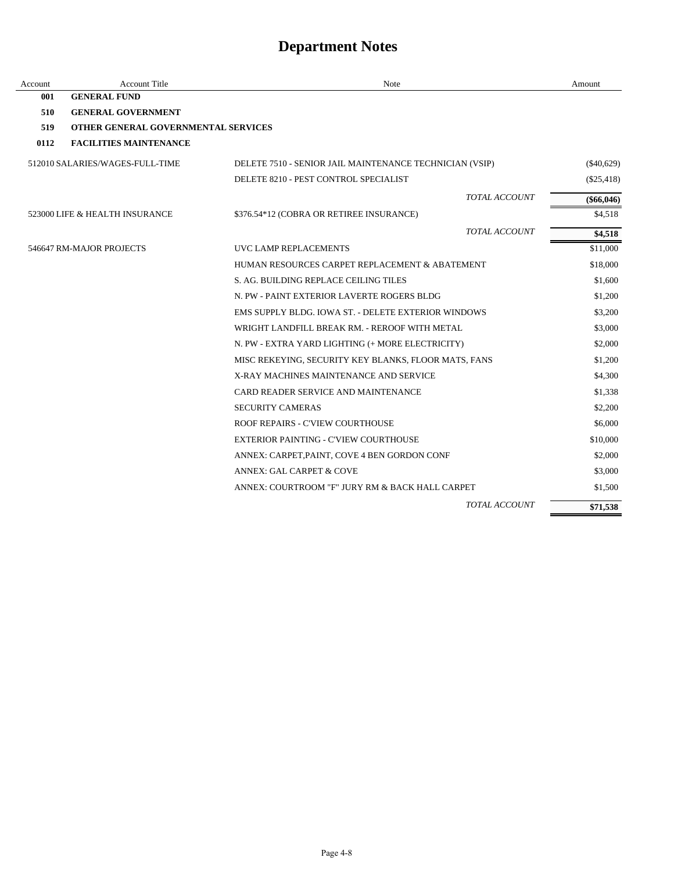| Account | <b>Account Title</b>                | Note                                                    | Amount       |
|---------|-------------------------------------|---------------------------------------------------------|--------------|
| 001     | <b>GENERAL FUND</b>                 |                                                         |              |
| 510     | <b>GENERAL GOVERNMENT</b>           |                                                         |              |
| 519     | OTHER GENERAL GOVERNMENTAL SERVICES |                                                         |              |
| 0112    | <b>FACILITIES MAINTENANCE</b>       |                                                         |              |
|         | 512010 SALARIES/WAGES-FULL-TIME     | DELETE 7510 - SENIOR JAIL MAINTENANCE TECHNICIAN (VSIP) | $(\$40,629)$ |
|         |                                     | DELETE 8210 - PEST CONTROL SPECIALIST                   | $(\$25,418)$ |
|         |                                     | <b>TOTAL ACCOUNT</b>                                    | $(\$66,046)$ |
|         | 523000 LIFE & HEALTH INSURANCE      | \$376.54*12 (COBRA OR RETIREE INSURANCE)                | \$4,518      |
|         |                                     | <b>TOTAL ACCOUNT</b>                                    | \$4,518      |
|         | 546647 RM-MAJOR PROJECTS            | UVC LAMP REPLACEMENTS                                   | \$11,000     |
|         |                                     | HUMAN RESOURCES CARPET REPLACEMENT & ABATEMENT          | \$18,000     |
|         |                                     | S. AG. BUILDING REPLACE CEILING TILES                   | \$1,600      |
|         |                                     | N. PW - PAINT EXTERIOR LAVERTE ROGERS BLDG              | \$1,200      |
|         |                                     | EMS SUPPLY BLDG. IOWA ST. - DELETE EXTERIOR WINDOWS     | \$3,200      |
|         |                                     | WRIGHT LANDFILL BREAK RM. - REROOF WITH METAL           | \$3,000      |
|         |                                     | N. PW - EXTRA YARD LIGHTING (+ MORE ELECTRICITY)        | \$2,000      |
|         |                                     | MISC REKEYING, SECURITY KEY BLANKS, FLOOR MATS, FANS    | \$1,200      |
|         |                                     | X-RAY MACHINES MAINTENANCE AND SERVICE                  | \$4,300      |
|         |                                     | CARD READER SERVICE AND MAINTENANCE                     | \$1,338      |
|         |                                     | <b>SECURITY CAMERAS</b>                                 | \$2,200      |
|         |                                     | ROOF REPAIRS - C'VIEW COURTHOUSE                        | \$6,000      |
|         |                                     | EXTERIOR PAINTING - C'VIEW COURTHOUSE                   | \$10,000     |
|         |                                     | ANNEX: CARPET, PAINT, COVE 4 BEN GORDON CONF            | \$2,000      |
|         |                                     | <b>ANNEX: GAL CARPET &amp; COVE</b>                     | \$3,000      |
|         |                                     | ANNEX: COURTROOM "F" JURY RM & BACK HALL CARPET         | \$1,500      |
|         |                                     | <b>TOTAL ACCOUNT</b>                                    | \$71,538     |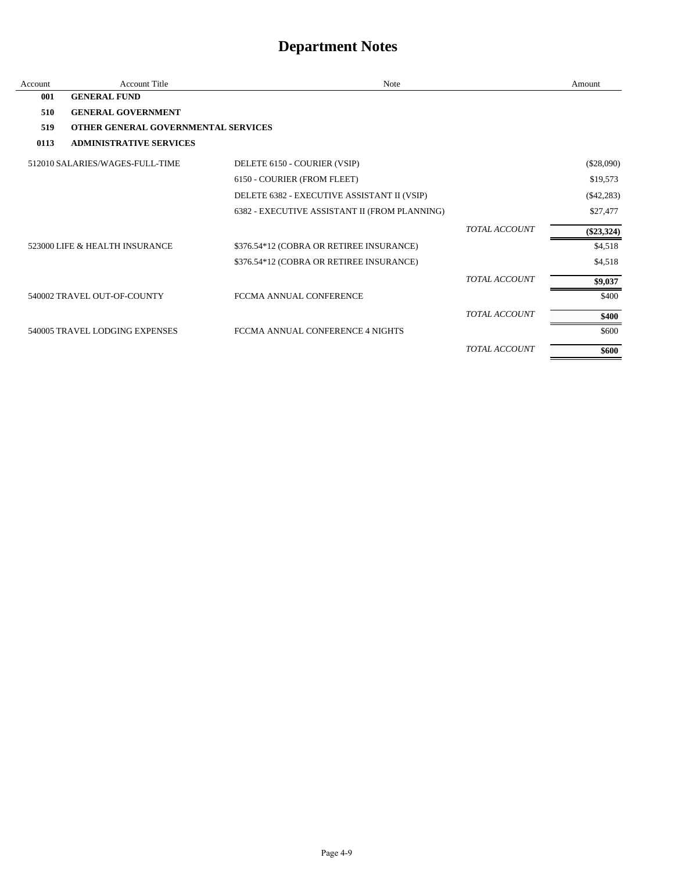| Account | <b>Account Title</b>                       | <b>Note</b>                                   |                      | Amount       |
|---------|--------------------------------------------|-----------------------------------------------|----------------------|--------------|
| 001     | <b>GENERAL FUND</b>                        |                                               |                      |              |
| 510     | <b>GENERAL GOVERNMENT</b>                  |                                               |                      |              |
| 519     | <b>OTHER GENERAL GOVERNMENTAL SERVICES</b> |                                               |                      |              |
| 0113    | <b>ADMINISTRATIVE SERVICES</b>             |                                               |                      |              |
|         | 512010 SALARIES/WAGES-FULL-TIME            | DELETE 6150 - COURIER (VSIP)                  |                      | (\$28,090)   |
|         |                                            | 6150 - COURIER (FROM FLEET)                   |                      | \$19,573     |
|         |                                            | DELETE 6382 - EXECUTIVE ASSISTANT II (VSIP)   |                      | $(\$42,283)$ |
|         |                                            | 6382 - EXECUTIVE ASSISTANT II (FROM PLANNING) |                      | \$27,477     |
|         |                                            |                                               | <b>TOTAL ACCOUNT</b> | $(\$23,324)$ |
|         | 523000 LIFE & HEALTH INSURANCE             | \$376.54*12 (COBRA OR RETIREE INSURANCE)      |                      | \$4,518      |
|         |                                            | \$376.54*12 (COBRA OR RETIREE INSURANCE)      |                      | \$4,518      |
|         |                                            |                                               | <b>TOTAL ACCOUNT</b> | \$9,037      |
|         | 540002 TRAVEL OUT-OF-COUNTY                | FCCMA ANNUAL CONFERENCE                       |                      | \$400        |
|         |                                            |                                               | <b>TOTAL ACCOUNT</b> | \$400        |
|         | 540005 TRAVEL LODGING EXPENSES             | FCCMA ANNUAL CONFERENCE 4 NIGHTS              |                      | \$600        |
|         |                                            |                                               | <b>TOTAL ACCOUNT</b> | \$600        |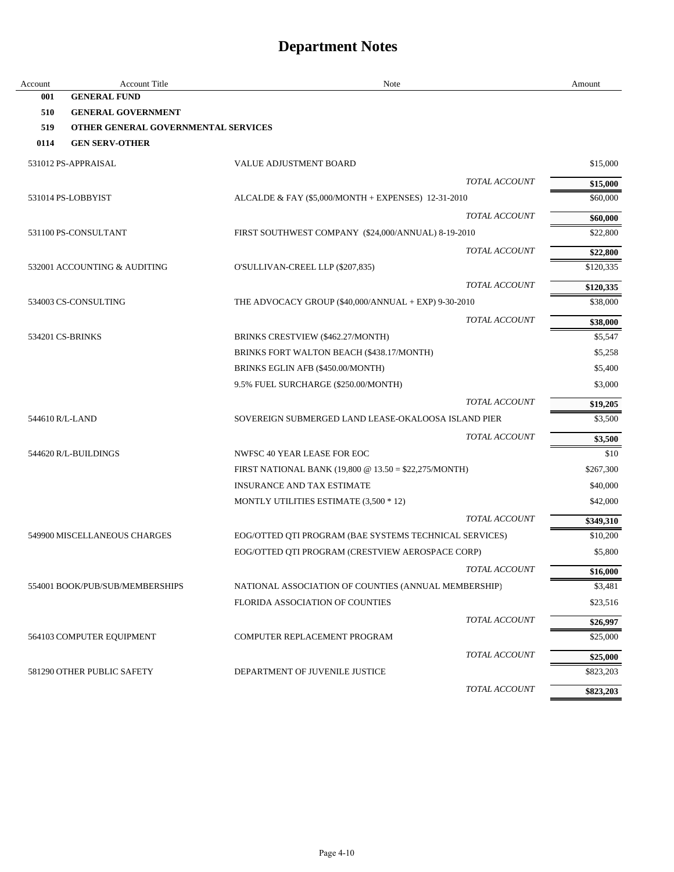| Account         | <b>Account Title</b>                | Note                                                   | Amount    |
|-----------------|-------------------------------------|--------------------------------------------------------|-----------|
| 001             | <b>GENERAL FUND</b>                 |                                                        |           |
| 510             | <b>GENERAL GOVERNMENT</b>           |                                                        |           |
| 519             | OTHER GENERAL GOVERNMENTAL SERVICES |                                                        |           |
| 0114            | <b>GEN SERV-OTHER</b>               |                                                        |           |
|                 | 531012 PS-APPRAISAL                 | <b>VALUE ADJUSTMENT BOARD</b>                          | \$15,000  |
|                 |                                     | <b>TOTAL ACCOUNT</b>                                   | \$15,000  |
|                 | 531014 PS-LOBBYIST                  | ALCALDE & FAY (\$5,000/MONTH + EXPENSES) 12-31-2010    | \$60,000  |
|                 |                                     | TOTAL ACCOUNT                                          | \$60,000  |
|                 | 531100 PS-CONSULTANT                | FIRST SOUTHWEST COMPANY (\$24,000/ANNUAL) 8-19-2010    | \$22,800  |
|                 |                                     | TOTAL ACCOUNT                                          | \$22,800  |
|                 | 532001 ACCOUNTING & AUDITING        | O'SULLIVAN-CREEL LLP (\$207,835)                       | \$120,335 |
|                 |                                     | TOTAL ACCOUNT                                          | \$120,335 |
|                 | 534003 CS-CONSULTING                | THE ADVOCACY GROUP (\$40,000/ANNUAL + EXP) 9-30-2010   | \$38,000  |
|                 |                                     | TOTAL ACCOUNT                                          | \$38,000  |
|                 | 534201 CS-BRINKS                    | BRINKS CRESTVIEW (\$462.27/MONTH)                      | \$5,547   |
|                 |                                     | BRINKS FORT WALTON BEACH (\$438.17/MONTH)              | \$5,258   |
|                 |                                     | BRINKS EGLIN AFB (\$450.00/MONTH)                      | \$5,400   |
|                 |                                     | 9.5% FUEL SURCHARGE (\$250.00/MONTH)                   | \$3,000   |
|                 |                                     | <b>TOTAL ACCOUNT</b>                                   | \$19,205  |
| 544610 R/L-LAND |                                     | SOVEREIGN SUBMERGED LAND LEASE-OKALOOSA ISLAND PIER    | \$3,500   |
|                 |                                     | TOTAL ACCOUNT                                          | \$3,500   |
|                 | 544620 R/L-BUILDINGS                | NWFSC 40 YEAR LEASE FOR EOC                            | \$10      |
|                 |                                     | FIRST NATIONAL BANK (19,800 @ 13.50 = \$22,275/MONTH)  | \$267,300 |
|                 |                                     | <b>INSURANCE AND TAX ESTIMATE</b>                      | \$40,000  |
|                 |                                     | MONTLY UTILITIES ESTIMATE (3,500 * 12)                 | \$42,000  |
|                 |                                     | <b>TOTAL ACCOUNT</b>                                   | \$349,310 |
|                 | 549900 MISCELLANEOUS CHARGES        | EOG/OTTED QTI PROGRAM (BAE SYSTEMS TECHNICAL SERVICES) | \$10,200  |
|                 |                                     | EOG/OTTED QTI PROGRAM (CRESTVIEW AEROSPACE CORP)       | \$5,800   |
|                 |                                     | TOTAL ACCOUNT                                          | \$16,000  |
|                 | 554001 BOOK/PUB/SUB/MEMBERSHIPS     | NATIONAL ASSOCIATION OF COUNTIES (ANNUAL MEMBERSHIP)   | \$3,481   |
|                 |                                     | <b>FLORIDA ASSOCIATION OF COUNTIES</b>                 | \$23,516  |
|                 |                                     | TOTAL ACCOUNT                                          | \$26,997  |
|                 | 564103 COMPUTER EQUIPMENT           | COMPUTER REPLACEMENT PROGRAM                           | \$25,000  |
|                 |                                     | TOTAL ACCOUNT                                          | \$25,000  |
|                 | 581290 OTHER PUBLIC SAFETY          | DEPARTMENT OF JUVENILE JUSTICE                         | \$823,203 |
|                 |                                     | TOTAL ACCOUNT                                          | \$823,203 |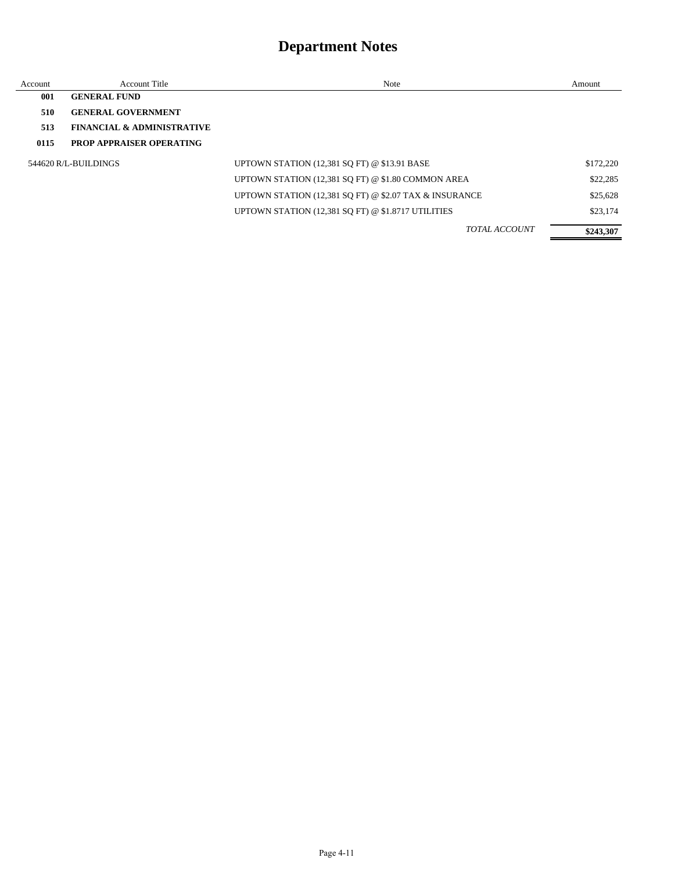| Account | Account Title                         | Note                                                   | Amount    |
|---------|---------------------------------------|--------------------------------------------------------|-----------|
| 001     | <b>GENERAL FUND</b>                   |                                                        |           |
| 510     | <b>GENERAL GOVERNMENT</b>             |                                                        |           |
| 513     | <b>FINANCIAL &amp; ADMINISTRATIVE</b> |                                                        |           |
| 0115    | <b>PROP APPRAISER OPERATING</b>       |                                                        |           |
|         | 544620 R/L-BUILDINGS                  | UPTOWN STATION (12,381 SQ FT) @ \$13.91 BASE           | \$172,220 |
|         |                                       | UPTOWN STATION (12,381 SQ FT) @ \$1.80 COMMON AREA     | \$22,285  |
|         |                                       | UPTOWN STATION (12,381 SO FT) @ \$2.07 TAX & INSURANCE | \$25,628  |
|         |                                       | UPTOWN STATION (12,381 SQ FT) @ \$1.8717 UTILITIES     | \$23,174  |
|         |                                       | <b>TOTAL ACCOUNT</b>                                   | \$243,307 |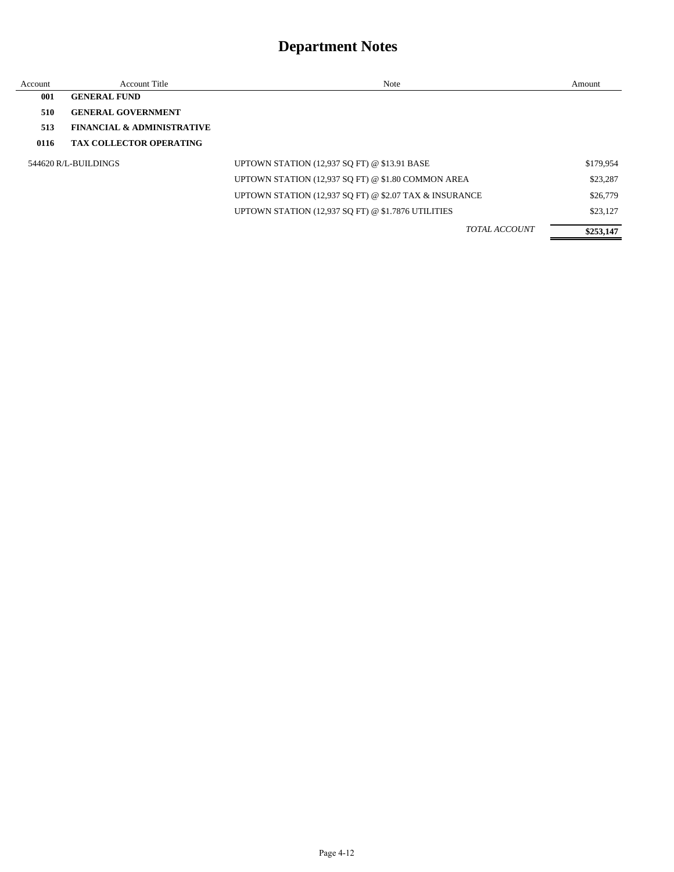| Account | <b>Account Title</b>                  | Note                                                   | Amount    |
|---------|---------------------------------------|--------------------------------------------------------|-----------|
| 001     | <b>GENERAL FUND</b>                   |                                                        |           |
| 510     | <b>GENERAL GOVERNMENT</b>             |                                                        |           |
| 513     | <b>FINANCIAL &amp; ADMINISTRATIVE</b> |                                                        |           |
| 0116    | <b>TAX COLLECTOR OPERATING</b>        |                                                        |           |
|         | 544620 R/L-BUILDINGS                  | <b>UPTOWN STATION (12,937 SO FT) @ \$13.91 BASE</b>    | \$179,954 |
|         |                                       | UPTOWN STATION (12,937 SQ FT) @ \$1.80 COMMON AREA     | \$23,287  |
|         |                                       | UPTOWN STATION (12,937 SQ FT) @ \$2.07 TAX & INSURANCE | \$26,779  |
|         |                                       | UPTOWN STATION (12,937 SQ FT) @ \$1.7876 UTILITIES     | \$23,127  |
|         |                                       | <b>TOTAL ACCOUNT</b>                                   | \$253,147 |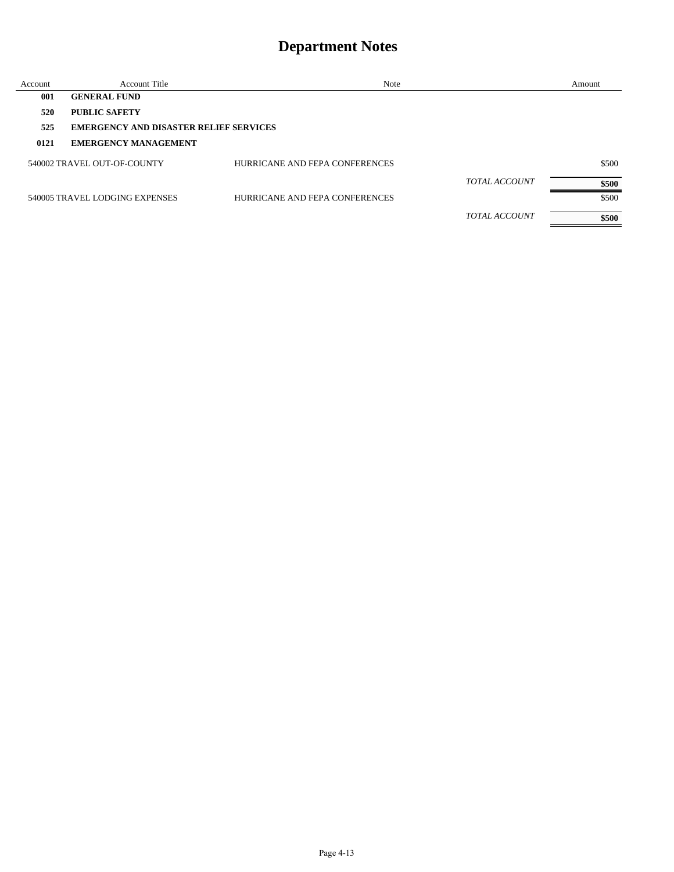| Account | <b>Account Title</b>                          | Note                           |                      | Amount |
|---------|-----------------------------------------------|--------------------------------|----------------------|--------|
| 001     | <b>GENERAL FUND</b>                           |                                |                      |        |
| 520     | <b>PUBLIC SAFETY</b>                          |                                |                      |        |
| 525     | <b>EMERGENCY AND DISASTER RELIEF SERVICES</b> |                                |                      |        |
| 0121    | <b>EMERGENCY MANAGEMENT</b>                   |                                |                      |        |
|         | 540002 TRAVEL OUT-OF-COUNTY                   | HURRICANE AND FEPA CONFERENCES |                      | \$500  |
|         |                                               |                                | <b>TOTAL ACCOUNT</b> | \$500  |
|         | 540005 TRAVEL LODGING EXPENSES                | HURRICANE AND FEPA CONFERENCES |                      | \$500  |
|         |                                               |                                | <b>TOTAL ACCOUNT</b> | \$500  |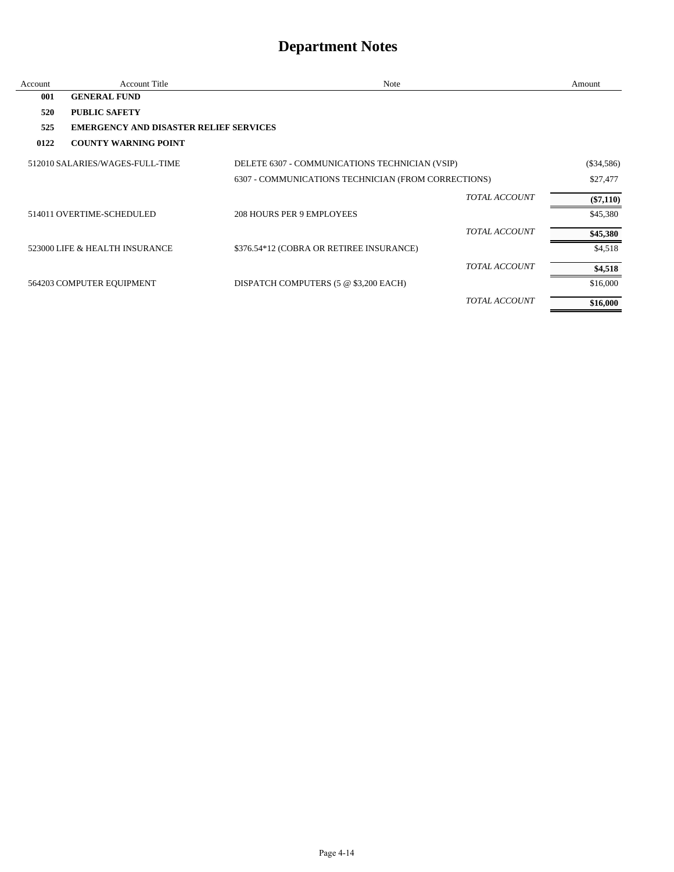| Account | <b>Account Title</b>                          | Note                                                | Amount       |
|---------|-----------------------------------------------|-----------------------------------------------------|--------------|
| 001     | <b>GENERAL FUND</b>                           |                                                     |              |
| 520     | <b>PUBLIC SAFETY</b>                          |                                                     |              |
| 525     | <b>EMERGENCY AND DISASTER RELIEF SERVICES</b> |                                                     |              |
| 0122    | <b>COUNTY WARNING POINT</b>                   |                                                     |              |
|         | 512010 SALARIES/WAGES-FULL-TIME               | DELETE 6307 - COMMUNICATIONS TECHNICIAN (VSIP)      | $(\$34,586)$ |
|         |                                               | 6307 - COMMUNICATIONS TECHNICIAN (FROM CORRECTIONS) | \$27,477     |
|         |                                               | <b>TOTAL ACCOUNT</b>                                | $(\$7,110)$  |
|         | 514011 OVERTIME-SCHEDULED                     | <b>208 HOURS PER 9 EMPLOYEES</b>                    | \$45,380     |
|         |                                               | <b>TOTAL ACCOUNT</b>                                | \$45,380     |
|         | 523000 LIFE & HEALTH INSURANCE                | \$376.54*12 (COBRA OR RETIREE INSURANCE)            | \$4,518      |
|         |                                               | <b>TOTAL ACCOUNT</b>                                | \$4,518      |
|         | 564203 COMPUTER EQUIPMENT                     | DISPATCH COMPUTERS (5 @ \$3,200 EACH)               | \$16,000     |
|         |                                               | <b>TOTAL ACCOUNT</b>                                | \$16,000     |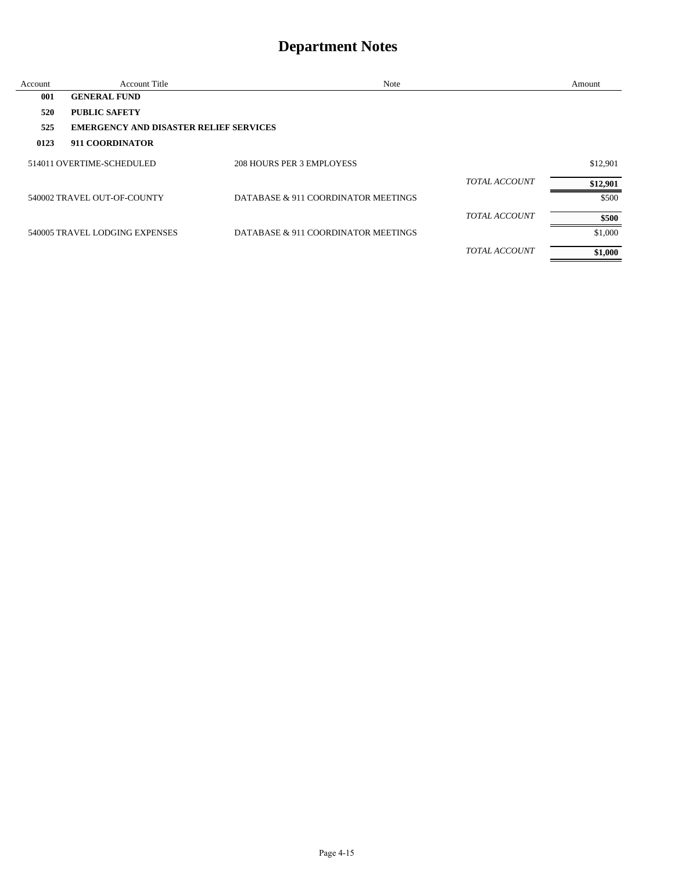| Account | <b>Account Title</b>                          | Note                                |                      | Amount   |
|---------|-----------------------------------------------|-------------------------------------|----------------------|----------|
| 001     | <b>GENERAL FUND</b>                           |                                     |                      |          |
| 520     | <b>PUBLIC SAFETY</b>                          |                                     |                      |          |
| 525     | <b>EMERGENCY AND DISASTER RELIEF SERVICES</b> |                                     |                      |          |
| 0123    | 911 COORDINATOR                               |                                     |                      |          |
|         | 514011 OVERTIME-SCHEDULED                     | 208 HOURS PER 3 EMPLOYESS           |                      | \$12,901 |
|         |                                               |                                     | <b>TOTAL ACCOUNT</b> | \$12,901 |
|         | 540002 TRAVEL OUT-OF-COUNTY                   | DATABASE & 911 COORDINATOR MEETINGS |                      | \$500    |
|         |                                               |                                     | <b>TOTAL ACCOUNT</b> | \$500    |
|         | 540005 TRAVEL LODGING EXPENSES                | DATABASE & 911 COORDINATOR MEETINGS |                      | \$1,000  |
|         |                                               |                                     | <i>TOTAL ACCOUNT</i> | \$1,000  |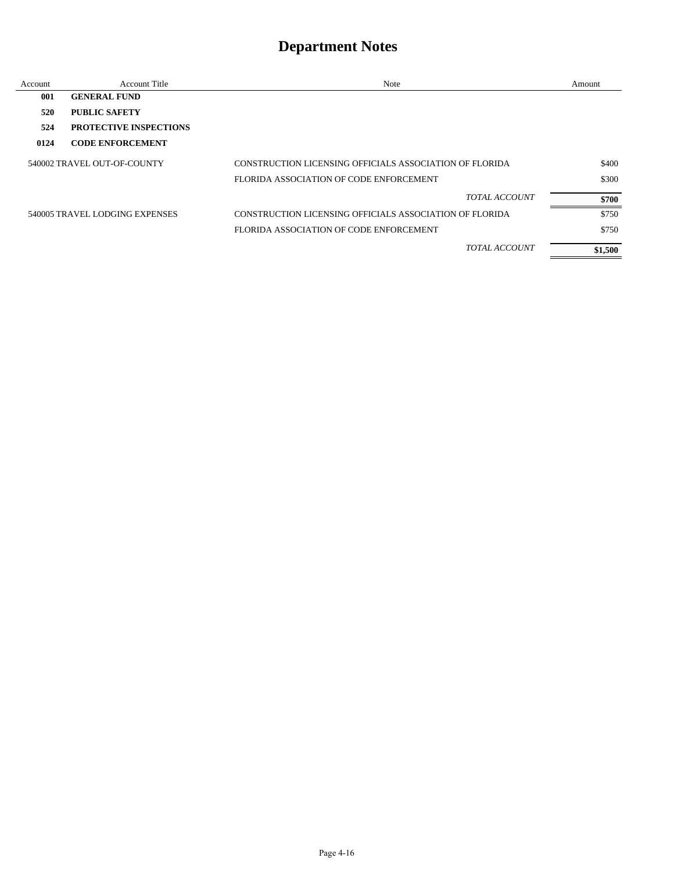| Account | Account Title                  | Note                                                    | Amount  |
|---------|--------------------------------|---------------------------------------------------------|---------|
| 001     | <b>GENERAL FUND</b>            |                                                         |         |
| 520     | <b>PUBLIC SAFETY</b>           |                                                         |         |
| 524     | <b>PROTECTIVE INSPECTIONS</b>  |                                                         |         |
| 0124    | <b>CODE ENFORCEMENT</b>        |                                                         |         |
|         | 540002 TRAVEL OUT-OF-COUNTY    | CONSTRUCTION LICENSING OFFICIALS ASSOCIATION OF FLORIDA | \$400   |
|         |                                | FLORIDA ASSOCIATION OF CODE ENFORCEMENT                 | \$300   |
|         |                                | <b>TOTAL ACCOUNT</b>                                    | \$700   |
|         | 540005 TRAVEL LODGING EXPENSES | CONSTRUCTION LICENSING OFFICIALS ASSOCIATION OF FLORIDA | \$750   |
|         |                                | FLORIDA ASSOCIATION OF CODE ENFORCEMENT                 | \$750   |
|         |                                | <b>TOTAL ACCOUNT</b>                                    | \$1,500 |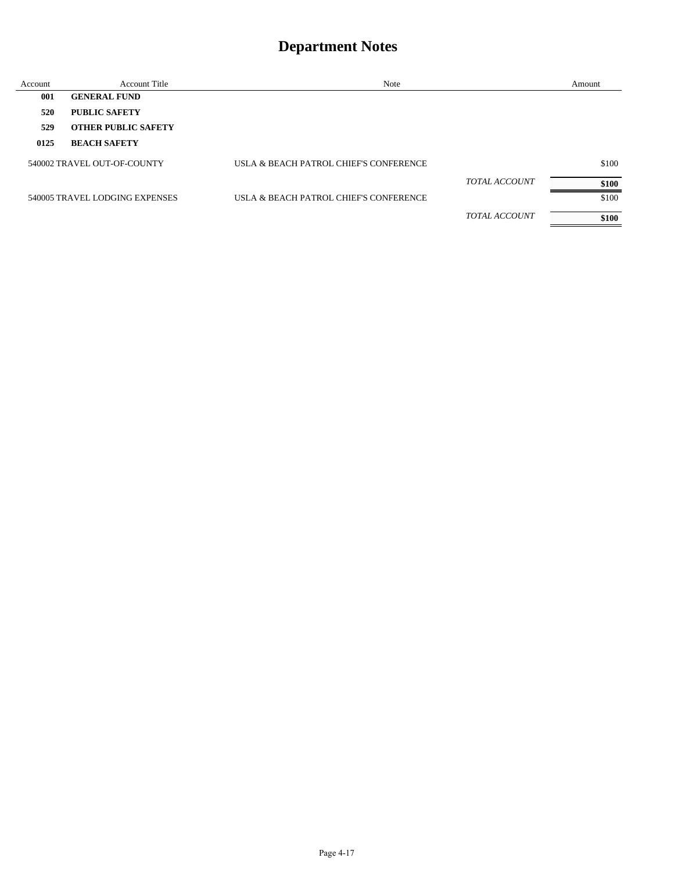| Account | <b>Account Title</b>           | Note                                   |                      | Amount |
|---------|--------------------------------|----------------------------------------|----------------------|--------|
| 001     | <b>GENERAL FUND</b>            |                                        |                      |        |
| 520     | <b>PUBLIC SAFETY</b>           |                                        |                      |        |
| 529     | <b>OTHER PUBLIC SAFETY</b>     |                                        |                      |        |
| 0125    | <b>BEACH SAFETY</b>            |                                        |                      |        |
|         | 540002 TRAVEL OUT-OF-COUNTY    | USLA & BEACH PATROL CHIEF'S CONFERENCE |                      | \$100  |
|         |                                |                                        | <b>TOTAL ACCOUNT</b> | \$100  |
|         | 540005 TRAVEL LODGING EXPENSES | USLA & BEACH PATROL CHIEF'S CONFERENCE |                      | \$100  |
|         |                                |                                        | <b>TOTAL ACCOUNT</b> | \$100  |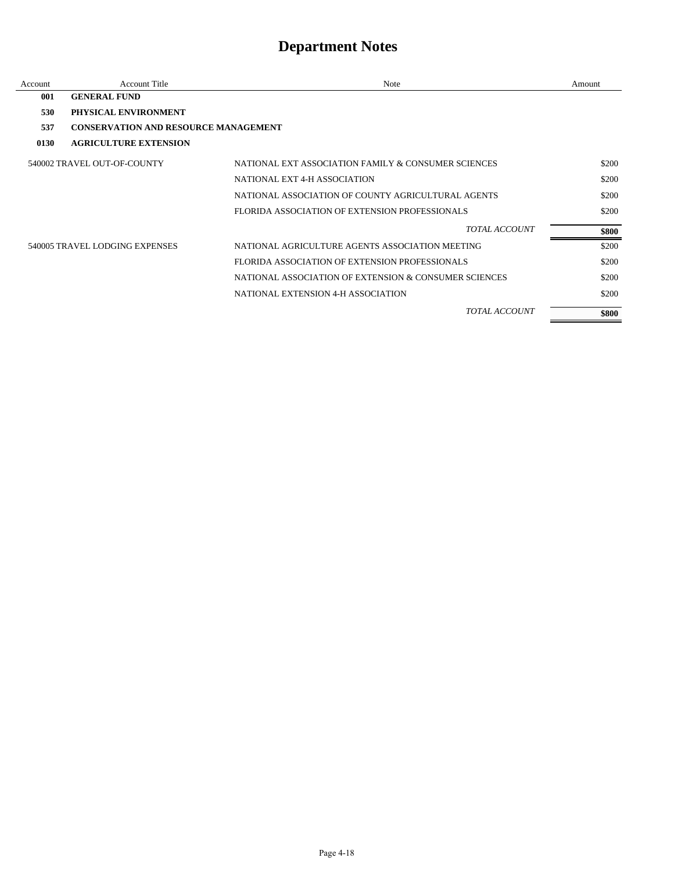| Account | <b>Account Title</b>                        | Note                                                  | Amount |
|---------|---------------------------------------------|-------------------------------------------------------|--------|
| 001     | <b>GENERAL FUND</b>                         |                                                       |        |
| 530     | PHYSICAL ENVIRONMENT                        |                                                       |        |
| 537     | <b>CONSERVATION AND RESOURCE MANAGEMENT</b> |                                                       |        |
| 0130    | <b>AGRICULTURE EXTENSION</b>                |                                                       |        |
|         | 540002 TRAVEL OUT-OF-COUNTY                 | NATIONAL EXT ASSOCIATION FAMILY & CONSUMER SCIENCES   | \$200  |
|         |                                             | NATIONAL EXT 4-H ASSOCIATION                          | \$200  |
|         |                                             | NATIONAL ASSOCIATION OF COUNTY AGRICULTURAL AGENTS    | \$200  |
|         |                                             | FLORIDA ASSOCIATION OF EXTENSION PROFESSIONALS        | \$200  |
|         |                                             | <i>TOTAL ACCOUNT</i>                                  | \$800  |
|         | 540005 TRAVEL LODGING EXPENSES              | NATIONAL AGRICULTURE AGENTS ASSOCIATION MEETING       | \$200  |
|         |                                             | FLORIDA ASSOCIATION OF EXTENSION PROFESSIONALS        | \$200  |
|         |                                             | NATIONAL ASSOCIATION OF EXTENSION & CONSUMER SCIENCES | \$200  |
|         |                                             | NATIONAL EXTENSION 4-H ASSOCIATION                    | \$200  |
|         |                                             | <b>TOTAL ACCOUNT</b>                                  | \$800  |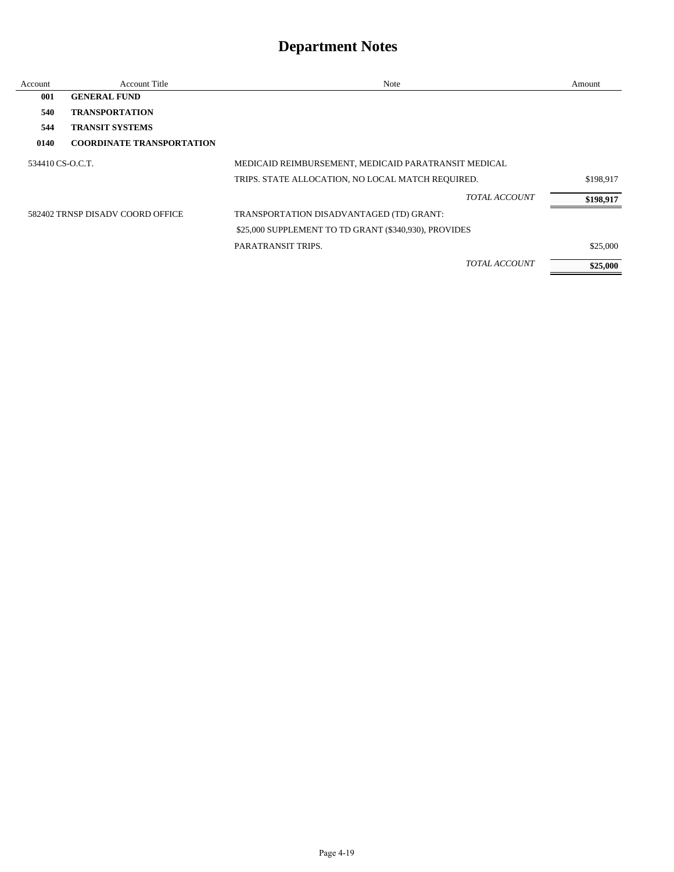| Account          | <b>Account Title</b>             | Note                                                  |                      | Amount    |
|------------------|----------------------------------|-------------------------------------------------------|----------------------|-----------|
| 001              | <b>GENERAL FUND</b>              |                                                       |                      |           |
| 540              | <b>TRANSPORTATION</b>            |                                                       |                      |           |
| 544              | <b>TRANSIT SYSTEMS</b>           |                                                       |                      |           |
| 0140             | <b>COORDINATE TRANSPORTATION</b> |                                                       |                      |           |
| 534410 CS-O.C.T. |                                  | MEDICAID REIMBURSEMENT, MEDICAID PARATRANSIT MEDICAL  |                      |           |
|                  |                                  | TRIPS. STATE ALLOCATION, NO LOCAL MATCH REQUIRED.     |                      | \$198,917 |
|                  |                                  |                                                       | <b>TOTAL ACCOUNT</b> | \$198,917 |
|                  | 582402 TRNSP DISADV COORD OFFICE | TRANSPORTATION DISADVANTAGED (TD) GRANT:              |                      |           |
|                  |                                  | \$25,000 SUPPLEMENT TO TD GRANT (\$340,930), PROVIDES |                      |           |
|                  |                                  | <b>PARATRANSIT TRIPS.</b>                             |                      | \$25,000  |
|                  |                                  |                                                       | <b>TOTAL ACCOUNT</b> | \$25,000  |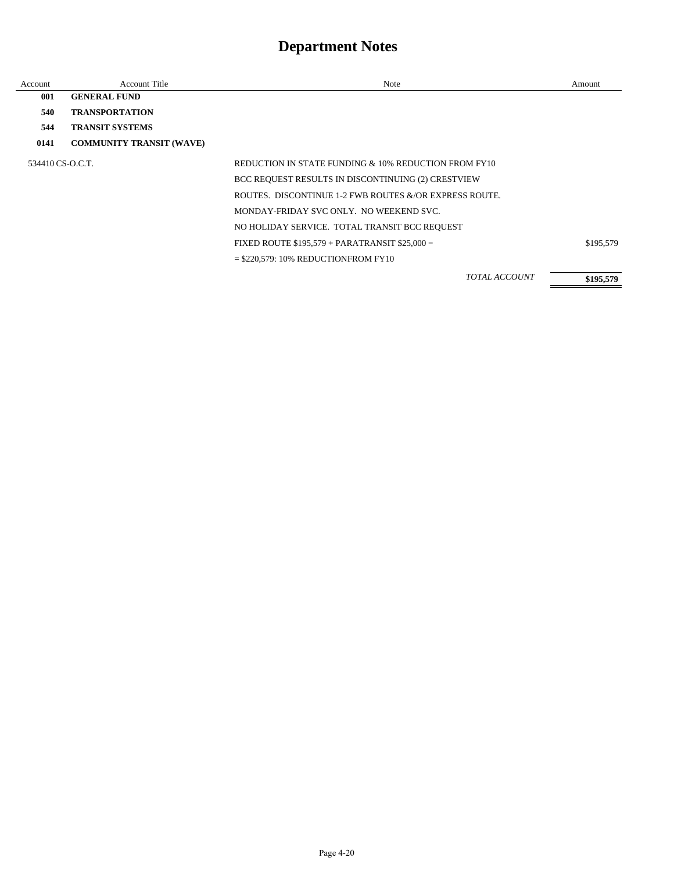| Account          | <b>Account Title</b>            | <b>Note</b>                                            | Amount    |
|------------------|---------------------------------|--------------------------------------------------------|-----------|
| 001              | <b>GENERAL FUND</b>             |                                                        |           |
| 540              | <b>TRANSPORTATION</b>           |                                                        |           |
| 544              | <b>TRANSIT SYSTEMS</b>          |                                                        |           |
| 0141             | <b>COMMUNITY TRANSIT (WAVE)</b> |                                                        |           |
| 534410 CS-O.C.T. |                                 | REDUCTION IN STATE FUNDING & 10% REDUCTION FROM FY10   |           |
|                  |                                 | BCC REQUEST RESULTS IN DISCONTINUING (2) CRESTVIEW     |           |
|                  |                                 | ROUTES. DISCONTINUE 1-2 FWB ROUTES &/OR EXPRESS ROUTE. |           |
|                  |                                 | MONDAY-FRIDAY SVC ONLY. NO WEEKEND SVC.                |           |
|                  |                                 | NO HOLIDAY SERVICE. TOTAL TRANSIT BCC REQUEST          |           |
|                  |                                 | FIXED ROUTE $$195,579 + PARRATRANSIT $25,000 =$        | \$195,579 |
|                  |                                 | $=$ \$220,579: 10% REDUCTIONFROM FY10                  |           |
|                  |                                 | <b>TOTAL ACCOUNT</b>                                   | \$195,579 |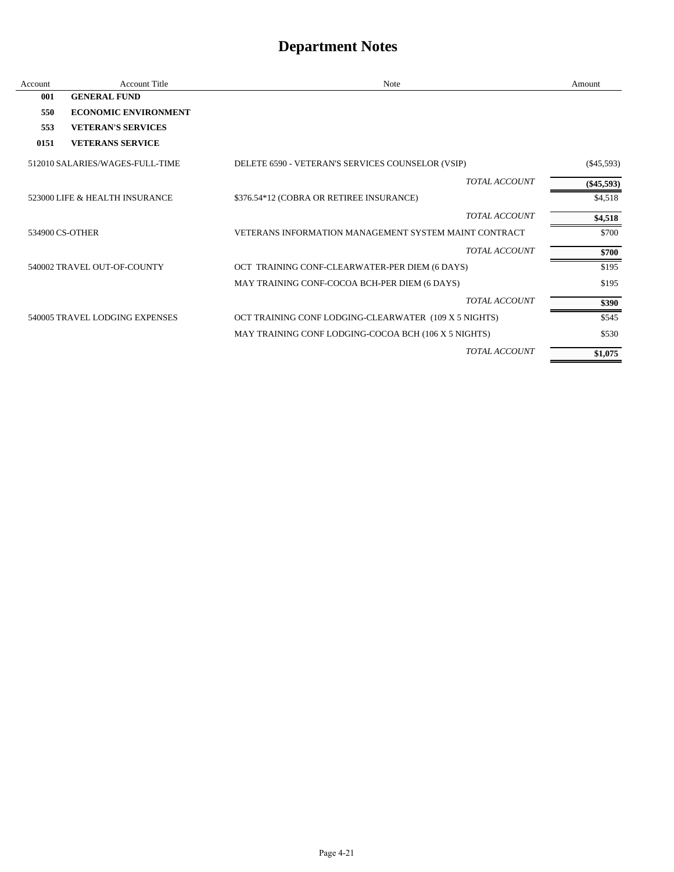| Account | <b>Account Title</b>            | Note                                                  | Amount       |
|---------|---------------------------------|-------------------------------------------------------|--------------|
| 001     | <b>GENERAL FUND</b>             |                                                       |              |
| 550     | <b>ECONOMIC ENVIRONMENT</b>     |                                                       |              |
| 553     | <b>VETERAN'S SERVICES</b>       |                                                       |              |
| 0151    | <b>VETERANS SERVICE</b>         |                                                       |              |
|         | 512010 SALARIES/WAGES-FULL-TIME | DELETE 6590 - VETERAN'S SERVICES COUNSELOR (VSIP)     | $(\$45,593)$ |
|         |                                 | <b>TOTAL ACCOUNT</b>                                  | $(\$45,593)$ |
|         | 523000 LIFE & HEALTH INSURANCE  | \$376.54*12 (COBRA OR RETIREE INSURANCE)              | \$4,518      |
|         |                                 | <b>TOTAL ACCOUNT</b>                                  | \$4,518      |
|         | 534900 CS-OTHER                 | VETERANS INFORMATION MANAGEMENT SYSTEM MAINT CONTRACT | \$700        |
|         |                                 | <b>TOTAL ACCOUNT</b>                                  | \$700        |
|         | 540002 TRAVEL OUT-OF-COUNTY     | OCT TRAINING CONF-CLEARWATER-PER DIEM (6 DAYS)        | \$195        |
|         |                                 | MAY TRAINING CONF-COCOA BCH-PER DIEM (6 DAYS)         | \$195        |
|         |                                 | <b>TOTAL ACCOUNT</b>                                  | \$390        |
|         | 540005 TRAVEL LODGING EXPENSES  | OCT TRAINING CONF LODGING-CLEARWATER (109 X 5 NIGHTS) | \$545        |
|         |                                 | MAY TRAINING CONF LODGING-COCOA BCH (106 X 5 NIGHTS)  | \$530        |
|         |                                 | <b>TOTAL ACCOUNT</b>                                  | \$1,075      |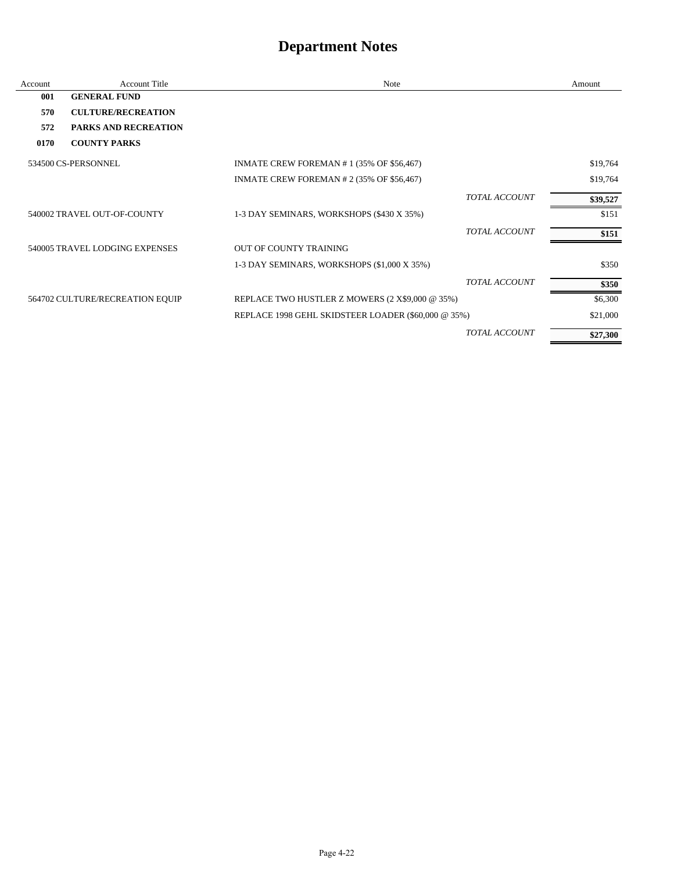| Account | <b>Account Title</b>            | Note                                                |                      | Amount   |
|---------|---------------------------------|-----------------------------------------------------|----------------------|----------|
| 001     | <b>GENERAL FUND</b>             |                                                     |                      |          |
| 570     | <b>CULTURE/RECREATION</b>       |                                                     |                      |          |
| 572     | PARKS AND RECREATION            |                                                     |                      |          |
| 0170    | <b>COUNTY PARKS</b>             |                                                     |                      |          |
|         | 534500 CS-PERSONNEL             | INMATE CREW FOREMAN #1 (35% OF \$56,467)            |                      | \$19,764 |
|         |                                 | INMATE CREW FOREMAN # 2 (35% OF \$56,467)           |                      | \$19,764 |
|         |                                 |                                                     | <b>TOTAL ACCOUNT</b> | \$39,527 |
|         | 540002 TRAVEL OUT-OF-COUNTY     | 1-3 DAY SEMINARS, WORKSHOPS (\$430 X 35%)           |                      | \$151    |
|         |                                 |                                                     | <b>TOTAL ACCOUNT</b> | \$151    |
|         | 540005 TRAVEL LODGING EXPENSES  | <b>OUT OF COUNTY TRAINING</b>                       |                      |          |
|         |                                 | 1-3 DAY SEMINARS, WORKSHOPS (\$1,000 X 35%)         |                      | \$350    |
|         |                                 |                                                     | <b>TOTAL ACCOUNT</b> | \$350    |
|         | 564702 CULTURE/RECREATION EQUIP | REPLACE TWO HUSTLER Z MOWERS (2 X\$9,000 @ 35%)     |                      | \$6,300  |
|         |                                 | REPLACE 1998 GEHL SKIDSTEER LOADER (\$60,000 @ 35%) |                      | \$21,000 |
|         |                                 |                                                     | <b>TOTAL ACCOUNT</b> | \$27,300 |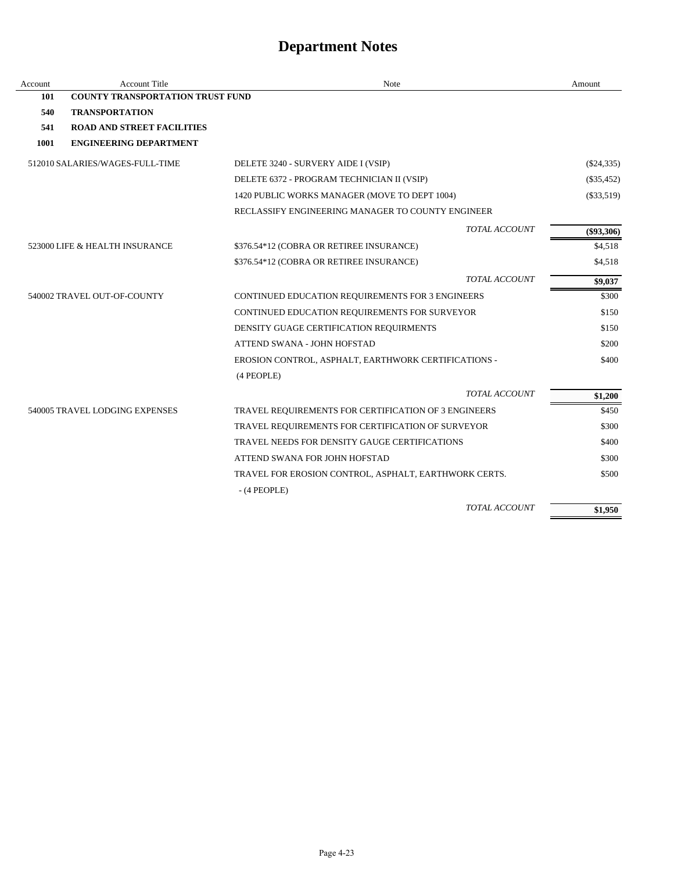| Account | <b>Account Title</b>                    | Note                                                  | Amount       |
|---------|-----------------------------------------|-------------------------------------------------------|--------------|
| 101     | <b>COUNTY TRANSPORTATION TRUST FUND</b> |                                                       |              |
| 540     | <b>TRANSPORTATION</b>                   |                                                       |              |
| 541     | <b>ROAD AND STREET FACILITIES</b>       |                                                       |              |
| 1001    | <b>ENGINEERING DEPARTMENT</b>           |                                                       |              |
|         | 512010 SALARIES/WAGES-FULL-TIME         | DELETE 3240 - SURVERY AIDE I (VSIP)                   | $(\$24,335)$ |
|         |                                         | DELETE 6372 - PROGRAM TECHNICIAN II (VSIP)            | $(\$35,452)$ |
|         |                                         | 1420 PUBLIC WORKS MANAGER (MOVE TO DEPT 1004)         | $(\$33,519)$ |
|         |                                         | RECLASSIFY ENGINEERING MANAGER TO COUNTY ENGINEER     |              |
|         |                                         | <b>TOTAL ACCOUNT</b>                                  | $(\$93,306)$ |
|         | 523000 LIFE & HEALTH INSURANCE          | \$376.54*12 (COBRA OR RETIREE INSURANCE)              | \$4,518      |
|         |                                         | \$376.54*12 (COBRA OR RETIREE INSURANCE)              | \$4,518      |
|         |                                         | <b>TOTAL ACCOUNT</b>                                  | \$9,037      |
|         | 540002 TRAVEL OUT-OF-COUNTY             | CONTINUED EDUCATION REQUIREMENTS FOR 3 ENGINEERS      | \$300        |
|         |                                         | CONTINUED EDUCATION REQUIREMENTS FOR SURVEYOR         | \$150        |
|         |                                         | DENSITY GUAGE CERTIFICATION REQUIRMENTS               | \$150        |
|         |                                         | ATTEND SWANA - JOHN HOFSTAD                           | \$200        |
|         |                                         | EROSION CONTROL, ASPHALT, EARTHWORK CERTIFICATIONS -  | \$400        |
|         |                                         | (4 PEOPLE)                                            |              |
|         |                                         | <b>TOTAL ACCOUNT</b>                                  | \$1,200      |
|         | 540005 TRAVEL LODGING EXPENSES          | TRAVEL REQUIREMENTS FOR CERTIFICATION OF 3 ENGINEERS  | \$450        |
|         |                                         | TRAVEL REQUIREMENTS FOR CERTIFICATION OF SURVEYOR     | \$300        |
|         |                                         | TRAVEL NEEDS FOR DENSITY GAUGE CERTIFICATIONS         | \$400        |
|         |                                         | ATTEND SWANA FOR JOHN HOFSTAD                         | \$300        |
|         |                                         | TRAVEL FOR EROSION CONTROL, ASPHALT, EARTHWORK CERTS. | \$500        |
|         |                                         | $-$ (4 PEOPLE)                                        |              |
|         |                                         | TOTAL ACCOUNT                                         | \$1,950      |

J.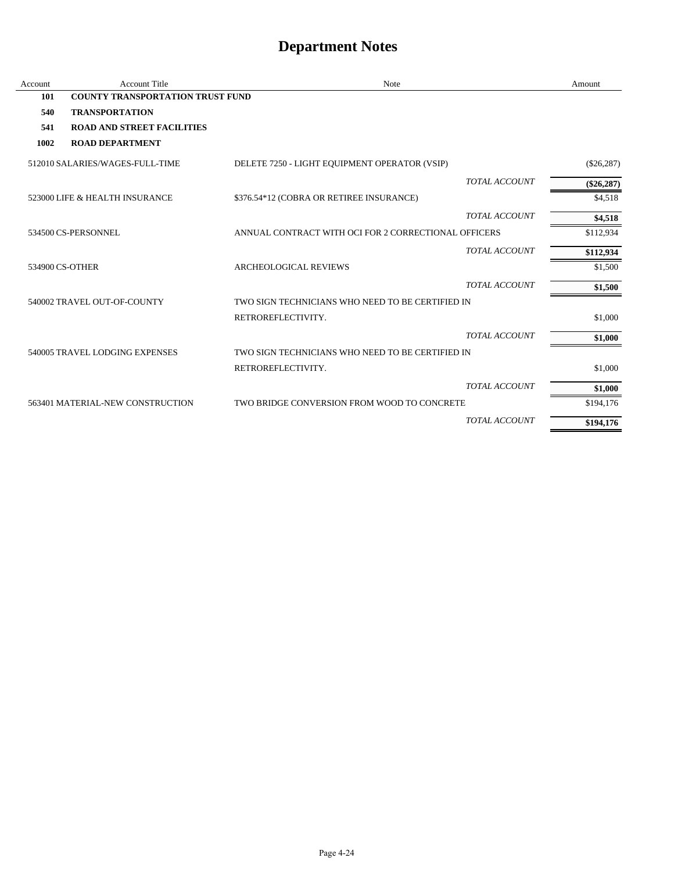| Account | <b>Account Title</b>                    | <b>Note</b>                                          | Amount       |
|---------|-----------------------------------------|------------------------------------------------------|--------------|
| 101     | <b>COUNTY TRANSPORTATION TRUST FUND</b> |                                                      |              |
| 540     | <b>TRANSPORTATION</b>                   |                                                      |              |
| 541     | <b>ROAD AND STREET FACILITIES</b>       |                                                      |              |
| 1002    | <b>ROAD DEPARTMENT</b>                  |                                                      |              |
|         | 512010 SALARIES/WAGES-FULL-TIME         | DELETE 7250 - LIGHT EQUIPMENT OPERATOR (VSIP)        | $(\$26,287)$ |
|         |                                         | <b>TOTAL ACCOUNT</b>                                 | $(\$26,287)$ |
|         | 523000 LIFE & HEALTH INSURANCE          | \$376.54*12 (COBRA OR RETIREE INSURANCE)             | \$4,518      |
|         |                                         | <b>TOTAL ACCOUNT</b>                                 | \$4,518      |
|         | 534500 CS-PERSONNEL                     | ANNUAL CONTRACT WITH OCI FOR 2 CORRECTIONAL OFFICERS | \$112,934    |
|         |                                         | <b>TOTAL ACCOUNT</b>                                 | \$112,934    |
|         | 534900 CS-OTHER                         | <b>ARCHEOLOGICAL REVIEWS</b>                         | \$1,500      |
|         |                                         | <b>TOTAL ACCOUNT</b>                                 | \$1,500      |
|         | 540002 TRAVEL OUT-OF-COUNTY             | TWO SIGN TECHNICIANS WHO NEED TO BE CERTIFIED IN     |              |
|         |                                         | RETROREFLECTIVITY.                                   | \$1,000      |
|         |                                         | <b>TOTAL ACCOUNT</b>                                 | \$1,000      |
|         | 540005 TRAVEL LODGING EXPENSES          | TWO SIGN TECHNICIANS WHO NEED TO BE CERTIFIED IN     |              |
|         |                                         | RETROREFLECTIVITY.                                   | \$1,000      |
|         |                                         | <b>TOTAL ACCOUNT</b>                                 | \$1,000      |
|         | 563401 MATERIAL-NEW CONSTRUCTION        | TWO BRIDGE CONVERSION FROM WOOD TO CONCRETE          | \$194,176    |
|         |                                         | <b>TOTAL ACCOUNT</b>                                 | \$194,176    |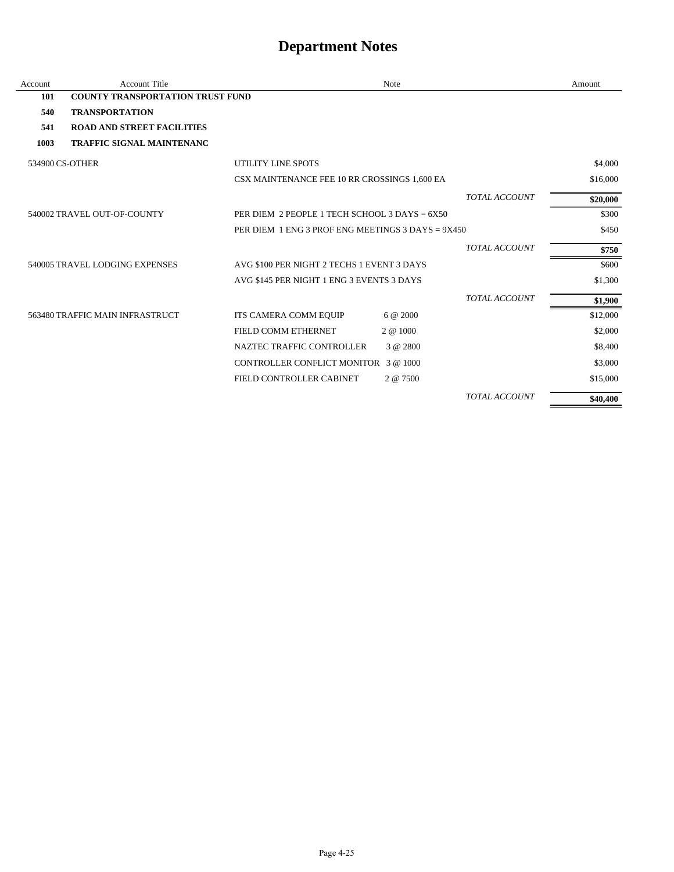| Account | <b>Account Title</b>                    |                                                   | Note     |                      | Amount   |
|---------|-----------------------------------------|---------------------------------------------------|----------|----------------------|----------|
| 101     | <b>COUNTY TRANSPORTATION TRUST FUND</b> |                                                   |          |                      |          |
| 540     | <b>TRANSPORTATION</b>                   |                                                   |          |                      |          |
| 541     | <b>ROAD AND STREET FACILITIES</b>       |                                                   |          |                      |          |
| 1003    | <b>TRAFFIC SIGNAL MAINTENANC</b>        |                                                   |          |                      |          |
|         | 534900 CS-OTHER                         | UTILITY LINE SPOTS                                |          |                      | \$4,000  |
|         |                                         | CSX MAINTENANCE FEE 10 RR CROSSINGS 1,600 EA      |          |                      | \$16,000 |
|         |                                         |                                                   |          | <b>TOTAL ACCOUNT</b> | \$20,000 |
|         | 540002 TRAVEL OUT-OF-COUNTY             | PER DIEM 2 PEOPLE 1 TECH SCHOOL 3 DAYS = 6X50     |          |                      | \$300    |
|         |                                         | PER DIEM 1 ENG 3 PROF ENG MEETINGS 3 DAYS = 9X450 |          |                      | \$450    |
|         |                                         |                                                   |          | <b>TOTAL ACCOUNT</b> | \$750    |
|         | 540005 TRAVEL LODGING EXPENSES          | AVG \$100 PER NIGHT 2 TECHS 1 EVENT 3 DAYS        |          |                      | \$600    |
|         |                                         | AVG \$145 PER NIGHT 1 ENG 3 EVENTS 3 DAYS         |          |                      | \$1,300  |
|         |                                         |                                                   |          | <b>TOTAL ACCOUNT</b> | \$1,900  |
|         | 563480 TRAFFIC MAIN INFRASTRUCT         | ITS CAMERA COMM EQUIP                             | 6 @ 2000 |                      | \$12,000 |
|         |                                         | FIELD COMM ETHERNET                               | 2 @ 1000 |                      | \$2,000  |
|         |                                         | NAZTEC TRAFFIC CONTROLLER                         | 3 @ 2800 |                      | \$8,400  |
|         |                                         | CONTROLLER CONFLICT MONITOR 3@1000                |          |                      | \$3,000  |
|         |                                         | FIELD CONTROLLER CABINET                          | 2 @ 7500 |                      | \$15,000 |
|         |                                         |                                                   |          | <b>TOTAL ACCOUNT</b> | \$40,400 |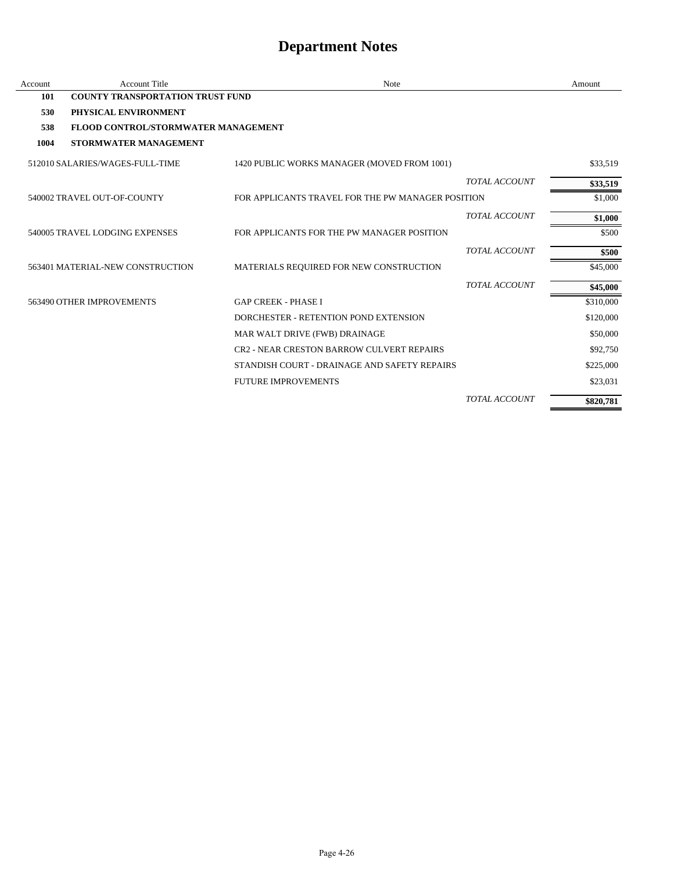| Account | <b>Account Title</b>                    | Note                                              |                      | Amount    |
|---------|-----------------------------------------|---------------------------------------------------|----------------------|-----------|
| 101     | <b>COUNTY TRANSPORTATION TRUST FUND</b> |                                                   |                      |           |
| 530     | PHYSICAL ENVIRONMENT                    |                                                   |                      |           |
| 538     | FLOOD CONTROL/STORMWATER MANAGEMENT     |                                                   |                      |           |
| 1004    | STORMWATER MANAGEMENT                   |                                                   |                      |           |
|         | 512010 SALARIES/WAGES-FULL-TIME         | 1420 PUBLIC WORKS MANAGER (MOVED FROM 1001)       |                      | \$33,519  |
|         |                                         |                                                   | <b>TOTAL ACCOUNT</b> | \$33,519  |
|         | 540002 TRAVEL OUT-OF-COUNTY             | FOR APPLICANTS TRAVEL FOR THE PW MANAGER POSITION |                      | \$1,000   |
|         |                                         |                                                   | <b>TOTAL ACCOUNT</b> | \$1,000   |
|         | 540005 TRAVEL LODGING EXPENSES          | FOR APPLICANTS FOR THE PW MANAGER POSITION        |                      | \$500     |
|         |                                         |                                                   | <b>TOTAL ACCOUNT</b> | \$500     |
|         | 563401 MATERIAL-NEW CONSTRUCTION        | MATERIALS REQUIRED FOR NEW CONSTRUCTION           |                      | \$45,000  |
|         |                                         |                                                   | <b>TOTAL ACCOUNT</b> | \$45,000  |
|         | 563490 OTHER IMPROVEMENTS               | <b>GAP CREEK - PHASE I</b>                        |                      | \$310,000 |
|         |                                         | DORCHESTER - RETENTION POND EXTENSION             |                      | \$120,000 |
|         |                                         | MAR WALT DRIVE (FWB) DRAINAGE                     |                      | \$50,000  |
|         |                                         | <b>CR2 - NEAR CRESTON BARROW CULVERT REPAIRS</b>  |                      | \$92,750  |
|         |                                         | STANDISH COURT - DRAINAGE AND SAFETY REPAIRS      |                      | \$225,000 |
|         |                                         | <b>FUTURE IMPROVEMENTS</b>                        |                      | \$23,031  |
|         |                                         |                                                   | <b>TOTAL ACCOUNT</b> | \$820,781 |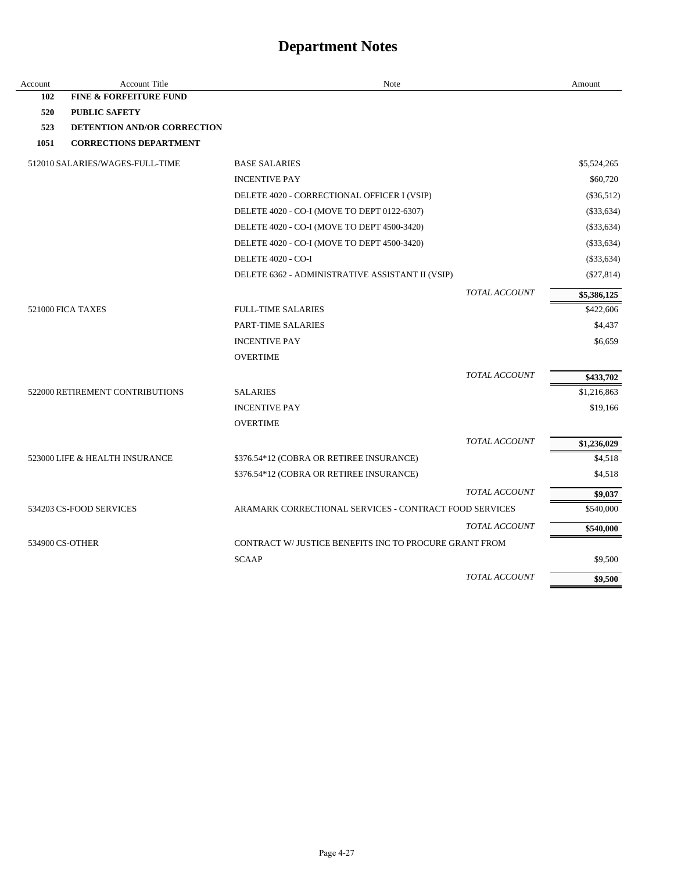| Account | <b>Account Title</b>               | Note                                                   |                      | Amount       |
|---------|------------------------------------|--------------------------------------------------------|----------------------|--------------|
| 102     | <b>FINE &amp; FORFEITURE FUND</b>  |                                                        |                      |              |
| 520     | <b>PUBLIC SAFETY</b>               |                                                        |                      |              |
| 523     | <b>DETENTION AND/OR CORRECTION</b> |                                                        |                      |              |
| 1051    | <b>CORRECTIONS DEPARTMENT</b>      |                                                        |                      |              |
|         | 512010 SALARIES/WAGES-FULL-TIME    | <b>BASE SALARIES</b>                                   |                      | \$5,524,265  |
|         |                                    | <b>INCENTIVE PAY</b>                                   |                      | \$60,720     |
|         |                                    | DELETE 4020 - CORRECTIONAL OFFICER I (VSIP)            |                      | $(\$36,512)$ |
|         |                                    | DELETE 4020 - CO-I (MOVE TO DEPT 0122-6307)            |                      | $(\$33,634)$ |
|         |                                    | DELETE 4020 - CO-I (MOVE TO DEPT 4500-3420)            |                      | $(\$33,634)$ |
|         |                                    | DELETE 4020 - CO-I (MOVE TO DEPT 4500-3420)            |                      | $(\$33,634)$ |
|         |                                    | DELETE 4020 - CO-I                                     |                      | $(\$33,634)$ |
|         |                                    | DELETE 6362 - ADMINISTRATIVE ASSISTANT II (VSIP)       |                      | $(\$27,814)$ |
|         |                                    |                                                        | TOTAL ACCOUNT        | \$5,386,125  |
|         | 521000 FICA TAXES                  | <b>FULL-TIME SALARIES</b>                              |                      | \$422,606    |
|         |                                    | PART-TIME SALARIES                                     |                      | \$4,437      |
|         |                                    | <b>INCENTIVE PAY</b>                                   |                      | \$6,659      |
|         |                                    | <b>OVERTIME</b>                                        |                      |              |
|         |                                    |                                                        | <b>TOTAL ACCOUNT</b> | \$433,702    |
|         | 522000 RETIREMENT CONTRIBUTIONS    | <b>SALARIES</b>                                        |                      | \$1,216,863  |
|         |                                    | <b>INCENTIVE PAY</b>                                   |                      | \$19,166     |
|         |                                    | <b>OVERTIME</b>                                        |                      |              |
|         |                                    |                                                        | <b>TOTAL ACCOUNT</b> | \$1,236,029  |
|         | 523000 LIFE & HEALTH INSURANCE     | \$376.54*12 (COBRA OR RETIREE INSURANCE)               |                      | \$4,518      |
|         |                                    | \$376.54*12 (COBRA OR RETIREE INSURANCE)               |                      | \$4,518      |
|         |                                    |                                                        | <b>TOTAL ACCOUNT</b> | \$9,037      |
|         | 534203 CS-FOOD SERVICES            | ARAMARK CORRECTIONAL SERVICES - CONTRACT FOOD SERVICES |                      | \$540,000    |
|         |                                    |                                                        | <b>TOTAL ACCOUNT</b> | \$540,000    |
|         | 534900 CS-OTHER                    | CONTRACT W/JUSTICE BENEFITS INC TO PROCURE GRANT FROM  |                      |              |
|         |                                    | <b>SCAAP</b>                                           |                      | \$9,500      |
|         |                                    |                                                        | TOTAL ACCOUNT        | \$9,500      |
|         |                                    |                                                        |                      |              |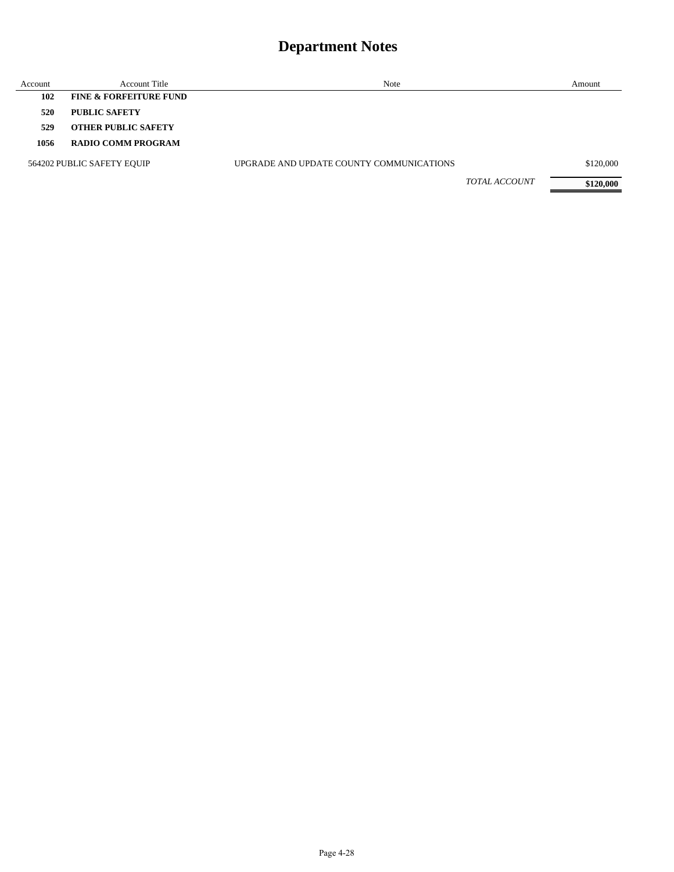| Account | <b>Account Title</b>              | Note                                     |                      | Amount    |
|---------|-----------------------------------|------------------------------------------|----------------------|-----------|
| 102     | <b>FINE &amp; FORFEITURE FUND</b> |                                          |                      |           |
| 520     | <b>PUBLIC SAFETY</b>              |                                          |                      |           |
| 529     | <b>OTHER PUBLIC SAFETY</b>        |                                          |                      |           |
| 1056    | <b>RADIO COMM PROGRAM</b>         |                                          |                      |           |
|         | 564202 PUBLIC SAFETY EQUIP        | UPGRADE AND UPDATE COUNTY COMMUNICATIONS |                      | \$120,000 |
|         |                                   |                                          | <b>TOTAL ACCOUNT</b> | \$120,000 |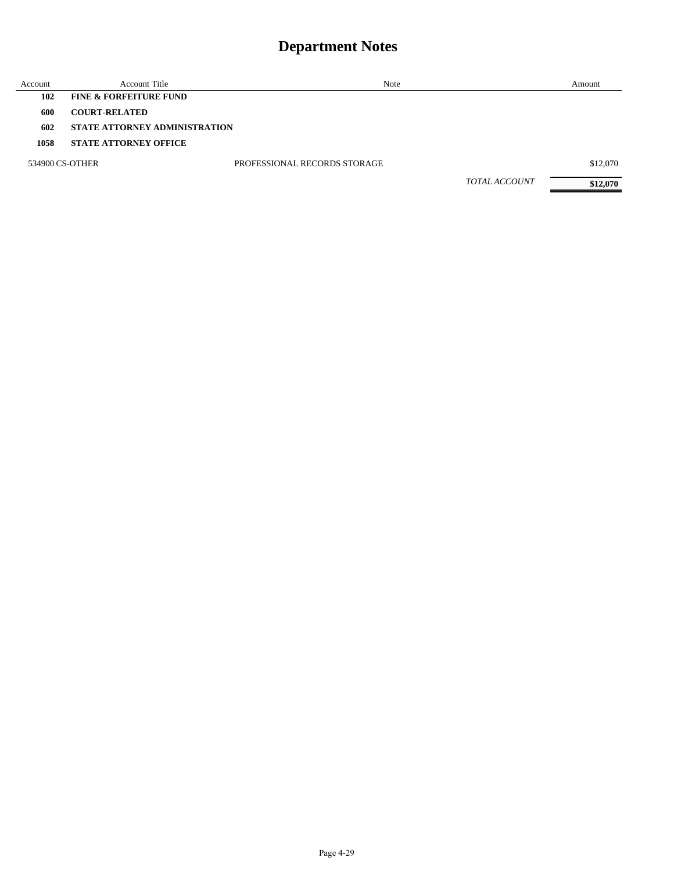| Account | <b>Account Title</b>                 | Note                         |                      | Amount   |
|---------|--------------------------------------|------------------------------|----------------------|----------|
| 102     | <b>FINE &amp; FORFEITURE FUND</b>    |                              |                      |          |
| 600     | <b>COURT-RELATED</b>                 |                              |                      |          |
| 602     | <b>STATE ATTORNEY ADMINISTRATION</b> |                              |                      |          |
| 1058    | <b>STATE ATTORNEY OFFICE</b>         |                              |                      |          |
|         | 534900 CS-OTHER                      | PROFESSIONAL RECORDS STORAGE |                      | \$12,070 |
|         |                                      |                              | <b>TOTAL ACCOUNT</b> | \$12,070 |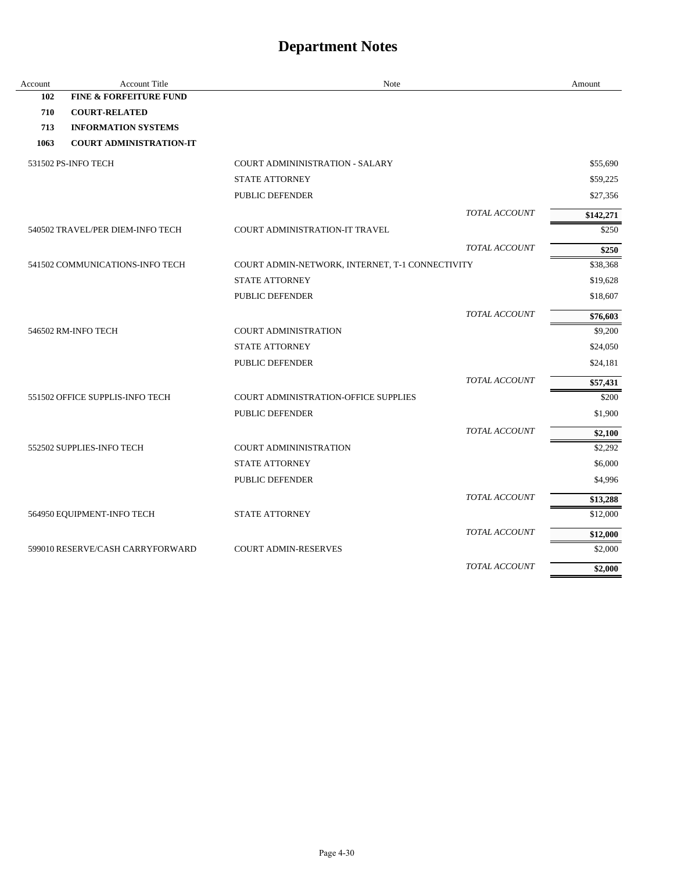| Account | <b>Account Title</b>              | Note                                            | Amount    |
|---------|-----------------------------------|-------------------------------------------------|-----------|
| 102     | <b>FINE &amp; FORFEITURE FUND</b> |                                                 |           |
| 710     | <b>COURT-RELATED</b>              |                                                 |           |
| 713     | <b>INFORMATION SYSTEMS</b>        |                                                 |           |
| 1063    | <b>COURT ADMINISTRATION-IT</b>    |                                                 |           |
|         | 531502 PS-INFO TECH               | <b>COURT ADMININISTRATION - SALARY</b>          | \$55,690  |
|         |                                   | <b>STATE ATTORNEY</b>                           | \$59,225  |
|         |                                   | PUBLIC DEFENDER                                 | \$27,356  |
|         |                                   | TOTAL ACCOUNT                                   | \$142,271 |
|         | 540502 TRAVEL/PER DIEM-INFO TECH  | COURT ADMINISTRATION-IT TRAVEL                  | \$250     |
|         |                                   | <b>TOTAL ACCOUNT</b>                            | \$250     |
|         | 541502 COMMUNICATIONS-INFO TECH   | COURT ADMIN-NETWORK, INTERNET, T-1 CONNECTIVITY | \$38,368  |
|         |                                   | <b>STATE ATTORNEY</b>                           | \$19,628  |
|         |                                   | PUBLIC DEFENDER                                 | \$18,607  |
|         |                                   | TOTAL ACCOUNT                                   | \$76,603  |
|         | 546502 RM-INFO TECH               | <b>COURT ADMINISTRATION</b>                     | \$9,200   |
|         |                                   | <b>STATE ATTORNEY</b>                           | \$24,050  |
|         |                                   | PUBLIC DEFENDER                                 | \$24,181  |
|         |                                   | <b>TOTAL ACCOUNT</b>                            | \$57,431  |
|         | 551502 OFFICE SUPPLIS-INFO TECH   | <b>COURT ADMINISTRATION-OFFICE SUPPLIES</b>     | \$200     |
|         |                                   | <b>PUBLIC DEFENDER</b>                          | \$1,900   |
|         |                                   | TOTAL ACCOUNT                                   | \$2,100   |
|         | 552502 SUPPLIES-INFO TECH         | <b>COURT ADMININISTRATION</b>                   | \$2,292   |
|         |                                   | <b>STATE ATTORNEY</b>                           | \$6,000   |
|         |                                   | PUBLIC DEFENDER                                 | \$4,996   |
|         |                                   | TOTAL ACCOUNT                                   | \$13,288  |
|         | 564950 EQUIPMENT-INFO TECH        | <b>STATE ATTORNEY</b>                           | \$12,000  |
|         |                                   | TOTAL ACCOUNT                                   | \$12,000  |
|         | 599010 RESERVE/CASH CARRYFORWARD  | <b>COURT ADMIN-RESERVES</b>                     | \$2,000   |
|         |                                   | <b>TOTAL ACCOUNT</b>                            | \$2,000   |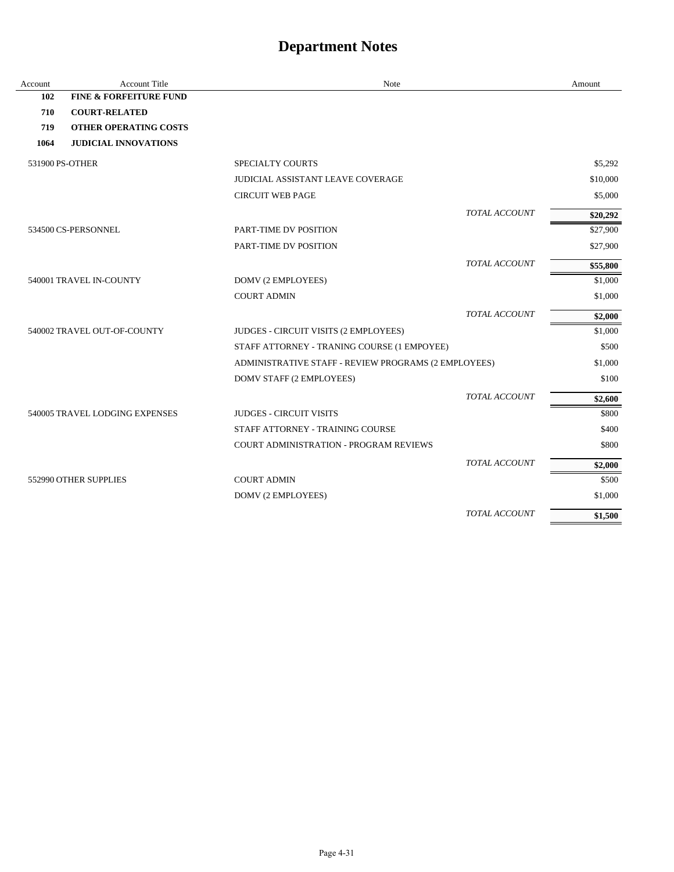| Account | <b>Account Title</b>              | Note                                                 |                      | Amount   |
|---------|-----------------------------------|------------------------------------------------------|----------------------|----------|
| 102     | <b>FINE &amp; FORFEITURE FUND</b> |                                                      |                      |          |
| 710     | <b>COURT-RELATED</b>              |                                                      |                      |          |
| 719     | <b>OTHER OPERATING COSTS</b>      |                                                      |                      |          |
| 1064    | <b>JUDICIAL INNOVATIONS</b>       |                                                      |                      |          |
|         | 531900 PS-OTHER                   | <b>SPECIALTY COURTS</b>                              |                      | \$5,292  |
|         |                                   | JUDICIAL ASSISTANT LEAVE COVERAGE                    |                      | \$10,000 |
|         |                                   | <b>CIRCUIT WEB PAGE</b>                              |                      | \$5,000  |
|         |                                   |                                                      | TOTAL ACCOUNT        | \$20,292 |
|         | 534500 CS-PERSONNEL               | PART-TIME DV POSITION                                |                      | \$27,900 |
|         |                                   | PART-TIME DV POSITION                                |                      | \$27,900 |
|         |                                   |                                                      | TOTAL ACCOUNT        | \$55,800 |
|         | 540001 TRAVEL IN-COUNTY           | DOMV (2 EMPLOYEES)                                   |                      | \$1,000  |
|         |                                   | <b>COURT ADMIN</b>                                   |                      | \$1,000  |
|         |                                   |                                                      | TOTAL ACCOUNT        | \$2,000  |
|         | 540002 TRAVEL OUT-OF-COUNTY       | JUDGES - CIRCUIT VISITS (2 EMPLOYEES)                |                      | \$1,000  |
|         |                                   | STAFF ATTORNEY - TRANING COURSE (1 EMPOYEE)          |                      | \$500    |
|         |                                   | ADMINISTRATIVE STAFF - REVIEW PROGRAMS (2 EMPLOYEES) |                      | \$1,000  |
|         |                                   | DOMV STAFF (2 EMPLOYEES)                             |                      | \$100    |
|         |                                   |                                                      | TOTAL ACCOUNT        | \$2,600  |
|         | 540005 TRAVEL LODGING EXPENSES    | <b>JUDGES - CIRCUIT VISITS</b>                       |                      | \$800    |
|         |                                   | STAFF ATTORNEY - TRAINING COURSE                     |                      | \$400    |
|         |                                   | <b>COURT ADMINISTRATION - PROGRAM REVIEWS</b>        |                      | \$800    |
|         |                                   |                                                      | <b>TOTAL ACCOUNT</b> | \$2,000  |
|         | 552990 OTHER SUPPLIES             | <b>COURT ADMIN</b>                                   |                      | \$500    |
|         |                                   | DOMV (2 EMPLOYEES)                                   |                      | \$1,000  |
|         |                                   |                                                      | TOTAL ACCOUNT        | \$1,500  |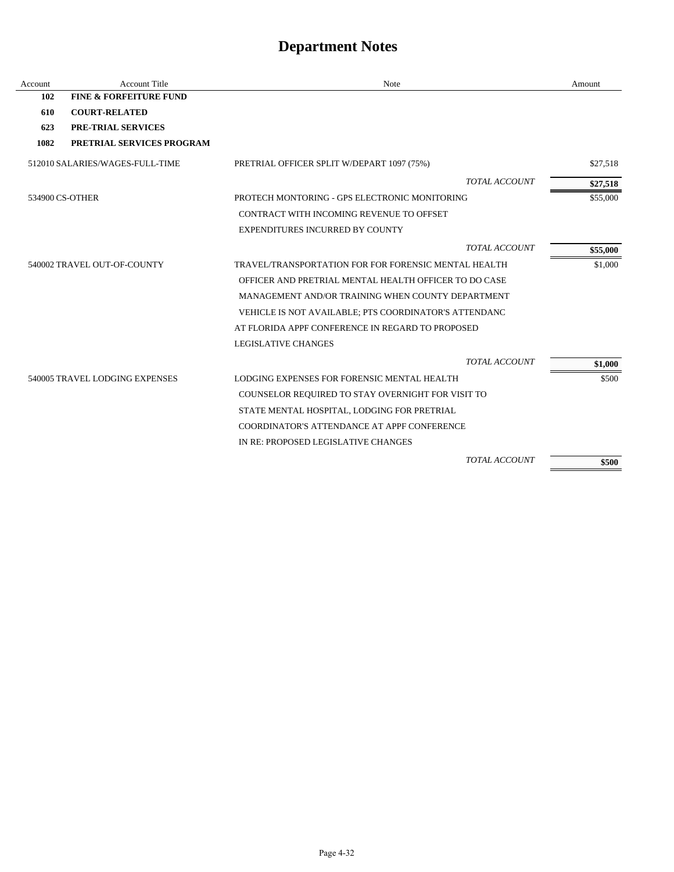| Account | <b>Account Title</b>              | Note                                                  | Amount   |
|---------|-----------------------------------|-------------------------------------------------------|----------|
| 102     | <b>FINE &amp; FORFEITURE FUND</b> |                                                       |          |
| 610     | <b>COURT-RELATED</b>              |                                                       |          |
| 623     | <b>PRE-TRIAL SERVICES</b>         |                                                       |          |
| 1082    | PRETRIAL SERVICES PROGRAM         |                                                       |          |
|         | 512010 SALARIES/WAGES-FULL-TIME   | PRETRIAL OFFICER SPLIT W/DEPART 1097 (75%)            | \$27,518 |
|         |                                   | <b>TOTAL ACCOUNT</b>                                  | \$27,518 |
|         | 534900 CS-OTHER                   | PROTECH MONTORING - GPS ELECTRONIC MONITORING         | \$55,000 |
|         |                                   | CONTRACT WITH INCOMING REVENUE TO OFFSET              |          |
|         |                                   | <b>EXPENDITURES INCURRED BY COUNTY</b>                |          |
|         |                                   | <b>TOTAL ACCOUNT</b>                                  | \$55,000 |
|         | 540002 TRAVEL OUT-OF-COUNTY       | TRAVEL/TRANSPORTATION FOR FOR FORENSIC MENTAL HEALTH  | \$1,000  |
|         |                                   | OFFICER AND PRETRIAL MENTAL HEALTH OFFICER TO DO CASE |          |
|         |                                   | MANAGEMENT AND/OR TRAINING WHEN COUNTY DEPARTMENT     |          |
|         |                                   | VEHICLE IS NOT AVAILABLE; PTS COORDINATOR'S ATTENDANC |          |
|         |                                   | AT FLORIDA APPF CONFERENCE IN REGARD TO PROPOSED      |          |
|         |                                   | <b>LEGISLATIVE CHANGES</b>                            |          |
|         |                                   | <b>TOTAL ACCOUNT</b>                                  | \$1,000  |
|         | 540005 TRAVEL LODGING EXPENSES    | LODGING EXPENSES FOR FORENSIC MENTAL HEALTH           | \$500    |
|         |                                   | COUNSELOR REQUIRED TO STAY OVERNIGHT FOR VISIT TO     |          |
|         |                                   | STATE MENTAL HOSPITAL, LODGING FOR PRETRIAL           |          |
|         |                                   | COORDINATOR'S ATTENDANCE AT APPF CONFERENCE           |          |
|         |                                   | IN RE: PROPOSED LEGISLATIVE CHANGES                   |          |
|         |                                   | <b>TOTAL ACCOUNT</b>                                  | \$500    |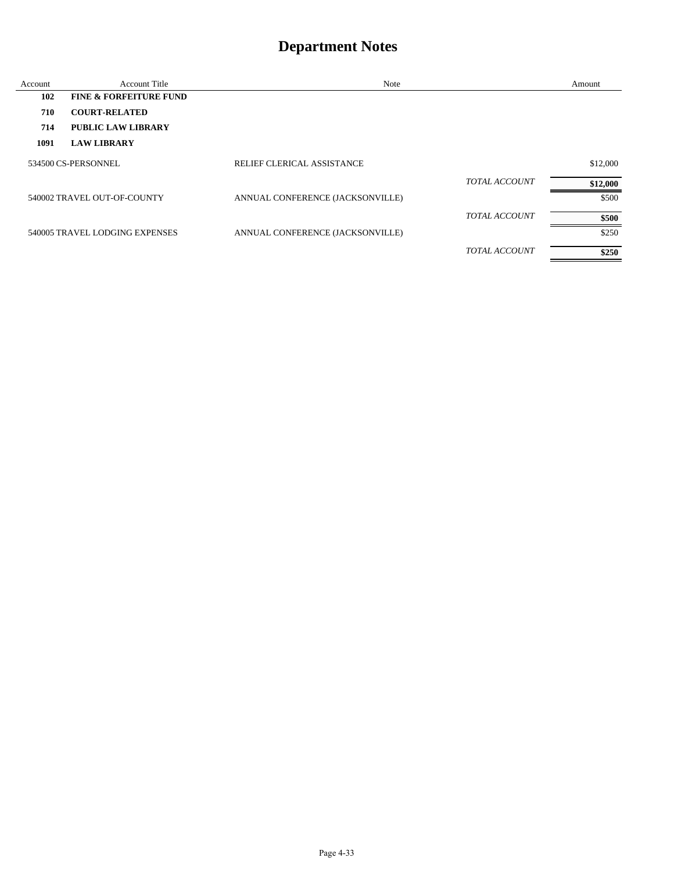| Account | <b>Account Title</b>              | Note                             |                      | Amount   |
|---------|-----------------------------------|----------------------------------|----------------------|----------|
| 102     | <b>FINE &amp; FORFEITURE FUND</b> |                                  |                      |          |
| 710     | <b>COURT-RELATED</b>              |                                  |                      |          |
| 714     | PUBLIC LAW LIBRARY                |                                  |                      |          |
| 1091    | <b>LAW LIBRARY</b>                |                                  |                      |          |
|         | 534500 CS-PERSONNEL               | RELIEF CLERICAL ASSISTANCE       |                      | \$12,000 |
|         |                                   |                                  | <b>TOTAL ACCOUNT</b> | \$12,000 |
|         | 540002 TRAVEL OUT-OF-COUNTY       | ANNUAL CONFERENCE (JACKSONVILLE) |                      | \$500    |
|         |                                   |                                  | <b>TOTAL ACCOUNT</b> | \$500    |
|         | 540005 TRAVEL LODGING EXPENSES    | ANNUAL CONFERENCE (JACKSONVILLE) |                      | \$250    |
|         |                                   |                                  | <b>TOTAL ACCOUNT</b> | \$250    |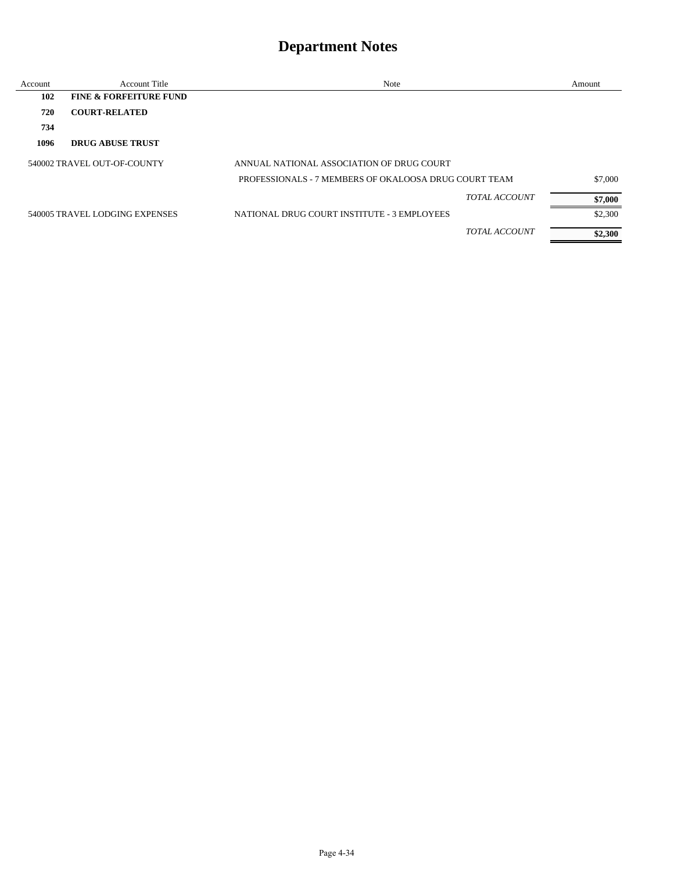| Account | <b>Account Title</b>              | Note                                                  |                      | Amount  |
|---------|-----------------------------------|-------------------------------------------------------|----------------------|---------|
| 102     | <b>FINE &amp; FORFEITURE FUND</b> |                                                       |                      |         |
| 720     | <b>COURT-RELATED</b>              |                                                       |                      |         |
| 734     |                                   |                                                       |                      |         |
| 1096    | <b>DRUG ABUSE TRUST</b>           |                                                       |                      |         |
|         | 540002 TRAVEL OUT-OF-COUNTY       | ANNUAL NATIONAL ASSOCIATION OF DRUG COURT             |                      |         |
|         |                                   | PROFESSIONALS - 7 MEMBERS OF OKALOOSA DRUG COURT TEAM |                      | \$7,000 |
|         |                                   |                                                       | <b>TOTAL ACCOUNT</b> | \$7,000 |
|         | 540005 TRAVEL LODGING EXPENSES    | NATIONAL DRUG COURT INSTITUTE - 3 EMPLOYEES           |                      | \$2,300 |
|         |                                   |                                                       | <b>TOTAL ACCOUNT</b> | \$2,300 |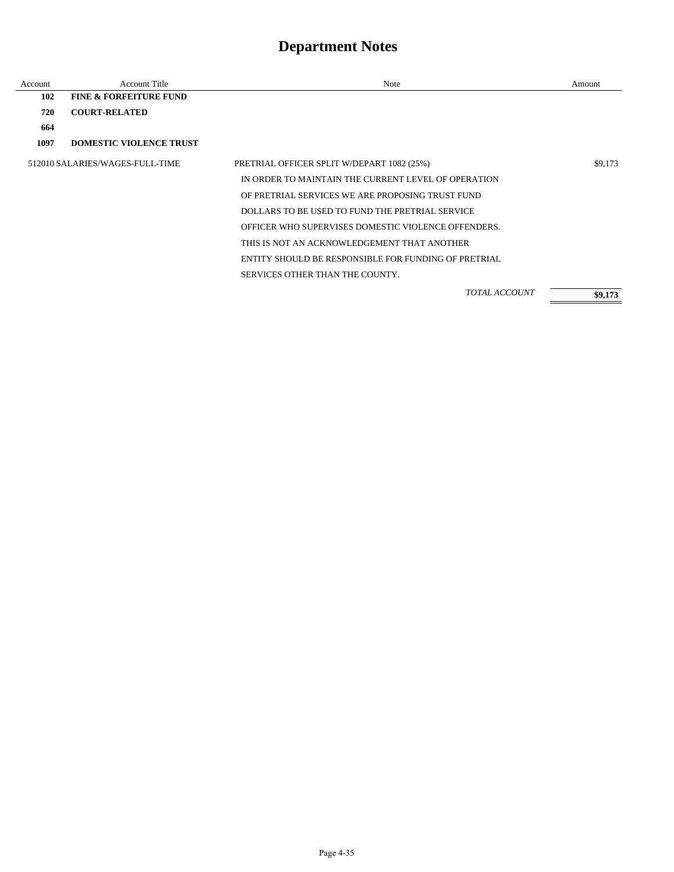| Account | <b>Account Title</b>              | Note                                                 | Amount  |
|---------|-----------------------------------|------------------------------------------------------|---------|
| 102     | <b>FINE &amp; FORFEITURE FUND</b> |                                                      |         |
| 720     | <b>COURT-RELATED</b>              |                                                      |         |
| 664     |                                   |                                                      |         |
| 1097    | <b>DOMESTIC VIOLENCE TRUST</b>    |                                                      |         |
|         | 512010 SALARIES/WAGES-FULL-TIME   | PRETRIAL OFFICER SPLIT W/DEPART 1082 (25%)           | \$9,173 |
|         |                                   | IN ORDER TO MAINTAIN THE CURRENT LEVEL OF OPERATION  |         |
|         |                                   | OF PRETRIAL SERVICES WE ARE PROPOSING TRUST FUND     |         |
|         |                                   | DOLLARS TO BE USED TO FUND THE PRETRIAL SERVICE      |         |
|         |                                   | OFFICER WHO SUPERVISES DOMESTIC VIOLENCE OFFENDERS.  |         |
|         |                                   | THIS IS NOT AN ACKNOWLEDGEMENT THAT ANOTHER          |         |
|         |                                   | ENTITY SHOULD BE RESPONSIBLE FOR FUNDING OF PRETRIAL |         |
|         |                                   | SERVICES OTHER THAN THE COUNTY.                      |         |
|         |                                   | <b>TOTAL ACCOUNT</b>                                 | \$9,173 |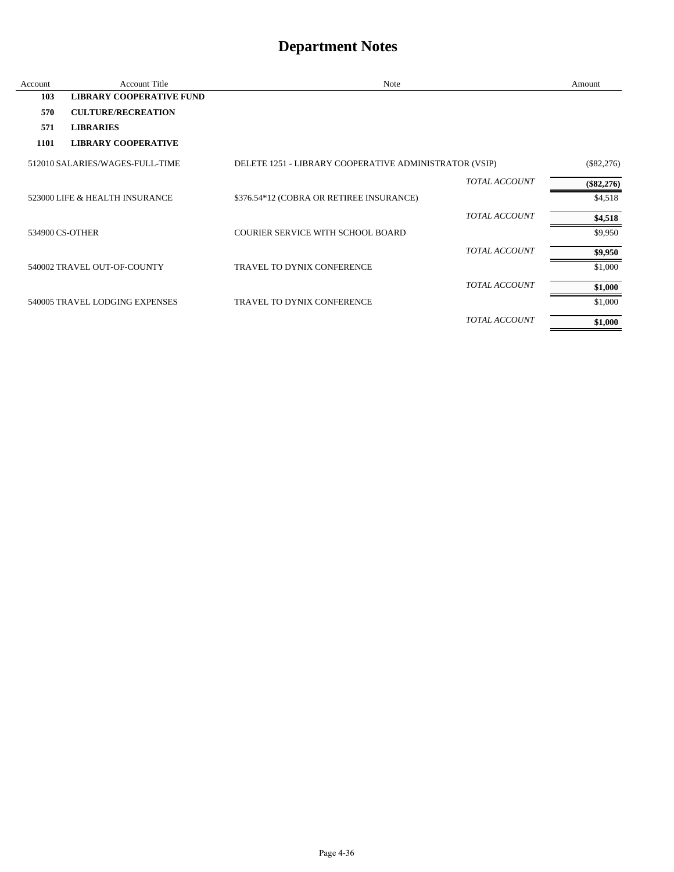| Account | <b>Account Title</b>            | Note                                                   |                      | Amount       |
|---------|---------------------------------|--------------------------------------------------------|----------------------|--------------|
| 103     | <b>LIBRARY COOPERATIVE FUND</b> |                                                        |                      |              |
| 570     | <b>CULTURE/RECREATION</b>       |                                                        |                      |              |
| 571     | <b>LIBRARIES</b>                |                                                        |                      |              |
| 1101    | <b>LIBRARY COOPERATIVE</b>      |                                                        |                      |              |
|         | 512010 SALARIES/WAGES-FULL-TIME | DELETE 1251 - LIBRARY COOPERATIVE ADMINISTRATOR (VSIP) |                      | $(\$82,276)$ |
|         |                                 |                                                        | <b>TOTAL ACCOUNT</b> | $(\$82,276)$ |
|         | 523000 LIFE & HEALTH INSURANCE  | \$376.54*12 (COBRA OR RETIREE INSURANCE)               |                      | \$4,518      |
|         |                                 |                                                        | TOTAL ACCOUNT        | \$4,518      |
|         | 534900 CS-OTHER                 | <b>COURIER SERVICE WITH SCHOOL BOARD</b>               |                      | \$9,950      |
|         |                                 |                                                        | <b>TOTAL ACCOUNT</b> | \$9,950      |
|         | 540002 TRAVEL OUT-OF-COUNTY     | TRAVEL TO DYNIX CONFERENCE                             |                      | \$1,000      |
|         |                                 |                                                        | <b>TOTAL ACCOUNT</b> | \$1,000      |
|         | 540005 TRAVEL LODGING EXPENSES  | <b>TRAVEL TO DYNIX CONFERENCE</b>                      |                      | \$1,000      |
|         |                                 |                                                        | <b>TOTAL ACCOUNT</b> | \$1,000      |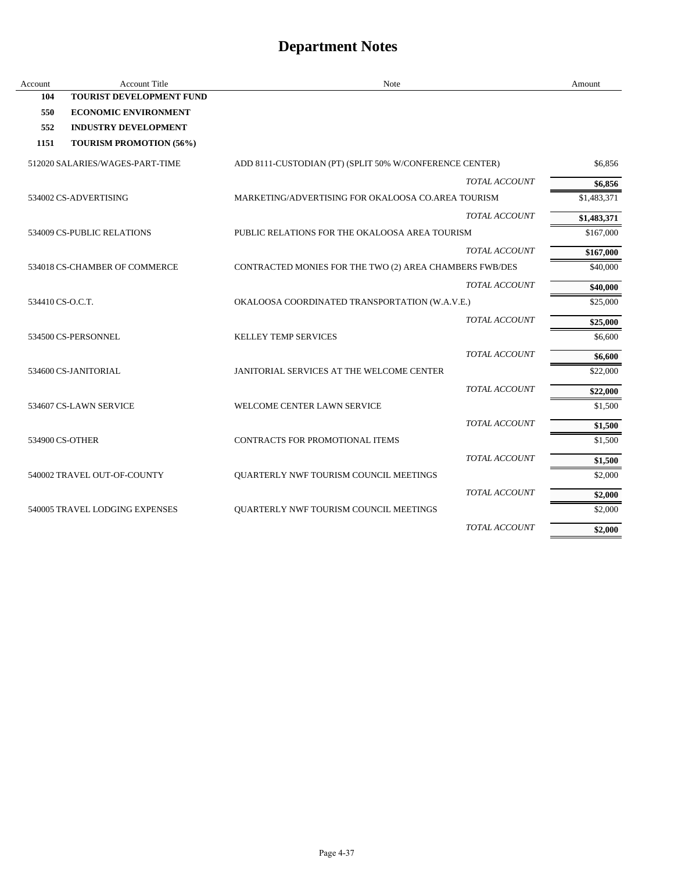| Account          | <b>Account Title</b>            | Note                                                    | Amount      |
|------------------|---------------------------------|---------------------------------------------------------|-------------|
| 104              | TOURIST DEVELOPMENT FUND        |                                                         |             |
| 550              | <b>ECONOMIC ENVIRONMENT</b>     |                                                         |             |
| 552              | <b>INDUSTRY DEVELOPMENT</b>     |                                                         |             |
| 1151             | <b>TOURISM PROMOTION (56%)</b>  |                                                         |             |
|                  | 512020 SALARIES/WAGES-PART-TIME | ADD 8111-CUSTODIAN (PT) (SPLIT 50% W/CONFERENCE CENTER) | \$6,856     |
|                  |                                 | <b>TOTAL ACCOUNT</b>                                    | \$6,856     |
|                  | 534002 CS-ADVERTISING           | MARKETING/ADVERTISING FOR OKALOOSA CO.AREA TOURISM      | \$1,483,371 |
|                  |                                 | <b>TOTAL ACCOUNT</b>                                    | \$1,483,371 |
|                  | 534009 CS-PUBLIC RELATIONS      | PUBLIC RELATIONS FOR THE OKALOOSA AREA TOURISM          | \$167,000   |
|                  |                                 | <b>TOTAL ACCOUNT</b>                                    | \$167,000   |
|                  | 534018 CS-CHAMBER OF COMMERCE   | CONTRACTED MONIES FOR THE TWO (2) AREA CHAMBERS FWB/DES | \$40,000    |
|                  |                                 | <b>TOTAL ACCOUNT</b>                                    | \$40,000    |
| 534410 CS-O.C.T. |                                 | OKALOOSA COORDINATED TRANSPORTATION (W.A.V.E.)          | \$25,000    |
|                  |                                 | <b>TOTAL ACCOUNT</b>                                    | \$25,000    |
|                  | 534500 CS-PERSONNEL             | <b>KELLEY TEMP SERVICES</b>                             | \$6,600     |
|                  |                                 | <b>TOTAL ACCOUNT</b>                                    | \$6,600     |
|                  | 534600 CS-JANITORIAL            | JANITORIAL SERVICES AT THE WELCOME CENTER               | \$22,000    |
|                  |                                 | <b>TOTAL ACCOUNT</b>                                    | \$22,000    |
|                  | 534607 CS-LAWN SERVICE          | WELCOME CENTER LAWN SERVICE                             | \$1,500     |
|                  |                                 | TOTAL ACCOUNT                                           | \$1,500     |
|                  | 534900 CS-OTHER                 | CONTRACTS FOR PROMOTIONAL ITEMS                         | \$1,500     |
|                  |                                 | TOTAL ACCOUNT                                           | \$1,500     |
|                  | 540002 TRAVEL OUT-OF-COUNTY     | QUARTERLY NWF TOURISM COUNCIL MEETINGS                  | \$2,000     |
|                  |                                 | <b>TOTAL ACCOUNT</b>                                    | \$2,000     |
|                  | 540005 TRAVEL LODGING EXPENSES  | QUARTERLY NWF TOURISM COUNCIL MEETINGS                  | \$2,000     |
|                  |                                 | <b>TOTAL ACCOUNT</b>                                    | \$2,000     |
|                  |                                 |                                                         |             |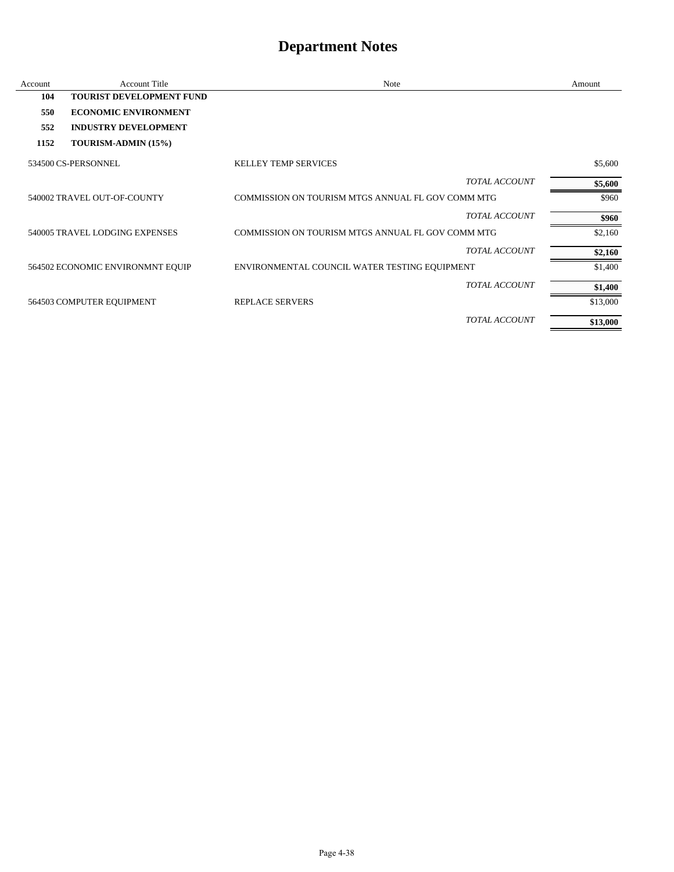| Account | <b>Account Title</b>             | Note                                              | Amount   |
|---------|----------------------------------|---------------------------------------------------|----------|
| 104     | <b>TOURIST DEVELOPMENT FUND</b>  |                                                   |          |
| 550     | <b>ECONOMIC ENVIRONMENT</b>      |                                                   |          |
| 552     | <b>INDUSTRY DEVELOPMENT</b>      |                                                   |          |
| 1152    | TOURISM-ADMIN (15%)              |                                                   |          |
|         | 534500 CS-PERSONNEL              | <b>KELLEY TEMP SERVICES</b>                       | \$5,600  |
|         |                                  | <b>TOTAL ACCOUNT</b>                              | \$5,600  |
|         | 540002 TRAVEL OUT-OF-COUNTY      | COMMISSION ON TOURISM MTGS ANNUAL FL GOV COMM MTG | \$960    |
|         |                                  | <b>TOTAL ACCOUNT</b>                              | \$960    |
|         | 540005 TRAVEL LODGING EXPENSES   | COMMISSION ON TOURISM MTGS ANNUAL FL GOV COMM MTG | \$2,160  |
|         |                                  | <b>TOTAL ACCOUNT</b>                              | \$2,160  |
|         | 564502 ECONOMIC ENVIRONMNT EQUIP | ENVIRONMENTAL COUNCIL WATER TESTING EQUIPMENT     | \$1,400  |
|         |                                  | <b>TOTAL ACCOUNT</b>                              | \$1,400  |
|         | 564503 COMPUTER EQUIPMENT        | <b>REPLACE SERVERS</b>                            | \$13,000 |
|         |                                  | <b>TOTAL ACCOUNT</b>                              | \$13,000 |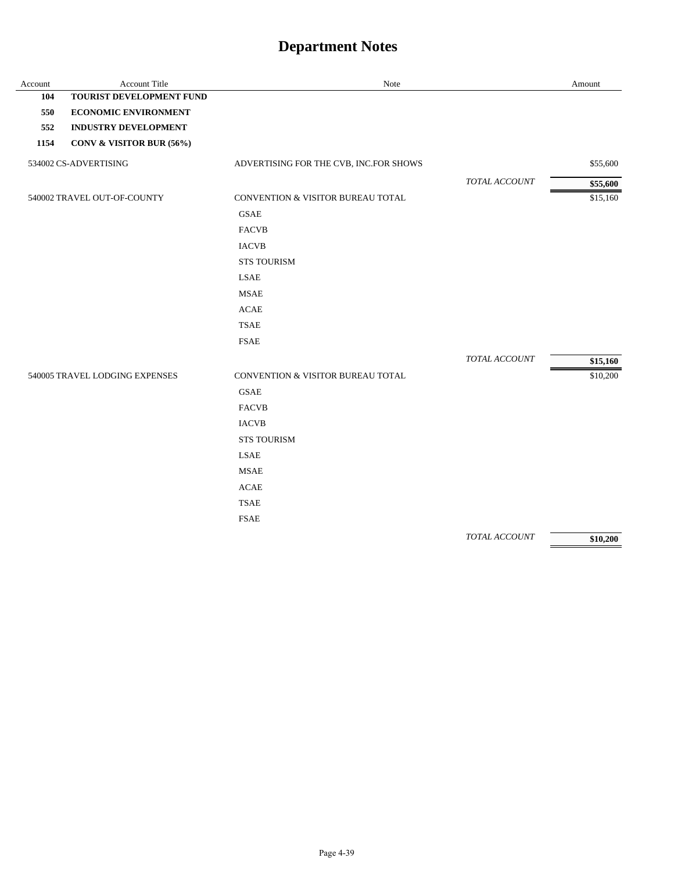| Account | Account Title                  | Note                                   |                      | Amount   |
|---------|--------------------------------|----------------------------------------|----------------------|----------|
| 104     | TOURIST DEVELOPMENT FUND       |                                        |                      |          |
| 550     | <b>ECONOMIC ENVIRONMENT</b>    |                                        |                      |          |
| 552     | <b>INDUSTRY DEVELOPMENT</b>    |                                        |                      |          |
| 1154    | CONV & VISITOR BUR (56%)       |                                        |                      |          |
|         | 534002 CS-ADVERTISING          | ADVERTISING FOR THE CVB, INC.FOR SHOWS |                      | \$55,600 |
|         |                                |                                        | <b>TOTAL ACCOUNT</b> | \$55,600 |
|         | 540002 TRAVEL OUT-OF-COUNTY    | CONVENTION & VISITOR BUREAU TOTAL      |                      | \$15,160 |
|         |                                | <b>GSAE</b>                            |                      |          |
|         |                                | <b>FACVB</b>                           |                      |          |
|         |                                | <b>IACVB</b>                           |                      |          |
|         |                                | <b>STS TOURISM</b>                     |                      |          |
|         |                                | <b>LSAE</b>                            |                      |          |
|         |                                | <b>MSAE</b>                            |                      |          |
|         |                                | <b>ACAE</b>                            |                      |          |
|         |                                | <b>TSAE</b>                            |                      |          |
|         |                                | <b>FSAE</b>                            |                      |          |
|         |                                |                                        | TOTAL ACCOUNT        | \$15,160 |
|         | 540005 TRAVEL LODGING EXPENSES | CONVENTION & VISITOR BUREAU TOTAL      |                      | \$10,200 |
|         |                                | <b>GSAE</b>                            |                      |          |
|         |                                | <b>FACVB</b>                           |                      |          |
|         |                                | <b>IACVB</b>                           |                      |          |
|         |                                | <b>STS TOURISM</b>                     |                      |          |
|         |                                | <b>LSAE</b>                            |                      |          |
|         |                                | <b>MSAE</b>                            |                      |          |
|         |                                | <b>ACAE</b>                            |                      |          |
|         |                                | <b>TSAE</b>                            |                      |          |
|         |                                | <b>FSAE</b>                            |                      |          |
|         |                                |                                        | TOTAL ACCOUNT        | \$10,200 |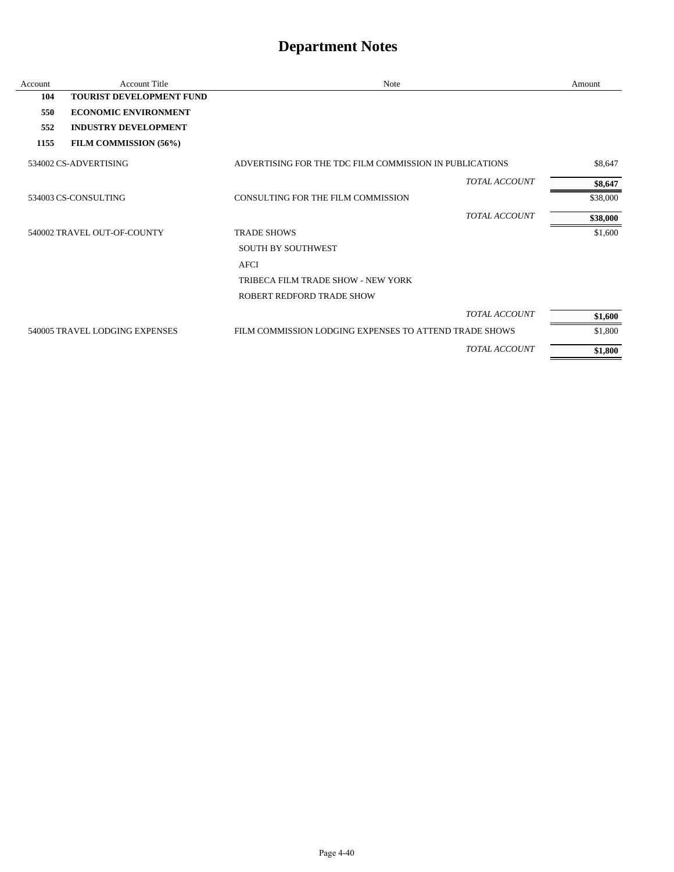| Account | <b>Account Title</b>            | Note                                                    | Amount   |
|---------|---------------------------------|---------------------------------------------------------|----------|
| 104     | <b>TOURIST DEVELOPMENT FUND</b> |                                                         |          |
| 550     | <b>ECONOMIC ENVIRONMENT</b>     |                                                         |          |
| 552     | <b>INDUSTRY DEVELOPMENT</b>     |                                                         |          |
| 1155    | FILM COMMISSION (56%)           |                                                         |          |
|         | 534002 CS-ADVERTISING           | ADVERTISING FOR THE TDC FILM COMMISSION IN PUBLICATIONS | \$8,647  |
|         |                                 | <b>TOTAL ACCOUNT</b>                                    | \$8,647  |
|         | 534003 CS-CONSULTING            | CONSULTING FOR THE FILM COMMISSION                      | \$38,000 |
|         |                                 | <b>TOTAL ACCOUNT</b>                                    | \$38,000 |
|         | 540002 TRAVEL OUT-OF-COUNTY     | <b>TRADE SHOWS</b>                                      | \$1,600  |
|         |                                 | <b>SOUTH BY SOUTHWEST</b>                               |          |
|         |                                 | <b>AFCI</b>                                             |          |
|         |                                 | TRIBECA FILM TRADE SHOW - NEW YORK                      |          |
|         |                                 | ROBERT REDFORD TRADE SHOW                               |          |
|         |                                 | <b>TOTAL ACCOUNT</b>                                    | \$1,600  |
|         | 540005 TRAVEL LODGING EXPENSES  | FILM COMMISSION LODGING EXPENSES TO ATTEND TRADE SHOWS  | \$1,800  |
|         |                                 | <b>TOTAL ACCOUNT</b>                                    | \$1,800  |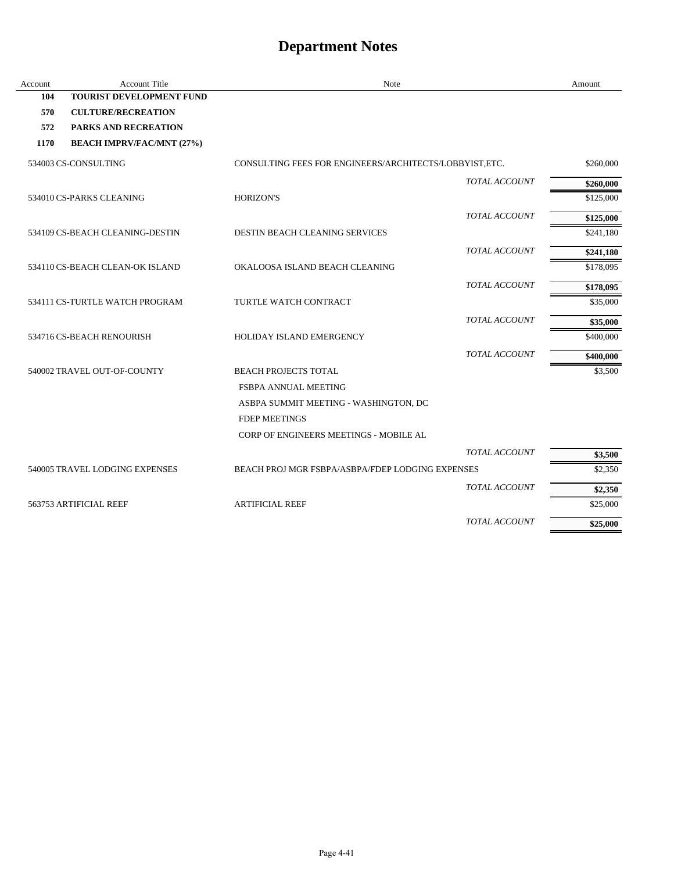| Account | <b>Account Title</b>             | Note                                                   |                      | Amount    |
|---------|----------------------------------|--------------------------------------------------------|----------------------|-----------|
| 104     | <b>TOURIST DEVELOPMENT FUND</b>  |                                                        |                      |           |
| 570     | <b>CULTURE/RECREATION</b>        |                                                        |                      |           |
| 572     | <b>PARKS AND RECREATION</b>      |                                                        |                      |           |
| 1170    | <b>BEACH IMPRV/FAC/MNT (27%)</b> |                                                        |                      |           |
|         | 534003 CS-CONSULTING             | CONSULTING FEES FOR ENGINEERS/ARCHITECTS/LOBBYIST.ETC. |                      | \$260,000 |
|         |                                  |                                                        | TOTAL ACCOUNT        | \$260,000 |
|         | 534010 CS-PARKS CLEANING         | <b>HORIZON'S</b>                                       |                      | \$125,000 |
|         |                                  |                                                        | TOTAL ACCOUNT        | \$125,000 |
|         | 534109 CS-BEACH CLEANING-DESTIN  | <b>DESTIN BEACH CLEANING SERVICES</b>                  |                      | \$241,180 |
|         |                                  |                                                        | TOTAL ACCOUNT        | \$241,180 |
|         | 534110 CS-BEACH CLEAN-OK ISLAND  | OKALOOSA ISLAND BEACH CLEANING                         |                      | \$178,095 |
|         |                                  |                                                        | TOTAL ACCOUNT        | \$178,095 |
|         | 534111 CS-TURTLE WATCH PROGRAM   | TURTLE WATCH CONTRACT                                  |                      | \$35,000  |
|         |                                  |                                                        | <b>TOTAL ACCOUNT</b> | \$35,000  |
|         | 534716 CS-BEACH RENOURISH        | HOLIDAY ISLAND EMERGENCY                               |                      | \$400,000 |
|         |                                  |                                                        | TOTAL ACCOUNT        | \$400,000 |
|         | 540002 TRAVEL OUT-OF-COUNTY      | <b>BEACH PROJECTS TOTAL</b>                            |                      | \$3,500   |
|         |                                  | <b>FSBPA ANNUAL MEETING</b>                            |                      |           |
|         |                                  | ASBPA SUMMIT MEETING - WASHINGTON, DC                  |                      |           |
|         |                                  | <b>FDEP MEETINGS</b>                                   |                      |           |
|         |                                  | CORP OF ENGINEERS MEETINGS - MOBILE AL                 |                      |           |
|         |                                  |                                                        | <b>TOTAL ACCOUNT</b> | \$3,500   |
|         | 540005 TRAVEL LODGING EXPENSES   | BEACH PROJ MGR FSBPA/ASBPA/FDEP LODGING EXPENSES       |                      | \$2,350   |
|         |                                  |                                                        | <b>TOTAL ACCOUNT</b> | \$2,350   |
|         | 563753 ARTIFICIAL REEF           | <b>ARTIFICIAL REEF</b>                                 |                      | \$25,000  |
|         |                                  |                                                        | <b>TOTAL ACCOUNT</b> | \$25,000  |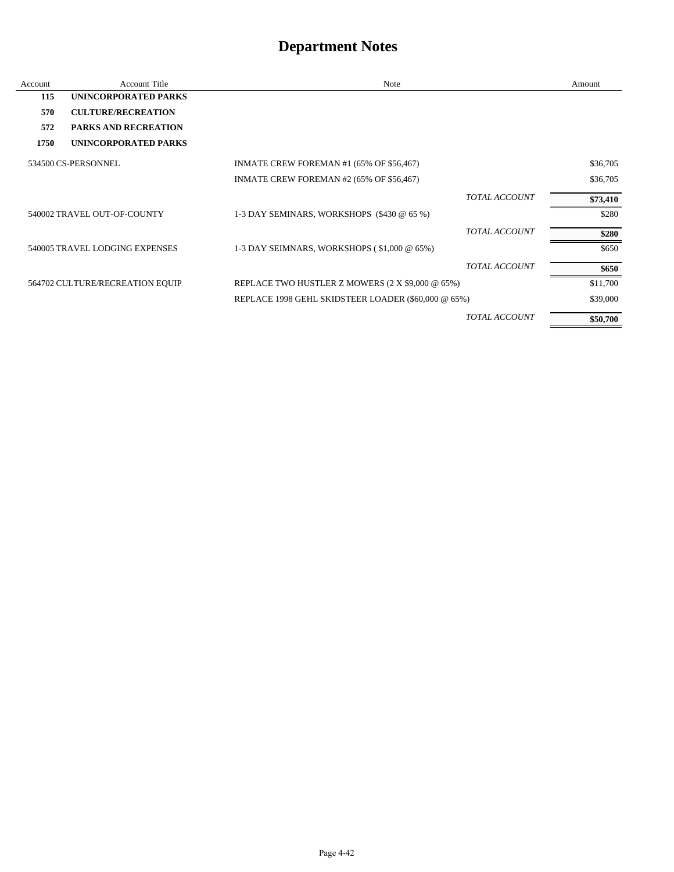| Account | <b>Account Title</b>            | Note                                                |                      | Amount   |
|---------|---------------------------------|-----------------------------------------------------|----------------------|----------|
| 115     | UNINCORPORATED PARKS            |                                                     |                      |          |
| 570     | <b>CULTURE/RECREATION</b>       |                                                     |                      |          |
| 572     | <b>PARKS AND RECREATION</b>     |                                                     |                      |          |
| 1750    | UNINCORPORATED PARKS            |                                                     |                      |          |
|         | 534500 CS-PERSONNEL             | INMATE CREW FOREMAN #1 (65% OF \$56,467)            |                      | \$36,705 |
|         |                                 | INMATE CREW FOREMAN #2 (65% OF \$56,467)            |                      | \$36,705 |
|         |                                 |                                                     | <b>TOTAL ACCOUNT</b> | \$73,410 |
|         | 540002 TRAVEL OUT-OF-COUNTY     | 1-3 DAY SEMINARS, WORKSHOPS (\$430 @ 65 %)          |                      | \$280    |
|         |                                 |                                                     | <b>TOTAL ACCOUNT</b> | \$280    |
|         | 540005 TRAVEL LODGING EXPENSES  | 1-3 DAY SEIMNARS, WORKSHOPS (\$1,000 @ 65%)         |                      | \$650    |
|         |                                 |                                                     | <b>TOTAL ACCOUNT</b> | \$650    |
|         | 564702 CULTURE/RECREATION EQUIP | REPLACE TWO HUSTLER Z MOWERS (2 X \$9,000 @ 65%)    |                      | \$11,700 |
|         |                                 | REPLACE 1998 GEHL SKIDSTEER LOADER (\$60,000 @ 65%) |                      | \$39,000 |
|         |                                 |                                                     | <b>TOTAL ACCOUNT</b> | \$50,700 |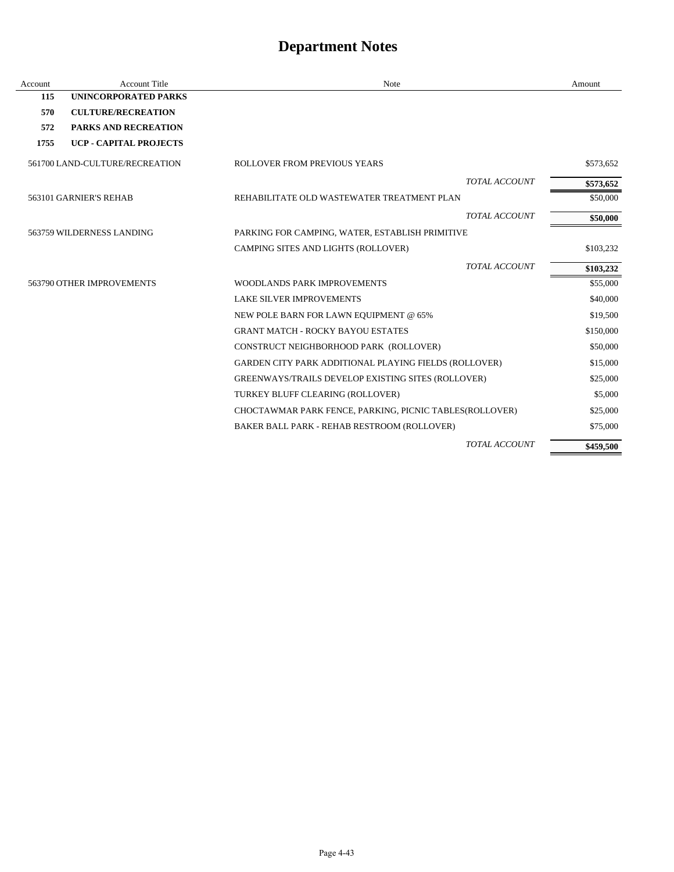| Account | <b>Account Title</b>           | Note                                                         | Amount    |
|---------|--------------------------------|--------------------------------------------------------------|-----------|
| 115     | <b>UNINCORPORATED PARKS</b>    |                                                              |           |
| 570     | <b>CULTURE/RECREATION</b>      |                                                              |           |
| 572     | PARKS AND RECREATION           |                                                              |           |
| 1755    | <b>UCP - CAPITAL PROJECTS</b>  |                                                              |           |
|         | 561700 LAND-CULTURE/RECREATION | ROLLOVER FROM PREVIOUS YEARS                                 | \$573,652 |
|         |                                | TOTAL ACCOUNT                                                | \$573,652 |
|         | 563101 GARNIER'S REHAB         | REHABILITATE OLD WASTEWATER TREATMENT PLAN                   | \$50,000  |
|         |                                | <b>TOTAL ACCOUNT</b>                                         | \$50,000  |
|         | 563759 WILDERNESS LANDING      | PARKING FOR CAMPING, WATER, ESTABLISH PRIMITIVE              |           |
|         |                                | CAMPING SITES AND LIGHTS (ROLLOVER)                          | \$103,232 |
|         |                                | <b>TOTAL ACCOUNT</b>                                         | \$103,232 |
|         | 563790 OTHER IMPROVEMENTS      | <b>WOODLANDS PARK IMPROVEMENTS</b>                           | \$55,000  |
|         |                                | <b>LAKE SILVER IMPROVEMENTS</b>                              | \$40,000  |
|         |                                | NEW POLE BARN FOR LAWN EQUIPMENT @ 65%                       | \$19,500  |
|         |                                | <b>GRANT MATCH - ROCKY BAYOU ESTATES</b>                     | \$150,000 |
|         |                                | CONSTRUCT NEIGHBORHOOD PARK (ROLLOVER)                       | \$50,000  |
|         |                                | <b>GARDEN CITY PARK ADDITIONAL PLAYING FIELDS (ROLLOVER)</b> | \$15,000  |
|         |                                | GREENWAYS/TRAILS DEVELOP EXISTING SITES (ROLLOVER)           | \$25,000  |
|         |                                | TURKEY BLUFF CLEARING (ROLLOVER)                             | \$5,000   |
|         |                                | CHOCTAWMAR PARK FENCE, PARKING, PICNIC TABLES(ROLLOVER)      | \$25,000  |
|         |                                | BAKER BALL PARK - REHAB RESTROOM (ROLLOVER)                  | \$75,000  |
|         |                                | <b>TOTAL ACCOUNT</b>                                         | \$459,500 |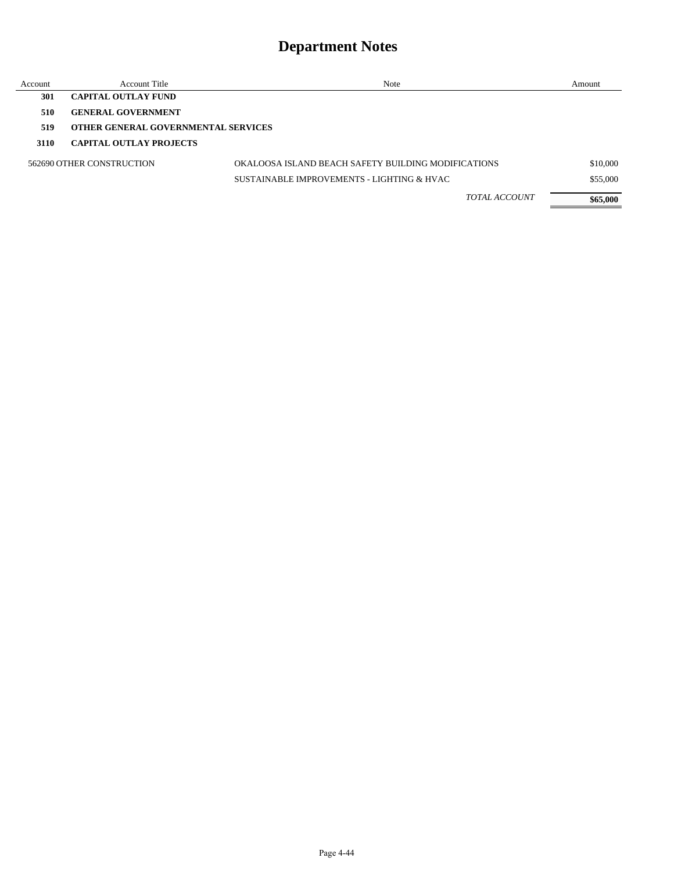| Account | <b>Account Title</b>                       | Note                                                | Amount   |
|---------|--------------------------------------------|-----------------------------------------------------|----------|
| 301     | <b>CAPITAL OUTLAY FUND</b>                 |                                                     |          |
| 510     | <b>GENERAL GOVERNMENT</b>                  |                                                     |          |
| 519     | <b>OTHER GENERAL GOVERNMENTAL SERVICES</b> |                                                     |          |
| 3110    | <b>CAPITAL OUTLAY PROJECTS</b>             |                                                     |          |
|         | 562690 OTHER CONSTRUCTION                  | OKALOOSA ISLAND BEACH SAFETY BUILDING MODIFICATIONS | \$10,000 |
|         |                                            | SUSTAINABLE IMPROVEMENTS - LIGHTING & HVAC          | \$55,000 |
|         |                                            | <b>TOTAL ACCOUNT</b>                                | \$65,000 |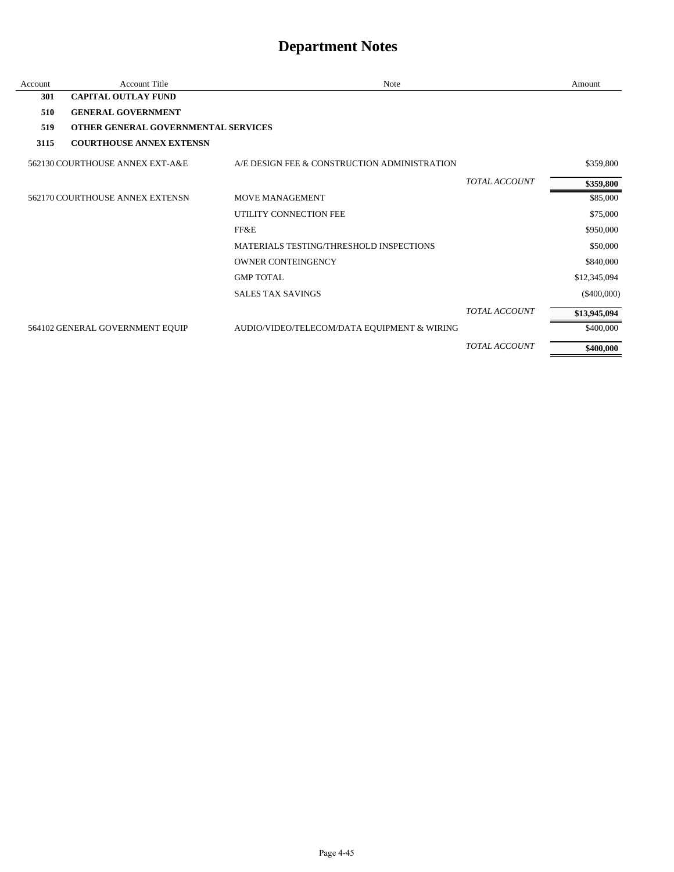| Account | <b>Account Title</b>                       | Note                                         |                      | Amount        |
|---------|--------------------------------------------|----------------------------------------------|----------------------|---------------|
| 301     | <b>CAPITAL OUTLAY FUND</b>                 |                                              |                      |               |
| 510     | <b>GENERAL GOVERNMENT</b>                  |                                              |                      |               |
| 519     | <b>OTHER GENERAL GOVERNMENTAL SERVICES</b> |                                              |                      |               |
| 3115    | <b>COURTHOUSE ANNEX EXTENSN</b>            |                                              |                      |               |
|         | 562130 COURTHOUSE ANNEX EXT-A&E            | A/E DESIGN FEE & CONSTRUCTION ADMINISTRATION |                      | \$359,800     |
|         |                                            |                                              | <b>TOTAL ACCOUNT</b> | \$359,800     |
|         | 562170 COURTHOUSE ANNEX EXTENSN            | MOVE MANAGEMENT                              |                      | \$85,000      |
|         |                                            | UTILITY CONNECTION FEE                       |                      | \$75,000      |
|         |                                            | FF&E                                         |                      | \$950,000     |
|         |                                            | MATERIALS TESTING/THRESHOLD INSPECTIONS      |                      | \$50,000      |
|         |                                            | <b>OWNER CONTEINGENCY</b>                    |                      | \$840,000     |
|         |                                            | <b>GMP TOTAL</b>                             |                      | \$12,345,094  |
|         |                                            | <b>SALES TAX SAVINGS</b>                     |                      | $(\$400,000)$ |
|         |                                            |                                              | <b>TOTAL ACCOUNT</b> | \$13,945,094  |
|         | 564102 GENERAL GOVERNMENT EQUIP            | AUDIO/VIDEO/TELECOM/DATA EQUIPMENT & WIRING  |                      | \$400,000     |
|         |                                            |                                              | TOTAL ACCOUNT        | \$400,000     |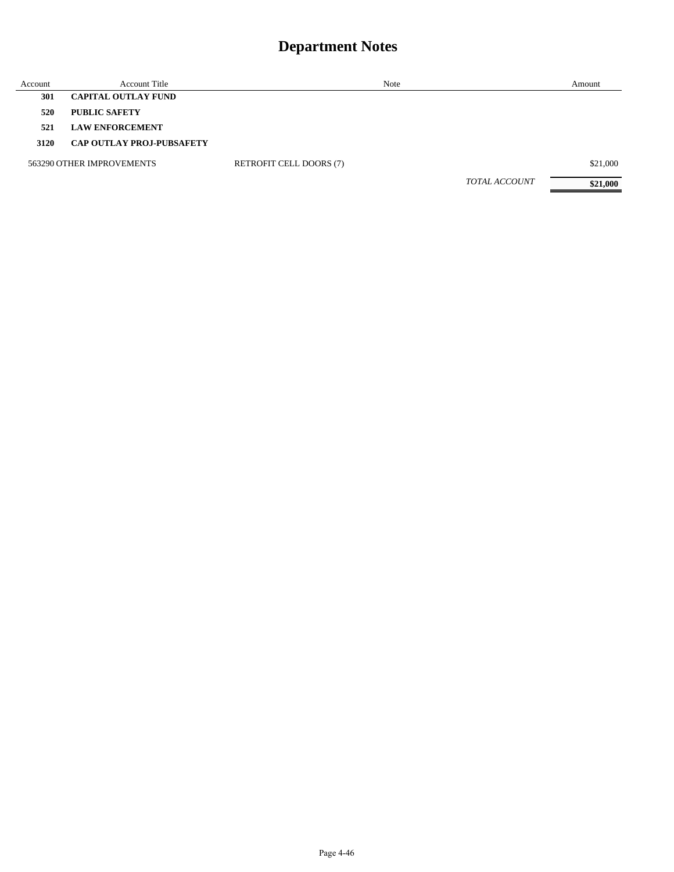| Account | <b>Account Title</b>             | Note                           |                      | Amount   |
|---------|----------------------------------|--------------------------------|----------------------|----------|
| 301     | <b>CAPITAL OUTLAY FUND</b>       |                                |                      |          |
| 520     | <b>PUBLIC SAFETY</b>             |                                |                      |          |
| 521     | <b>LAW ENFORCEMENT</b>           |                                |                      |          |
| 3120    | <b>CAP OUTLAY PROJ-PUBSAFETY</b> |                                |                      |          |
|         | 563290 OTHER IMPROVEMENTS        | <b>RETROFIT CELL DOORS (7)</b> |                      | \$21,000 |
|         |                                  |                                | <b>TOTAL ACCOUNT</b> | \$21,000 |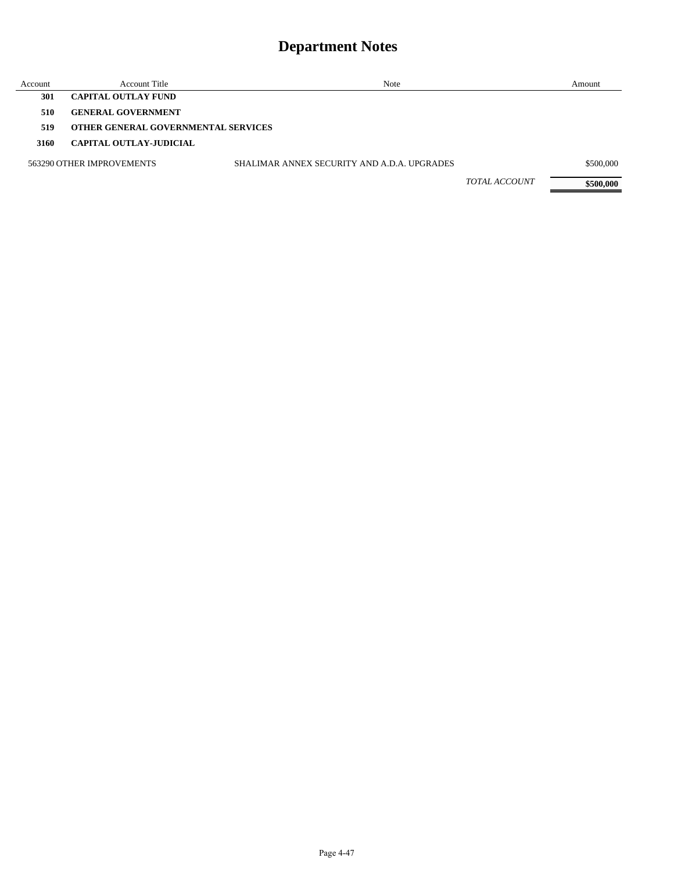| Account | <b>Account Title</b>                       | Note                                        |                      | Amount    |
|---------|--------------------------------------------|---------------------------------------------|----------------------|-----------|
| 301     | <b>CAPITAL OUTLAY FUND</b>                 |                                             |                      |           |
| 510     | <b>GENERAL GOVERNMENT</b>                  |                                             |                      |           |
| 519     | <b>OTHER GENERAL GOVERNMENTAL SERVICES</b> |                                             |                      |           |
| 3160    | CAPITAL OUTLAY-JUDICIAL                    |                                             |                      |           |
|         | 563290 OTHER IMPROVEMENTS                  | SHALIMAR ANNEX SECURITY AND A.D.A. UPGRADES |                      | \$500,000 |
|         |                                            |                                             | <i>TOTAL ACCOUNT</i> | \$500,000 |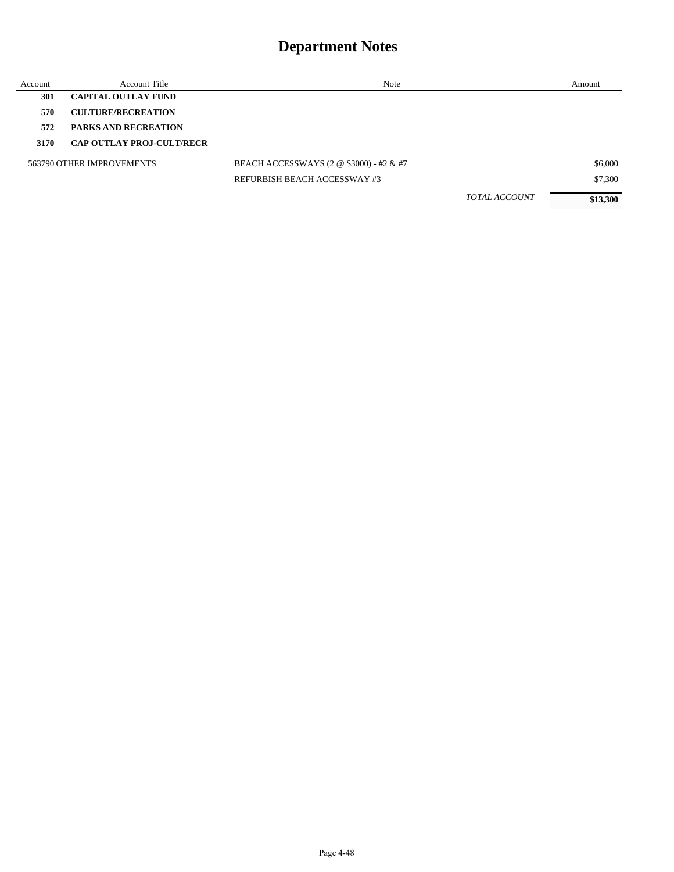| Account | <b>Account Title</b>             | Note                                    | Amount   |
|---------|----------------------------------|-----------------------------------------|----------|
| 301     | <b>CAPITAL OUTLAY FUND</b>       |                                         |          |
| 570     | <b>CULTURE/RECREATION</b>        |                                         |          |
| 572     | <b>PARKS AND RECREATION</b>      |                                         |          |
| 3170    | <b>CAP OUTLAY PROJ-CULT/RECR</b> |                                         |          |
|         | 563790 OTHER IMPROVEMENTS        | BEACH ACCESSWAYS (2 @ \$3000) - #2 & #7 | \$6,000  |
|         |                                  | REFURBISH BEACH ACCESSWAY #3            | \$7,300  |
|         |                                  | <b>TOTAL ACCOUNT</b>                    | \$13,300 |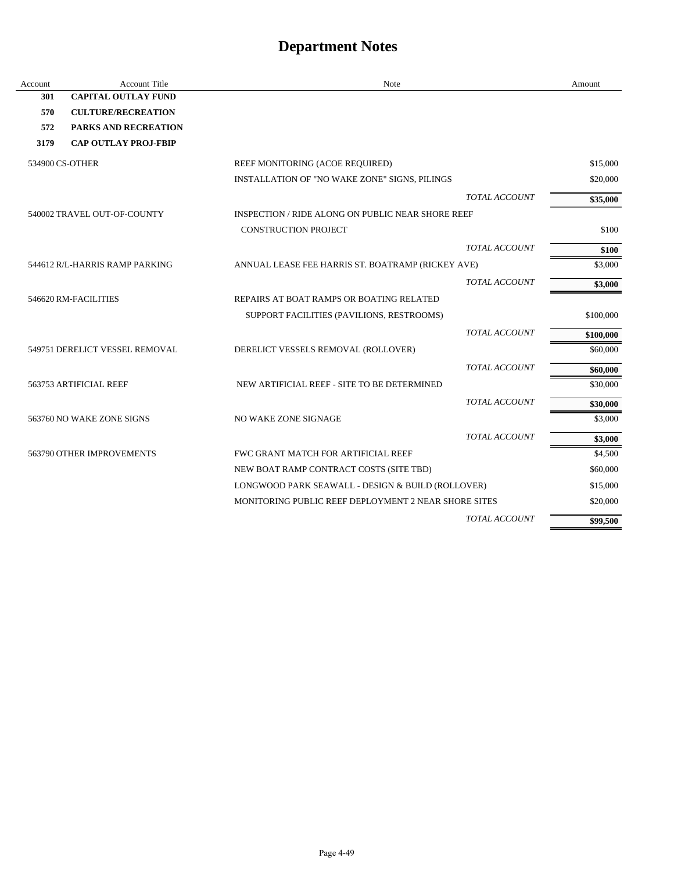| Account | <b>Account Title</b>           | Note                                                 | Amount    |
|---------|--------------------------------|------------------------------------------------------|-----------|
| 301     | <b>CAPITAL OUTLAY FUND</b>     |                                                      |           |
| 570     | <b>CULTURE/RECREATION</b>      |                                                      |           |
| 572     | PARKS AND RECREATION           |                                                      |           |
| 3179    | <b>CAP OUTLAY PROJ-FBIP</b>    |                                                      |           |
|         | 534900 CS-OTHER                | REEF MONITORING (ACOE REQUIRED)                      | \$15,000  |
|         |                                | INSTALLATION OF "NO WAKE ZONE" SIGNS, PILINGS        | \$20,000  |
|         |                                | <b>TOTAL ACCOUNT</b>                                 | \$35,000  |
|         | 540002 TRAVEL OUT-OF-COUNTY    | INSPECTION / RIDE ALONG ON PUBLIC NEAR SHORE REEF    |           |
|         |                                | <b>CONSTRUCTION PROJECT</b>                          | \$100     |
|         |                                | <b>TOTAL ACCOUNT</b>                                 | \$100     |
|         | 544612 R/L-HARRIS RAMP PARKING | ANNUAL LEASE FEE HARRIS ST. BOATRAMP (RICKEY AVE)    | \$3,000   |
|         |                                | TOTAL ACCOUNT                                        | \$3,000   |
|         | 546620 RM-FACILITIES           | REPAIRS AT BOAT RAMPS OR BOATING RELATED             |           |
|         |                                | SUPPORT FACILITIES (PAVILIONS, RESTROOMS)            | \$100,000 |
|         |                                | TOTAL ACCOUNT                                        | \$100,000 |
|         | 549751 DERELICT VESSEL REMOVAL | DERELICT VESSELS REMOVAL (ROLLOVER)                  | \$60,000  |
|         |                                | <b>TOTAL ACCOUNT</b>                                 | \$60,000  |
|         | 563753 ARTIFICIAL REEF         | NEW ARTIFICIAL REEF - SITE TO BE DETERMINED          | \$30,000  |
|         |                                | <b>TOTAL ACCOUNT</b>                                 | \$30,000  |
|         | 563760 NO WAKE ZONE SIGNS      | NO WAKE ZONE SIGNAGE                                 | \$3,000   |
|         |                                | <b>TOTAL ACCOUNT</b>                                 | \$3,000   |
|         | 563790 OTHER IMPROVEMENTS      | FWC GRANT MATCH FOR ARTIFICIAL REEF                  | \$4,500   |
|         |                                | NEW BOAT RAMP CONTRACT COSTS (SITE TBD)              | \$60,000  |
|         |                                | LONGWOOD PARK SEAWALL - DESIGN & BUILD (ROLLOVER)    | \$15,000  |
|         |                                | MONITORING PUBLIC REEF DEPLOYMENT 2 NEAR SHORE SITES | \$20,000  |
|         |                                | <b>TOTAL ACCOUNT</b>                                 | \$99,500  |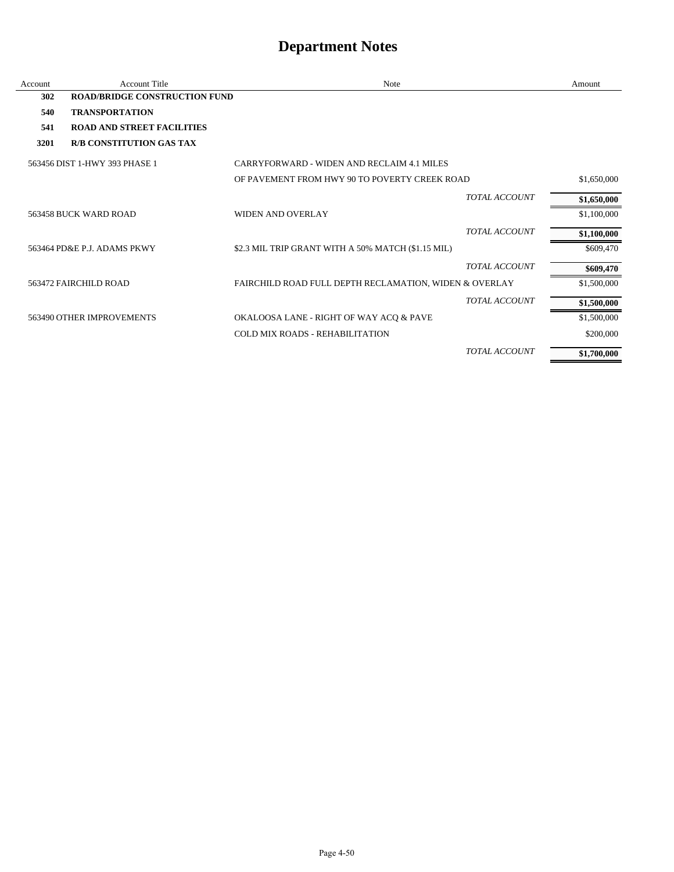| Account | <b>Account Title</b>                 | <b>Note</b>                                            |                      | Amount      |
|---------|--------------------------------------|--------------------------------------------------------|----------------------|-------------|
| 302     | <b>ROAD/BRIDGE CONSTRUCTION FUND</b> |                                                        |                      |             |
| 540     | <b>TRANSPORTATION</b>                |                                                        |                      |             |
| 541     | <b>ROAD AND STREET FACILITIES</b>    |                                                        |                      |             |
| 3201    | <b>R/B CONSTITUTION GAS TAX</b>      |                                                        |                      |             |
|         | 563456 DIST 1-HWY 393 PHASE 1        | CARRYFORWARD - WIDEN AND RECLAIM 4.1 MILES             |                      |             |
|         |                                      | OF PAVEMENT FROM HWY 90 TO POVERTY CREEK ROAD          |                      | \$1,650,000 |
|         |                                      |                                                        | <b>TOTAL ACCOUNT</b> | \$1,650,000 |
|         | 563458 BUCK WARD ROAD                | <b>WIDEN AND OVERLAY</b>                               |                      | \$1,100,000 |
|         |                                      |                                                        | <b>TOTAL ACCOUNT</b> | \$1,100,000 |
|         | 563464 PD&E P.J. ADAMS PKWY          | \$2.3 MIL TRIP GRANT WITH A 50% MATCH (\$1.15 MIL)     |                      | \$609,470   |
|         |                                      |                                                        | <b>TOTAL ACCOUNT</b> | \$609,470   |
|         | 563472 FAIRCHILD ROAD                | FAIRCHILD ROAD FULL DEPTH RECLAMATION, WIDEN & OVERLAY |                      | \$1,500,000 |
|         |                                      |                                                        | <b>TOTAL ACCOUNT</b> | \$1,500,000 |
|         | 563490 OTHER IMPROVEMENTS            | OKALOOSA LANE - RIGHT OF WAY ACQ & PAVE                |                      | \$1,500,000 |
|         |                                      | COLD MIX ROADS - REHABILITATION                        |                      | \$200,000   |
|         |                                      |                                                        | TOTAL ACCOUNT        | \$1,700,000 |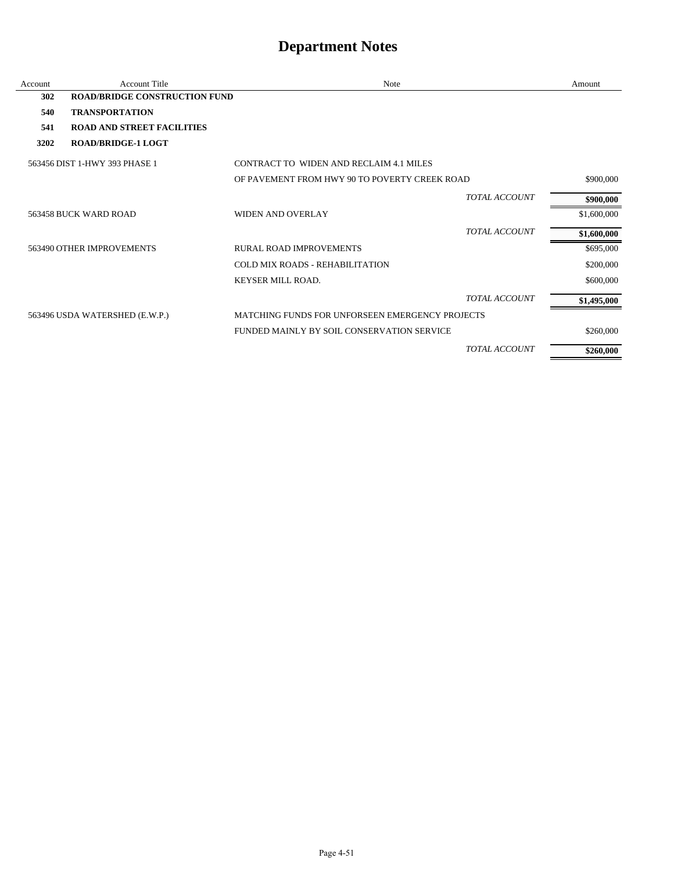| Account | <b>Account Title</b>                 | Note                                                   |                      | Amount      |
|---------|--------------------------------------|--------------------------------------------------------|----------------------|-------------|
| 302     | <b>ROAD/BRIDGE CONSTRUCTION FUND</b> |                                                        |                      |             |
| 540     | <b>TRANSPORTATION</b>                |                                                        |                      |             |
| 541     | <b>ROAD AND STREET FACILITIES</b>    |                                                        |                      |             |
| 3202    | <b>ROAD/BRIDGE-1 LOGT</b>            |                                                        |                      |             |
|         | 563456 DIST 1-HWY 393 PHASE 1        | CONTRACT TO WIDEN AND RECLAIM 4.1 MILES                |                      |             |
|         |                                      | OF PAVEMENT FROM HWY 90 TO POVERTY CREEK ROAD          |                      | \$900,000   |
|         |                                      |                                                        | <b>TOTAL ACCOUNT</b> | \$900,000   |
|         | 563458 BUCK WARD ROAD                | <b>WIDEN AND OVERLAY</b>                               |                      | \$1,600,000 |
|         |                                      |                                                        | <b>TOTAL ACCOUNT</b> | \$1,600,000 |
|         | 563490 OTHER IMPROVEMENTS            | <b>RURAL ROAD IMPROVEMENTS</b>                         |                      | \$695,000   |
|         |                                      | <b>COLD MIX ROADS - REHABILITATION</b>                 |                      | \$200,000   |
|         |                                      | <b>KEYSER MILL ROAD.</b>                               |                      | \$600,000   |
|         |                                      |                                                        | <b>TOTAL ACCOUNT</b> | \$1,495,000 |
|         | 563496 USDA WATERSHED (E.W.P.)       | <b>MATCHING FUNDS FOR UNFORSEEN EMERGENCY PROJECTS</b> |                      |             |
|         |                                      | FUNDED MAINLY BY SOIL CONSERVATION SERVICE             |                      | \$260,000   |
|         |                                      |                                                        | <b>TOTAL ACCOUNT</b> | \$260,000   |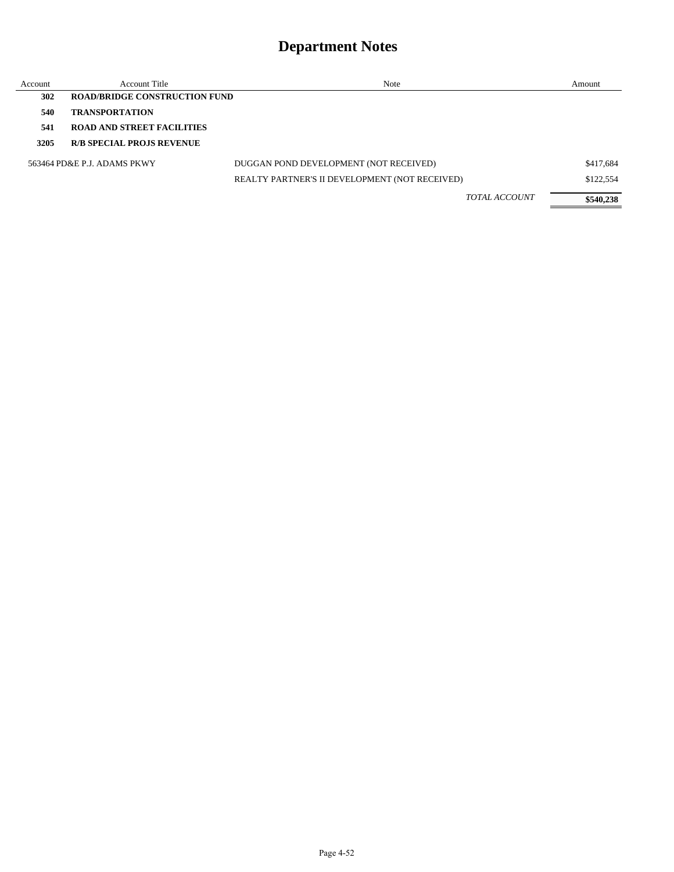| Account | Account Title                        | Note                                           | Amount    |
|---------|--------------------------------------|------------------------------------------------|-----------|
| 302     | <b>ROAD/BRIDGE CONSTRUCTION FUND</b> |                                                |           |
| 540     | <b>TRANSPORTATION</b>                |                                                |           |
| 541     | <b>ROAD AND STREET FACILITIES</b>    |                                                |           |
| 3205    | <b>R/B SPECIAL PROJS REVENUE</b>     |                                                |           |
|         | 563464 PD&E P.J. ADAMS PKWY          | DUGGAN POND DEVELOPMENT (NOT RECEIVED)         | \$417,684 |
|         |                                      | REALTY PARTNER'S II DEVELOPMENT (NOT RECEIVED) | \$122,554 |
|         |                                      | <b>TOTAL ACCOUNT</b>                           | \$540,238 |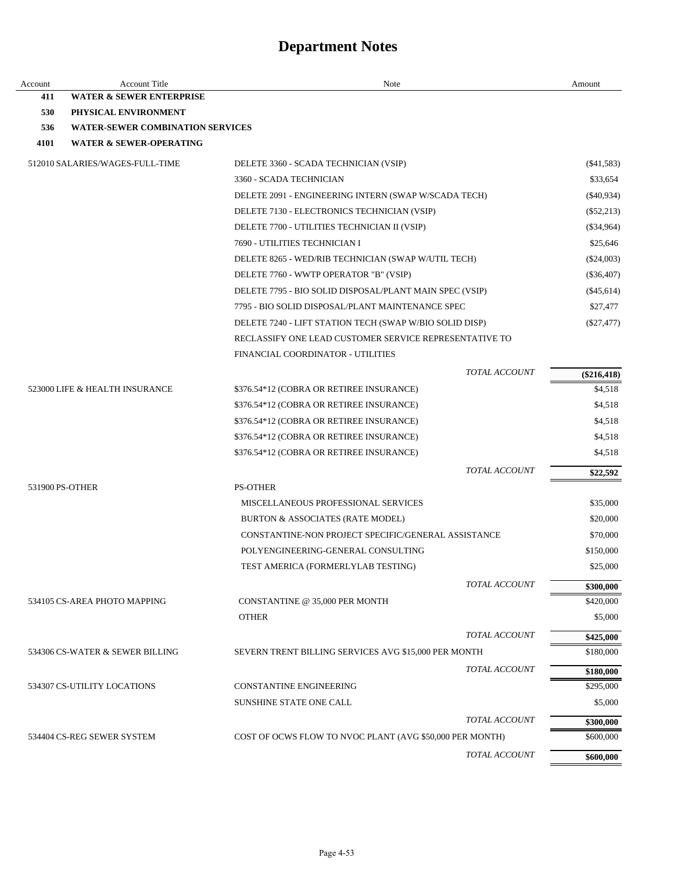| Account | <b>Account Title</b>                    | Note                                                     | Amount                 |
|---------|-----------------------------------------|----------------------------------------------------------|------------------------|
| 411     | <b>WATER &amp; SEWER ENTERPRISE</b>     |                                                          |                        |
| 530     | PHYSICAL ENVIRONMENT                    |                                                          |                        |
| 536     | <b>WATER-SEWER COMBINATION SERVICES</b> |                                                          |                        |
| 4101    | <b>WATER &amp; SEWER-OPERATING</b>      |                                                          |                        |
|         | 512010 SALARIES/WAGES-FULL-TIME         | DELETE 3360 - SCADA TECHNICIAN (VSIP)                    | $(\$41,583)$           |
|         |                                         | 3360 - SCADA TECHNICIAN                                  | \$33,654               |
|         |                                         | DELETE 2091 - ENGINEERING INTERN (SWAP W/SCADA TECH)     | $(\$40,934)$           |
|         |                                         | DELETE 7130 - ELECTRONICS TECHNICIAN (VSIP)              | $(\$52,213)$           |
|         |                                         | DELETE 7700 - UTILITIES TECHNICIAN II (VSIP)             | $(\$34,964)$           |
|         |                                         | 7690 - UTILITIES TECHNICIAN I                            | \$25,646               |
|         |                                         | DELETE 8265 - WED/RIB TECHNICIAN (SWAP W/UTIL TECH)      | $(\$24,003)$           |
|         |                                         | DELETE 7760 - WWTP OPERATOR "B" (VSIP)                   | $(\$36,407)$           |
|         |                                         | DELETE 7795 - BIO SOLID DISPOSAL/PLANT MAIN SPEC (VSIP)  | $(\$45,614)$           |
|         |                                         | 7795 - BIO SOLID DISPOSAL/PLANT MAINTENANCE SPEC         | \$27,477               |
|         |                                         | DELETE 7240 - LIFT STATION TECH (SWAP W/BIO SOLID DISP)  | $(\$27,477)$           |
|         |                                         | RECLASSIFY ONE LEAD CUSTOMER SERVICE REPRESENTATIVE TO   |                        |
|         |                                         | FINANCIAL COORDINATOR - UTILITIES                        |                        |
|         |                                         | <b>TOTAL ACCOUNT</b>                                     | $(\$216,418)$          |
|         | 523000 LIFE & HEALTH INSURANCE          | \$376.54*12 (COBRA OR RETIREE INSURANCE)                 | \$4,518                |
|         |                                         | \$376.54*12 (COBRA OR RETIREE INSURANCE)                 | \$4,518                |
|         |                                         | \$376.54*12 (COBRA OR RETIREE INSURANCE)                 | \$4,518                |
|         |                                         | \$376.54*12 (COBRA OR RETIREE INSURANCE)                 | \$4,518                |
|         |                                         | \$376.54*12 (COBRA OR RETIREE INSURANCE)                 | \$4,518                |
|         |                                         | TOTAL ACCOUNT                                            | \$22,592               |
|         | 531900 PS-OTHER                         | <b>PS-OTHER</b>                                          |                        |
|         |                                         | MISCELLANEOUS PROFESSIONAL SERVICES                      | \$35,000               |
|         |                                         | BURTON & ASSOCIATES (RATE MODEL)                         | \$20,000               |
|         |                                         | CONSTANTINE-NON PROJECT SPECIFIC/GENERAL ASSISTANCE      | \$70,000               |
|         |                                         | POLYENGINEERING-GENERAL CONSULTING                       | \$150,000              |
|         |                                         | TEST AMERICA (FORMERLYLAB TESTING)                       | \$25,000               |
|         |                                         | <b>TOTAL ACCOUNT</b>                                     | \$300,000              |
|         | 534105 CS-AREA PHOTO MAPPING            | CONSTANTINE @ 35,000 PER MONTH                           | \$420,000              |
|         |                                         | <b>OTHER</b>                                             | \$5,000                |
|         |                                         | TOTAL ACCOUNT                                            | \$425,000              |
|         | 534306 CS-WATER & SEWER BILLING         | SEVERN TRENT BILLING SERVICES AVG \$15,000 PER MONTH     | \$180,000              |
|         |                                         | TOTAL ACCOUNT                                            |                        |
|         |                                         |                                                          | \$180,000<br>\$295,000 |
|         | 534307 CS-UTILITY LOCATIONS             | CONSTANTINE ENGINEERING<br>SUNSHINE STATE ONE CALL       | \$5,000                |
|         |                                         |                                                          |                        |
|         |                                         | <b>TOTAL ACCOUNT</b>                                     | \$300,000              |
|         | 534404 CS-REG SEWER SYSTEM              | COST OF OCWS FLOW TO NVOC PLANT (AVG \$50,000 PER MONTH) | \$600,000              |
|         |                                         | TOTAL ACCOUNT                                            | \$600,000              |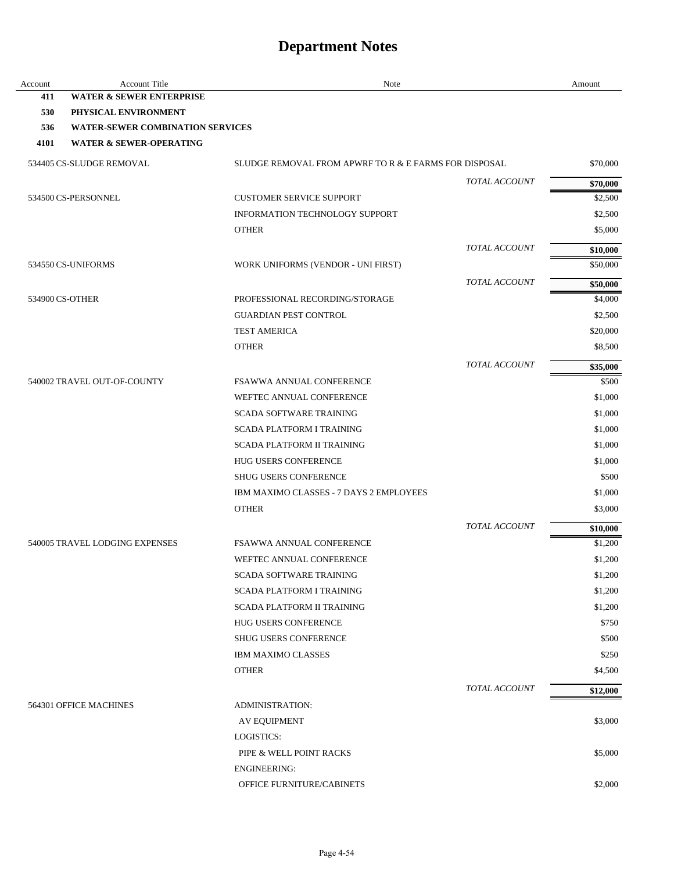| Account | <b>Account Title</b>                    | Note                                                  |                      | Amount              |
|---------|-----------------------------------------|-------------------------------------------------------|----------------------|---------------------|
| 411     | <b>WATER &amp; SEWER ENTERPRISE</b>     |                                                       |                      |                     |
| 530     | PHYSICAL ENVIRONMENT                    |                                                       |                      |                     |
| 536     | <b>WATER-SEWER COMBINATION SERVICES</b> |                                                       |                      |                     |
| 4101    | <b>WATER &amp; SEWER-OPERATING</b>      |                                                       |                      |                     |
|         | 534405 CS-SLUDGE REMOVAL                | SLUDGE REMOVAL FROM APWRF TO R & E FARMS FOR DISPOSAL |                      | \$70,000            |
|         |                                         |                                                       | TOTAL ACCOUNT        | \$70,000            |
|         | 534500 CS-PERSONNEL                     | <b>CUSTOMER SERVICE SUPPORT</b>                       |                      | \$2,500             |
|         |                                         | <b>INFORMATION TECHNOLOGY SUPPORT</b>                 |                      | \$2,500             |
|         |                                         | <b>OTHER</b>                                          |                      | \$5,000             |
|         |                                         |                                                       | TOTAL ACCOUNT        | \$10,000            |
|         | 534550 CS-UNIFORMS                      | WORK UNIFORMS (VENDOR - UNI FIRST)                    |                      | \$50,000            |
|         |                                         |                                                       | TOTAL ACCOUNT        | \$50,000            |
|         | 534900 CS-OTHER                         | PROFESSIONAL RECORDING/STORAGE                        |                      | \$4,000             |
|         |                                         | <b>GUARDIAN PEST CONTROL</b>                          |                      | \$2,500             |
|         |                                         | <b>TEST AMERICA</b>                                   |                      | \$20,000            |
|         |                                         | <b>OTHER</b>                                          |                      | \$8,500             |
|         |                                         |                                                       | <b>TOTAL ACCOUNT</b> | \$35,000            |
|         | 540002 TRAVEL OUT-OF-COUNTY             | <b>FSAWWA ANNUAL CONFERENCE</b>                       |                      | \$500               |
|         |                                         | WEFTEC ANNUAL CONFERENCE                              |                      | \$1,000             |
|         |                                         | <b>SCADA SOFTWARE TRAINING</b>                        |                      | \$1,000             |
|         |                                         | <b>SCADA PLATFORM I TRAINING</b>                      |                      | \$1,000             |
|         |                                         | <b>SCADA PLATFORM II TRAINING</b>                     |                      | \$1,000             |
|         |                                         | HUG USERS CONFERENCE                                  |                      | \$1,000             |
|         |                                         | <b>SHUG USERS CONFERENCE</b>                          |                      | \$500               |
|         |                                         | IBM MAXIMO CLASSES - 7 DAYS 2 EMPLOYEES               |                      | \$1,000             |
|         |                                         | <b>OTHER</b>                                          |                      | \$3,000             |
|         |                                         |                                                       | TOTAL ACCOUNT        |                     |
|         | 540005 TRAVEL LODGING EXPENSES          | FSAWWA ANNUAL CONFERENCE                              |                      | \$10,000<br>\$1,200 |
|         |                                         | WEFTEC ANNUAL CONFERENCE                              |                      |                     |
|         |                                         |                                                       |                      | \$1,200             |
|         |                                         | SCADA SOFTWARE TRAINING                               |                      | \$1,200             |
|         |                                         | <b>SCADA PLATFORM I TRAINING</b>                      |                      | \$1,200             |
|         |                                         | <b>SCADA PLATFORM II TRAINING</b>                     |                      | \$1,200             |
|         |                                         | HUG USERS CONFERENCE                                  |                      | \$750               |
|         |                                         | <b>SHUG USERS CONFERENCE</b>                          |                      | \$500               |
|         |                                         | IBM MAXIMO CLASSES                                    |                      | \$250               |
|         |                                         | <b>OTHER</b>                                          |                      | \$4,500             |
|         |                                         |                                                       | <b>TOTAL ACCOUNT</b> | \$12,000            |
|         | 564301 OFFICE MACHINES                  | <b>ADMINISTRATION:</b>                                |                      |                     |
|         |                                         | <b>AV EQUIPMENT</b>                                   |                      | \$3,000             |
|         |                                         | LOGISTICS:                                            |                      |                     |
|         |                                         | PIPE & WELL POINT RACKS                               |                      | \$5,000             |
|         |                                         | <b>ENGINEERING:</b>                                   |                      |                     |
|         |                                         | OFFICE FURNITURE/CABINETS                             |                      | \$2,000             |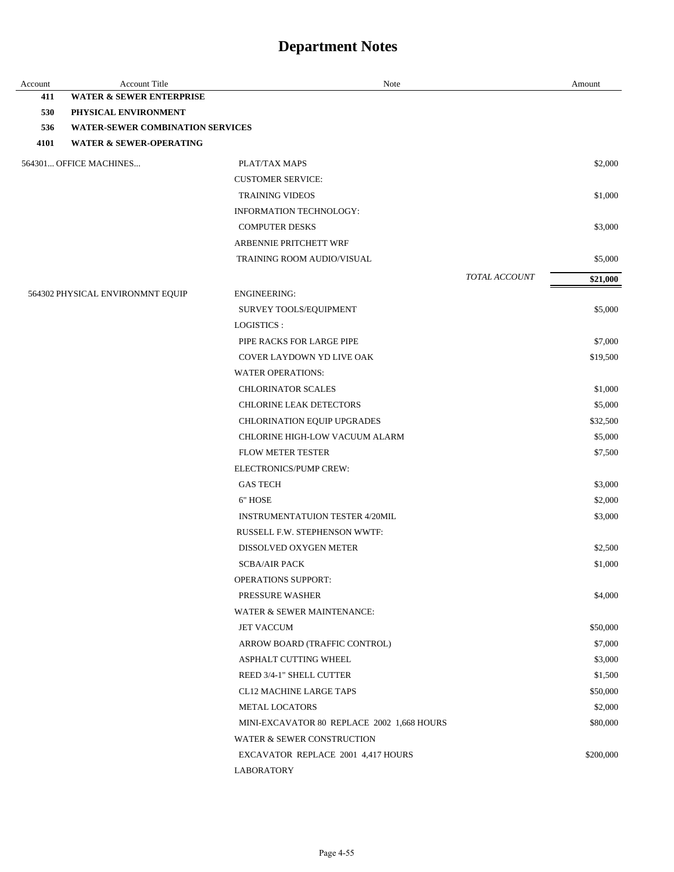| Account | <b>Account Title</b>                    | Note                                       |               | Amount    |
|---------|-----------------------------------------|--------------------------------------------|---------------|-----------|
| 411     | <b>WATER &amp; SEWER ENTERPRISE</b>     |                                            |               |           |
| 530     | PHYSICAL ENVIRONMENT                    |                                            |               |           |
| 536     | <b>WATER-SEWER COMBINATION SERVICES</b> |                                            |               |           |
| 4101    | <b>WATER &amp; SEWER-OPERATING</b>      |                                            |               |           |
|         | 564301 OFFICE MACHINES                  | PLAT/TAX MAPS                              |               | \$2,000   |
|         |                                         | <b>CUSTOMER SERVICE:</b>                   |               |           |
|         |                                         | <b>TRAINING VIDEOS</b>                     |               | \$1,000   |
|         |                                         | INFORMATION TECHNOLOGY:                    |               |           |
|         |                                         | <b>COMPUTER DESKS</b>                      |               | \$3,000   |
|         |                                         | ARBENNIE PRITCHETT WRF                     |               |           |
|         |                                         | TRAINING ROOM AUDIO/VISUAL                 |               | \$5,000   |
|         |                                         |                                            | TOTAL ACCOUNT | \$21,000  |
|         | 564302 PHYSICAL ENVIRONMNT EQUIP        | <b>ENGINEERING:</b>                        |               |           |
|         |                                         | SURVEY TOOLS/EQUIPMENT                     |               | \$5,000   |
|         |                                         | LOGISTICS :                                |               |           |
|         |                                         | PIPE RACKS FOR LARGE PIPE                  |               | \$7,000   |
|         |                                         | <b>COVER LAYDOWN YD LIVE OAK</b>           |               | \$19,500  |
|         |                                         | <b>WATER OPERATIONS:</b>                   |               |           |
|         |                                         | <b>CHLORINATOR SCALES</b>                  |               | \$1,000   |
|         |                                         | <b>CHLORINE LEAK DETECTORS</b>             |               | \$5,000   |
|         |                                         | CHLORINATION EQUIP UPGRADES                |               | \$32,500  |
|         |                                         | CHLORINE HIGH-LOW VACUUM ALARM             |               | \$5,000   |
|         |                                         | <b>FLOW METER TESTER</b>                   |               | \$7,500   |
|         |                                         | ELECTRONICS/PUMP CREW:                     |               |           |
|         |                                         | <b>GAS TECH</b>                            |               | \$3,000   |
|         |                                         | 6" HOSE                                    |               | \$2,000   |
|         |                                         | <b>INSTRUMENTATUION TESTER 4/20MIL</b>     |               | \$3,000   |
|         |                                         | RUSSELL F.W. STEPHENSON WWTF:              |               |           |
|         |                                         | DISSOLVED OXYGEN METER                     |               | \$2,500   |
|         |                                         | <b>SCBA/AIR PACK</b>                       |               | \$1,000   |
|         |                                         | <b>OPERATIONS SUPPORT:</b>                 |               |           |
|         |                                         | PRESSURE WASHER                            |               | \$4,000   |
|         |                                         | WATER & SEWER MAINTENANCE:                 |               |           |
|         |                                         | <b>JET VACCUM</b>                          |               | \$50,000  |
|         |                                         | ARROW BOARD (TRAFFIC CONTROL)              |               | \$7,000   |
|         |                                         | <b>ASPHALT CUTTING WHEEL</b>               |               | \$3,000   |
|         |                                         | REED 3/4-1" SHELL CUTTER                   |               | \$1,500   |
|         |                                         | CL12 MACHINE LARGE TAPS                    |               | \$50,000  |
|         |                                         | <b>METAL LOCATORS</b>                      |               | \$2,000   |
|         |                                         | MINI-EXCAVATOR 80 REPLACE 2002 1,668 HOURS |               | \$80,000  |
|         |                                         | WATER & SEWER CONSTRUCTION                 |               |           |
|         |                                         | EXCAVATOR REPLACE 2001 4,417 HOURS         |               | \$200,000 |
|         |                                         | <b>LABORATORY</b>                          |               |           |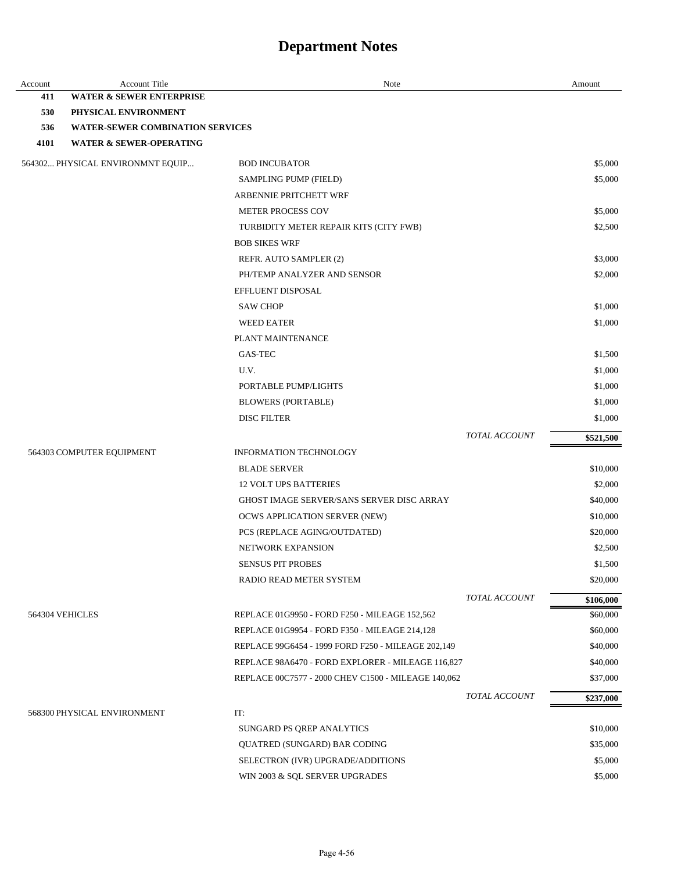| Account | <b>Account Title</b>                    | Note                                                |                      | Amount    |
|---------|-----------------------------------------|-----------------------------------------------------|----------------------|-----------|
| 411     | <b>WATER &amp; SEWER ENTERPRISE</b>     |                                                     |                      |           |
| 530     | PHYSICAL ENVIRONMENT                    |                                                     |                      |           |
| 536     | <b>WATER-SEWER COMBINATION SERVICES</b> |                                                     |                      |           |
| 4101    | <b>WATER &amp; SEWER-OPERATING</b>      |                                                     |                      |           |
|         | 564302 PHYSICAL ENVIRONMNT EQUIP        | <b>BOD INCUBATOR</b>                                |                      | \$5,000   |
|         |                                         | SAMPLING PUMP (FIELD)                               |                      | \$5,000   |
|         |                                         | ARBENNIE PRITCHETT WRF                              |                      |           |
|         |                                         | <b>METER PROCESS COV</b>                            |                      | \$5,000   |
|         |                                         | TURBIDITY METER REPAIR KITS (CITY FWB)              |                      | \$2,500   |
|         |                                         | <b>BOB SIKES WRF</b>                                |                      |           |
|         |                                         | REFR. AUTO SAMPLER (2)                              |                      | \$3,000   |
|         |                                         | PH/TEMP ANALYZER AND SENSOR                         |                      | \$2,000   |
|         |                                         | EFFLUENT DISPOSAL                                   |                      |           |
|         |                                         | <b>SAW CHOP</b>                                     |                      | \$1,000   |
|         |                                         | <b>WEED EATER</b>                                   |                      | \$1,000   |
|         |                                         | PLANT MAINTENANCE                                   |                      |           |
|         |                                         | GAS-TEC                                             |                      | \$1,500   |
|         |                                         | U.V.                                                |                      | \$1,000   |
|         |                                         | PORTABLE PUMP/LIGHTS                                |                      | \$1,000   |
|         |                                         | <b>BLOWERS (PORTABLE)</b>                           |                      | \$1,000   |
|         |                                         | <b>DISC FILTER</b>                                  |                      | \$1,000   |
|         |                                         |                                                     | <b>TOTAL ACCOUNT</b> | \$521,500 |
|         | 564303 COMPUTER EQUIPMENT               | <b>INFORMATION TECHNOLOGY</b>                       |                      |           |
|         |                                         | <b>BLADE SERVER</b>                                 |                      | \$10,000  |
|         |                                         | <b>12 VOLT UPS BATTERIES</b>                        |                      | \$2,000   |
|         |                                         | <b>GHOST IMAGE SERVER/SANS SERVER DISC ARRAY</b>    |                      | \$40,000  |
|         |                                         | OCWS APPLICATION SERVER (NEW)                       |                      | \$10,000  |
|         |                                         | PCS (REPLACE AGING/OUTDATED)                        |                      | \$20,000  |
|         |                                         | NETWORK EXPANSION                                   |                      | \$2,500   |
|         |                                         | <b>SENSUS PIT PROBES</b>                            |                      | \$1,500   |
|         |                                         | RADIO READ METER SYSTEM                             |                      | \$20,000  |
|         |                                         |                                                     | TOTAL ACCOUNT        | \$106,000 |
|         | 564304 VEHICLES                         | REPLACE 01G9950 - FORD F250 - MILEAGE 152,562       |                      | \$60,000  |
|         |                                         | REPLACE 01G9954 - FORD F350 - MILEAGE 214,128       |                      | \$60,000  |
|         |                                         | REPLACE 99G6454 - 1999 FORD F250 - MILEAGE 202,149  |                      | \$40,000  |
|         |                                         | REPLACE 98A6470 - FORD EXPLORER - MILEAGE 116,827   |                      | \$40,000  |
|         |                                         | REPLACE 00C7577 - 2000 CHEV C1500 - MILEAGE 140,062 |                      | \$37,000  |
|         |                                         |                                                     | TOTAL ACCOUNT        | \$237,000 |
|         | 568300 PHYSICAL ENVIRONMENT             | IT:                                                 |                      |           |
|         |                                         | SUNGARD PS QREP ANALYTICS                           |                      | \$10,000  |
|         |                                         | QUATRED (SUNGARD) BAR CODING                        |                      | \$35,000  |
|         |                                         | SELECTRON (IVR) UPGRADE/ADDITIONS                   |                      | \$5,000   |
|         |                                         | WIN 2003 & SQL SERVER UPGRADES                      |                      | \$5,000   |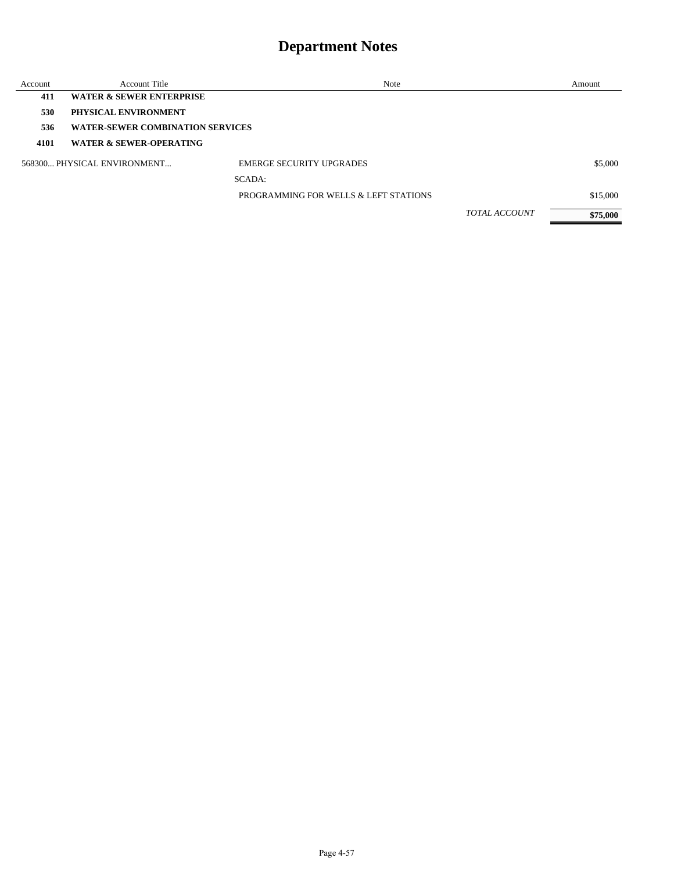| Account | <b>Account Title</b>                    | Note                                  |                      | Amount   |
|---------|-----------------------------------------|---------------------------------------|----------------------|----------|
| 411     | <b>WATER &amp; SEWER ENTERPRISE</b>     |                                       |                      |          |
| 530     | PHYSICAL ENVIRONMENT                    |                                       |                      |          |
| 536     | <b>WATER-SEWER COMBINATION SERVICES</b> |                                       |                      |          |
| 4101    | <b>WATER &amp; SEWER-OPERATING</b>      |                                       |                      |          |
|         | 568300 PHYSICAL ENVIRONMENT             | <b>EMERGE SECURITY UPGRADES</b>       |                      | \$5,000  |
|         |                                         | SCADA:                                |                      |          |
|         |                                         | PROGRAMMING FOR WELLS & LEFT STATIONS |                      | \$15,000 |
|         |                                         |                                       | <b>TOTAL ACCOUNT</b> | \$75,000 |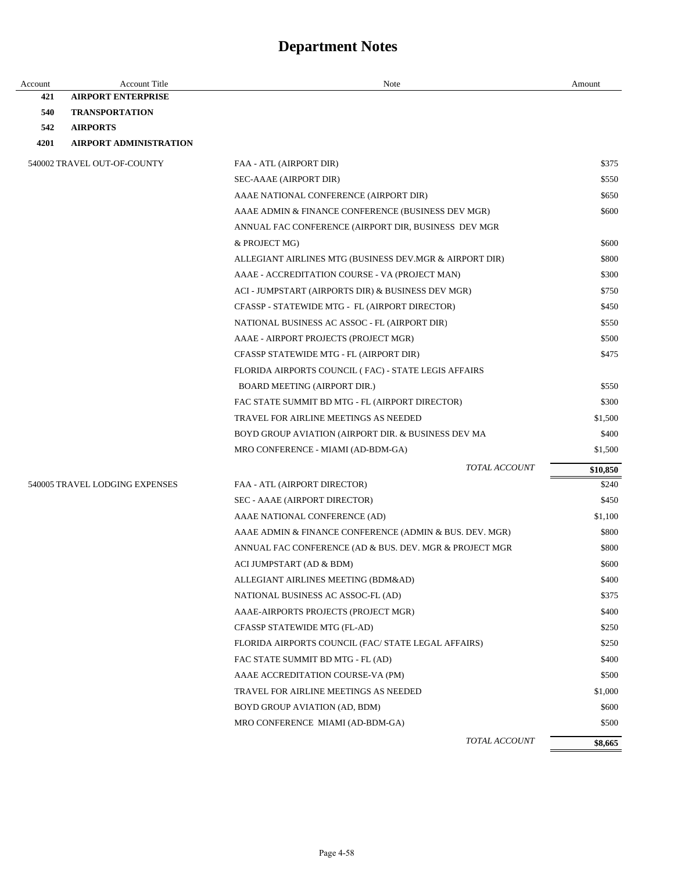| Account | <b>Account Title</b>           | Note                                                    | Amount   |
|---------|--------------------------------|---------------------------------------------------------|----------|
| 421     | <b>AIRPORT ENTERPRISE</b>      |                                                         |          |
| 540     | <b>TRANSPORTATION</b>          |                                                         |          |
| 542     | <b>AIRPORTS</b>                |                                                         |          |
| 4201    | <b>AIRPORT ADMINISTRATION</b>  |                                                         |          |
|         | 540002 TRAVEL OUT-OF-COUNTY    | FAA - ATL (AIRPORT DIR)                                 | \$375    |
|         |                                | SEC-AAAE (AIRPORT DIR)                                  | \$550    |
|         |                                | AAAE NATIONAL CONFERENCE (AIRPORT DIR)                  | \$650    |
|         |                                | AAAE ADMIN & FINANCE CONFERENCE (BUSINESS DEV MGR)      | \$600    |
|         |                                | ANNUAL FAC CONFERENCE (AIRPORT DIR, BUSINESS DEV MGR    |          |
|         |                                | & PROJECT MG)                                           | \$600    |
|         |                                | ALLEGIANT AIRLINES MTG (BUSINESS DEV.MGR & AIRPORT DIR) | \$800    |
|         |                                | AAAE - ACCREDITATION COURSE - VA (PROJECT MAN)          | \$300    |
|         |                                | ACI - JUMPSTART (AIRPORTS DIR) & BUSINESS DEV MGR)      | \$750    |
|         |                                | CFASSP - STATEWIDE MTG - FL (AIRPORT DIRECTOR)          | \$450    |
|         |                                | NATIONAL BUSINESS AC ASSOC - FL (AIRPORT DIR)           | \$550    |
|         |                                | AAAE - AIRPORT PROJECTS (PROJECT MGR)                   | \$500    |
|         |                                | CFASSP STATEWIDE MTG - FL (AIRPORT DIR)                 | \$475    |
|         |                                | FLORIDA AIRPORTS COUNCIL (FAC) - STATE LEGIS AFFAIRS    |          |
|         |                                | BOARD MEETING (AIRPORT DIR.)                            | \$550    |
|         |                                | FAC STATE SUMMIT BD MTG - FL (AIRPORT DIRECTOR)         | \$300    |
|         |                                | TRAVEL FOR AIRLINE MEETINGS AS NEEDED                   | \$1,500  |
|         |                                | BOYD GROUP AVIATION (AIRPORT DIR. & BUSINESS DEV MA     | \$400    |
|         |                                | MRO CONFERENCE - MIAMI (AD-BDM-GA)                      | \$1,500  |
|         |                                | <b>TOTAL ACCOUNT</b>                                    | \$10,850 |
|         | 540005 TRAVEL LODGING EXPENSES | FAA - ATL (AIRPORT DIRECTOR)                            | \$240    |
|         |                                | SEC - AAAE (AIRPORT DIRECTOR)                           | \$450    |
|         |                                | AAAE NATIONAL CONFERENCE (AD)                           | \$1,100  |
|         |                                | AAAE ADMIN & FINANCE CONFERENCE (ADMIN & BUS. DEV. MGR) | \$800    |
|         |                                | ANNUAL FAC CONFERENCE (AD & BUS. DEV. MGR & PROJECT MGR | \$800    |
|         |                                | ACI JUMPSTART (AD & BDM)                                | \$600    |
|         |                                | ALLEGIANT AIRLINES MEETING (BDM&AD)                     | \$400    |
|         |                                | NATIONAL BUSINESS AC ASSOC-FL (AD)                      | \$375    |
|         |                                | AAAE-AIRPORTS PROJECTS (PROJECT MGR)                    | \$400    |
|         |                                | CFASSP STATEWIDE MTG (FL-AD)                            | \$250    |
|         |                                | FLORIDA AIRPORTS COUNCIL (FAC/ STATE LEGAL AFFAIRS)     | \$250    |
|         |                                | FAC STATE SUMMIT BD MTG - FL (AD)                       | \$400    |
|         |                                | AAAE ACCREDITATION COURSE-VA (PM)                       | \$500    |
|         |                                | TRAVEL FOR AIRLINE MEETINGS AS NEEDED                   | \$1,000  |
|         |                                | BOYD GROUP AVIATION (AD, BDM)                           | \$600    |
|         |                                | MRO CONFERENCE MIAMI (AD-BDM-GA)                        | \$500    |
|         |                                | TOTAL ACCOUNT                                           | \$8,665  |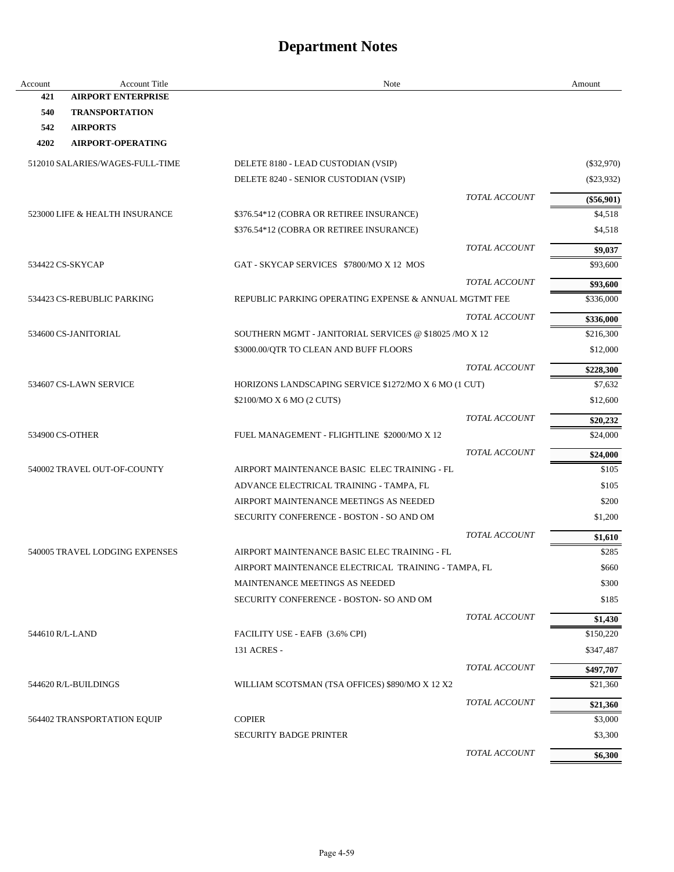| Account         | <b>Account Title</b>            | Note                                                   |                      | Amount       |
|-----------------|---------------------------------|--------------------------------------------------------|----------------------|--------------|
| 421             | <b>AIRPORT ENTERPRISE</b>       |                                                        |                      |              |
| 540             | <b>TRANSPORTATION</b>           |                                                        |                      |              |
| 542             | <b>AIRPORTS</b>                 |                                                        |                      |              |
| 4202            | <b>AIRPORT-OPERATING</b>        |                                                        |                      |              |
|                 | 512010 SALARIES/WAGES-FULL-TIME | DELETE 8180 - LEAD CUSTODIAN (VSIP)                    |                      | $(\$32,970)$ |
|                 |                                 | DELETE 8240 - SENIOR CUSTODIAN (VSIP)                  |                      | $(\$23,932)$ |
|                 |                                 |                                                        | <b>TOTAL ACCOUNT</b> | $(\$56,901)$ |
|                 | 523000 LIFE & HEALTH INSURANCE  | \$376.54*12 (COBRA OR RETIREE INSURANCE)               |                      | \$4,518      |
|                 |                                 | \$376.54*12 (COBRA OR RETIREE INSURANCE)               |                      | \$4,518      |
|                 |                                 |                                                        | <b>TOTAL ACCOUNT</b> | \$9,037      |
|                 | 534422 CS-SKYCAP                | GAT - SKYCAP SERVICES \$7800/MO X 12 MOS               |                      | \$93,600     |
|                 |                                 |                                                        | <b>TOTAL ACCOUNT</b> | \$93,600     |
|                 | 534423 CS-REBUBLIC PARKING      | REPUBLIC PARKING OPERATING EXPENSE & ANNUAL MGTMT FEE  |                      | \$336,000    |
|                 |                                 |                                                        | TOTAL ACCOUNT        | \$336,000    |
|                 | 534600 CS-JANITORIAL            | SOUTHERN MGMT - JANITORIAL SERVICES @ \$18025 /MO X 12 |                      | \$216,300    |
|                 |                                 | \$3000.00/QTR TO CLEAN AND BUFF FLOORS                 |                      | \$12,000     |
|                 |                                 |                                                        | <b>TOTAL ACCOUNT</b> |              |
|                 |                                 |                                                        |                      | \$228,300    |
|                 | 534607 CS-LAWN SERVICE          | HORIZONS LANDSCAPING SERVICE \$1272/MO X 6 MO (1 CUT)  |                      | \$7,632      |
|                 |                                 | \$2100/MO X 6 MO (2 CUTS)                              |                      | \$12,600     |
|                 |                                 |                                                        | <b>TOTAL ACCOUNT</b> | \$20,232     |
| 534900 CS-OTHER |                                 | FUEL MANAGEMENT - FLIGHTLINE \$2000/MO X 12            |                      | \$24,000     |
|                 |                                 |                                                        | <b>TOTAL ACCOUNT</b> | \$24,000     |
|                 | 540002 TRAVEL OUT-OF-COUNTY     | AIRPORT MAINTENANCE BASIC ELEC TRAINING - FL           |                      | \$105        |
|                 |                                 | ADVANCE ELECTRICAL TRAINING - TAMPA, FL                |                      | \$105        |
|                 |                                 | AIRPORT MAINTENANCE MEETINGS AS NEEDED                 |                      | \$200        |
|                 |                                 | SECURITY CONFERENCE - BOSTON - SO AND OM               |                      | \$1,200      |
|                 |                                 |                                                        | TOTAL ACCOUNT        | \$1,610      |
|                 | 540005 TRAVEL LODGING EXPENSES  | AIRPORT MAINTENANCE BASIC ELEC TRAINING - FL           |                      | \$285        |
|                 |                                 | AIRPORT MAINTENANCE ELECTRICAL TRAINING - TAMPA, FL    |                      | \$660        |
|                 |                                 | MAINTENANCE MEETINGS AS NEEDED                         |                      | \$300        |
|                 |                                 | SECURITY CONFERENCE - BOSTON- SO AND OM                |                      | \$185        |
|                 |                                 |                                                        | TOTAL ACCOUNT        | \$1,430      |
| 544610 R/L-LAND |                                 | FACILITY USE - EAFB (3.6% CPI)                         |                      | \$150,220    |
|                 |                                 | 131 ACRES -                                            |                      | \$347,487    |
|                 |                                 |                                                        | <b>TOTAL ACCOUNT</b> | \$497,707    |
|                 | 544620 R/L-BUILDINGS            | WILLIAM SCOTSMAN (TSA OFFICES) \$890/MO X 12 X2        |                      | \$21,360     |
|                 |                                 |                                                        | <b>TOTAL ACCOUNT</b> | \$21,360     |
|                 | 564402 TRANSPORTATION EQUIP     | <b>COPIER</b>                                          |                      | \$3,000      |
|                 |                                 | <b>SECURITY BADGE PRINTER</b>                          |                      | \$3,300      |
|                 |                                 |                                                        | TOTAL ACCOUNT        |              |
|                 |                                 |                                                        |                      | \$6,300      |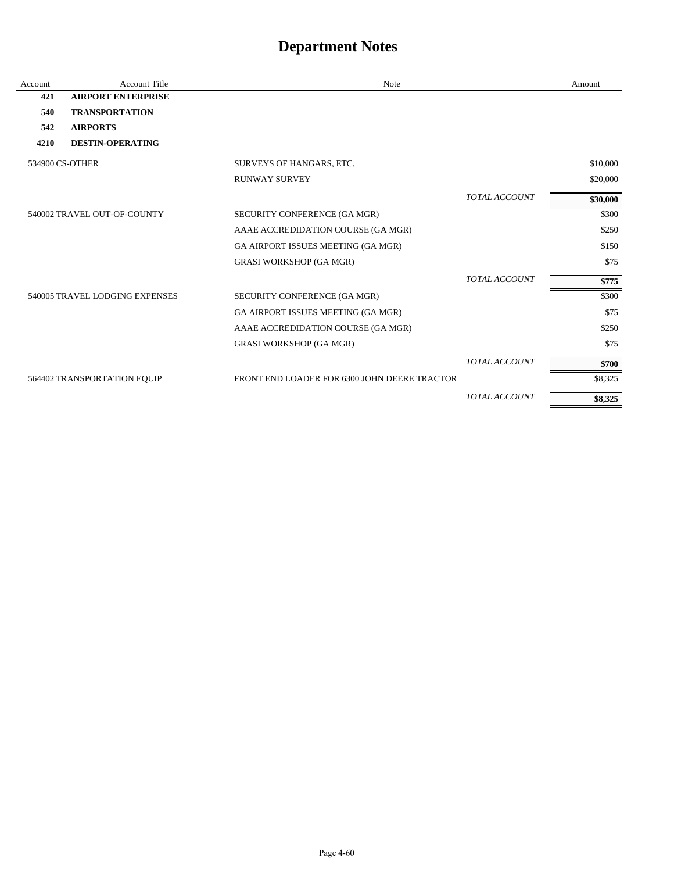| Account | <b>Account Title</b>           | Note                                         |                      | Amount   |
|---------|--------------------------------|----------------------------------------------|----------------------|----------|
| 421     | <b>AIRPORT ENTERPRISE</b>      |                                              |                      |          |
| 540     | <b>TRANSPORTATION</b>          |                                              |                      |          |
| 542     | <b>AIRPORTS</b>                |                                              |                      |          |
| 4210    | <b>DESTIN-OPERATING</b>        |                                              |                      |          |
|         | 534900 CS-OTHER                | SURVEYS OF HANGARS, ETC.                     |                      | \$10,000 |
|         |                                | <b>RUNWAY SURVEY</b>                         |                      | \$20,000 |
|         |                                |                                              | <b>TOTAL ACCOUNT</b> | \$30,000 |
|         | 540002 TRAVEL OUT-OF-COUNTY    | SECURITY CONFERENCE (GA MGR)                 |                      | \$300    |
|         |                                | AAAE ACCREDIDATION COURSE (GA MGR)           |                      | \$250    |
|         |                                | GA AIRPORT ISSUES MEETING (GA MGR)           |                      | \$150    |
|         |                                | <b>GRASI WORKSHOP (GA MGR)</b>               |                      | \$75     |
|         |                                |                                              | <b>TOTAL ACCOUNT</b> | \$775    |
|         | 540005 TRAVEL LODGING EXPENSES | SECURITY CONFERENCE (GA MGR)                 |                      | \$300    |
|         |                                | GA AIRPORT ISSUES MEETING (GA MGR)           |                      | \$75     |
|         |                                | AAAE ACCREDIDATION COURSE (GA MGR)           |                      | \$250    |
|         |                                | <b>GRASI WORKSHOP (GA MGR)</b>               |                      | \$75     |
|         |                                |                                              | <b>TOTAL ACCOUNT</b> | \$700    |
|         | 564402 TRANSPORTATION EQUIP    | FRONT END LOADER FOR 6300 JOHN DEERE TRACTOR |                      | \$8,325  |
|         |                                |                                              | <b>TOTAL ACCOUNT</b> | \$8,325  |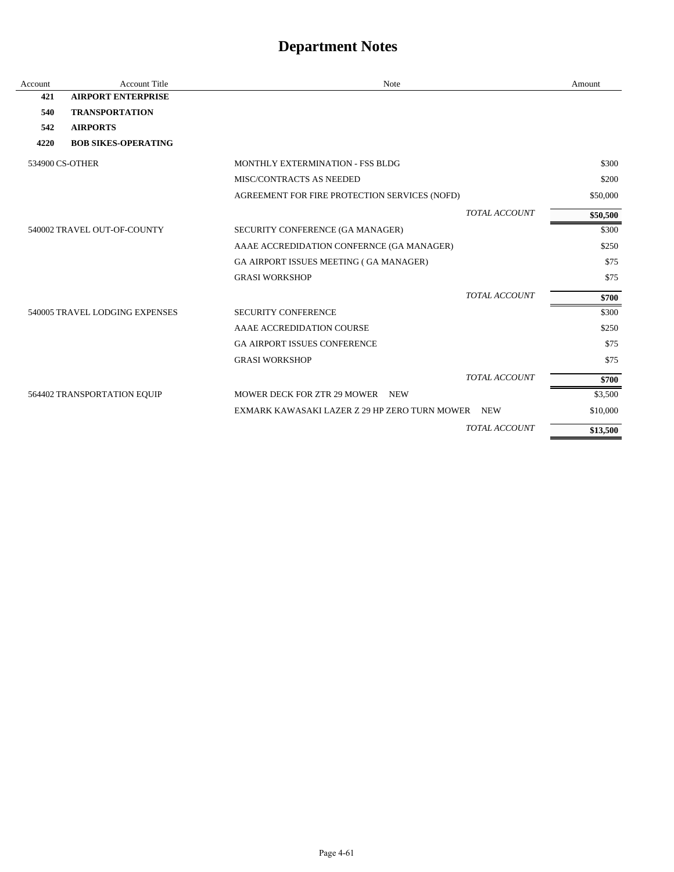| Account         | <b>Account Title</b>           | Note                                             |                      | Amount   |
|-----------------|--------------------------------|--------------------------------------------------|----------------------|----------|
| 421             | <b>AIRPORT ENTERPRISE</b>      |                                                  |                      |          |
| 540             | <b>TRANSPORTATION</b>          |                                                  |                      |          |
| 542             | <b>AIRPORTS</b>                |                                                  |                      |          |
| 4220            | <b>BOB SIKES-OPERATING</b>     |                                                  |                      |          |
| 534900 CS-OTHER |                                | MONTHLY EXTERMINATION - FSS BLDG                 |                      | \$300    |
|                 |                                | MISC/CONTRACTS AS NEEDED                         |                      | \$200    |
|                 |                                | AGREEMENT FOR FIRE PROTECTION SERVICES (NOFD)    |                      | \$50,000 |
|                 |                                |                                                  | <b>TOTAL ACCOUNT</b> | \$50,500 |
|                 | 540002 TRAVEL OUT-OF-COUNTY    | SECURITY CONFERENCE (GA MANAGER)                 |                      | \$300    |
|                 |                                | AAAE ACCREDIDATION CONFERNCE (GA MANAGER)        |                      | \$250    |
|                 |                                | GA AIRPORT ISSUES MEETING (GA MANAGER)           |                      | \$75     |
|                 |                                | <b>GRASI WORKSHOP</b>                            |                      | \$75     |
|                 |                                |                                                  | TOTAL ACCOUNT        | \$700    |
|                 | 540005 TRAVEL LODGING EXPENSES | <b>SECURITY CONFERENCE</b>                       |                      | \$300    |
|                 |                                | AAAE ACCREDIDATION COURSE                        |                      | \$250    |
|                 |                                | <b>GA AIRPORT ISSUES CONFERENCE</b>              |                      | \$75     |
|                 |                                | <b>GRASI WORKSHOP</b>                            |                      | \$75     |
|                 |                                |                                                  | <b>TOTAL ACCOUNT</b> | \$700    |
|                 | 564402 TRANSPORTATION EQUIP    | <b>MOWER DECK FOR ZTR 29 MOWER</b><br><b>NEW</b> |                      | \$3,500  |
|                 |                                | EXMARK KAWASAKI LAZER Z 29 HP ZERO TURN MOWER    | <b>NEW</b>           | \$10,000 |
|                 |                                |                                                  | <b>TOTAL ACCOUNT</b> | \$13,500 |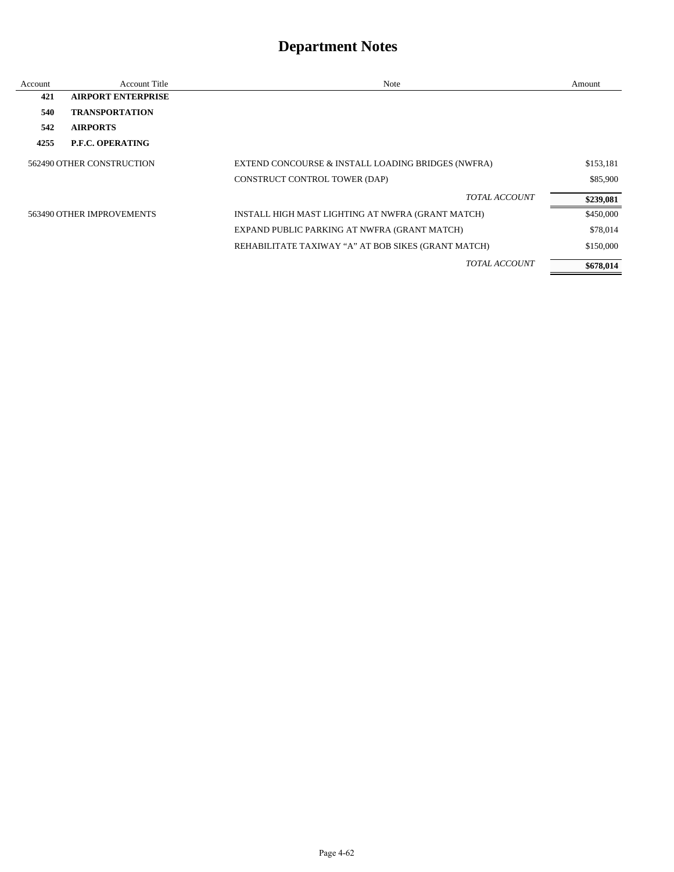| Account                   | <b>Account Title</b>      | Note                                                | Amount    |
|---------------------------|---------------------------|-----------------------------------------------------|-----------|
| 421                       | <b>AIRPORT ENTERPRISE</b> |                                                     |           |
| 540                       | <b>TRANSPORTATION</b>     |                                                     |           |
| 542                       | <b>AIRPORTS</b>           |                                                     |           |
| 4255                      | P.F.C. OPERATING          |                                                     |           |
| 562490 OTHER CONSTRUCTION |                           | EXTEND CONCOURSE & INSTALL LOADING BRIDGES (NWFRA)  | \$153,181 |
|                           |                           | CONSTRUCT CONTROL TOWER (DAP)                       | \$85,900  |
|                           |                           | <b>TOTAL ACCOUNT</b>                                | \$239,081 |
|                           | 563490 OTHER IMPROVEMENTS | INSTALL HIGH MAST LIGHTING AT NWFRA (GRANT MATCH)   | \$450,000 |
|                           |                           | EXPAND PUBLIC PARKING AT NWFRA (GRANT MATCH)        | \$78,014  |
|                           |                           | REHABILITATE TAXIWAY "A" AT BOB SIKES (GRANT MATCH) | \$150,000 |
|                           |                           | <i>TOTAL ACCOUNT</i>                                | \$678,014 |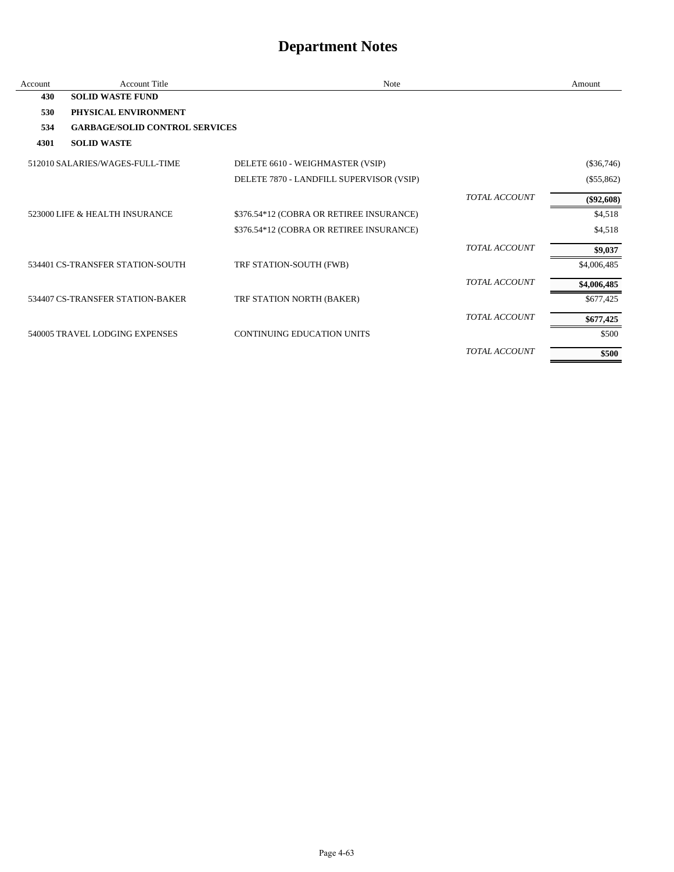| Account | <b>Account Title</b>                  | Note                                     |                      | Amount       |
|---------|---------------------------------------|------------------------------------------|----------------------|--------------|
| 430     | <b>SOLID WASTE FUND</b>               |                                          |                      |              |
| 530     | PHYSICAL ENVIRONMENT                  |                                          |                      |              |
| 534     | <b>GARBAGE/SOLID CONTROL SERVICES</b> |                                          |                      |              |
| 4301    | <b>SOLID WASTE</b>                    |                                          |                      |              |
|         | 512010 SALARIES/WAGES-FULL-TIME       | DELETE 6610 - WEIGHMASTER (VSIP)         |                      | $(\$36,746)$ |
|         |                                       | DELETE 7870 - LANDFILL SUPERVISOR (VSIP) |                      | $(\$55,862)$ |
|         |                                       |                                          | <b>TOTAL ACCOUNT</b> | $(\$92,608)$ |
|         | 523000 LIFE & HEALTH INSURANCE        | \$376.54*12 (COBRA OR RETIREE INSURANCE) |                      | \$4,518      |
|         |                                       | \$376.54*12 (COBRA OR RETIREE INSURANCE) |                      | \$4,518      |
|         |                                       |                                          | <b>TOTAL ACCOUNT</b> | \$9,037      |
|         | 534401 CS-TRANSFER STATION-SOUTH      | TRF STATION-SOUTH (FWB)                  |                      | \$4,006,485  |
|         |                                       |                                          | <b>TOTAL ACCOUNT</b> | \$4,006,485  |
|         | 534407 CS-TRANSFER STATION-BAKER      | TRF STATION NORTH (BAKER)                |                      | \$677,425    |
|         |                                       |                                          | <b>TOTAL ACCOUNT</b> | \$677,425    |
|         | 540005 TRAVEL LODGING EXPENSES        | <b>CONTINUING EDUCATION UNITS</b>        |                      | \$500        |
|         |                                       |                                          | <b>TOTAL ACCOUNT</b> | \$500        |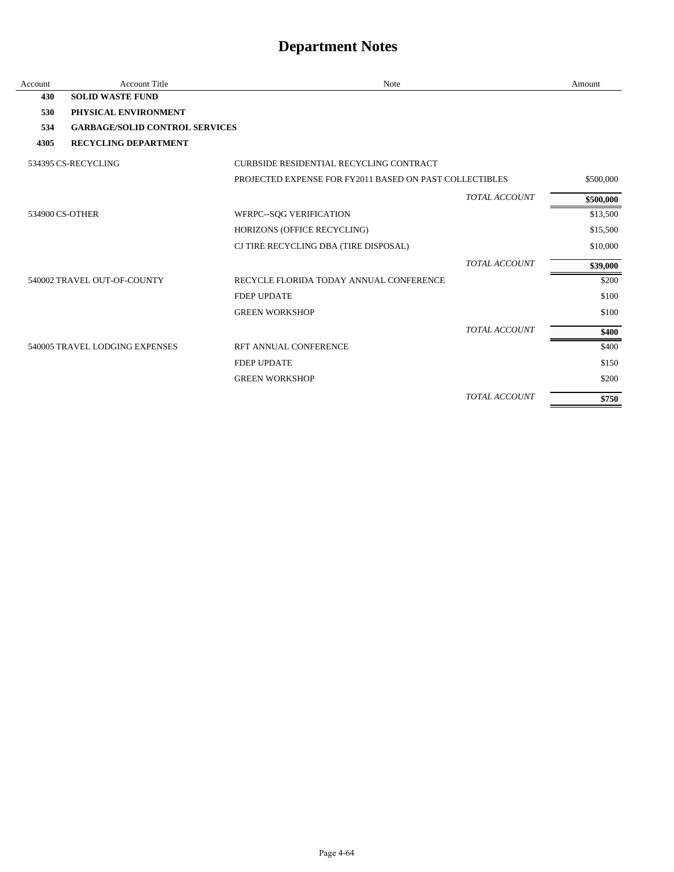| Account | <b>Account Title</b>                  | Note                                                    | Amount    |
|---------|---------------------------------------|---------------------------------------------------------|-----------|
| 430     | <b>SOLID WASTE FUND</b>               |                                                         |           |
| 530     | PHYSICAL ENVIRONMENT                  |                                                         |           |
| 534     | <b>GARBAGE/SOLID CONTROL SERVICES</b> |                                                         |           |
| 4305    | <b>RECYCLING DEPARTMENT</b>           |                                                         |           |
|         | 534395 CS-RECYCLING                   | CURBSIDE RESIDENTIAL RECYCLING CONTRACT                 |           |
|         |                                       | PROJECTED EXPENSE FOR FY2011 BASED ON PAST COLLECTIBLES | \$500,000 |
|         |                                       | <b>TOTAL ACCOUNT</b>                                    | \$500,000 |
|         | 534900 CS-OTHER                       | WFRPC--SQG VERIFICATION                                 | \$13,500  |
|         |                                       | HORIZONS (OFFICE RECYCLING)                             | \$15,500  |
|         |                                       | CJ TIRE RECYCLING DBA (TIRE DISPOSAL)                   | \$10,000  |
|         |                                       | <b>TOTAL ACCOUNT</b>                                    | \$39,000  |
|         | 540002 TRAVEL OUT-OF-COUNTY           | RECYCLE FLORIDA TODAY ANNUAL CONFERENCE                 | \$200     |
|         |                                       | <b>FDEP UPDATE</b>                                      | \$100     |
|         |                                       | <b>GREEN WORKSHOP</b>                                   | \$100     |
|         |                                       | <b>TOTAL ACCOUNT</b>                                    | \$400     |
|         | 540005 TRAVEL LODGING EXPENSES        | RFT ANNUAL CONFERENCE                                   | \$400     |
|         |                                       | <b>FDEP UPDATE</b>                                      | \$150     |
|         |                                       | <b>GREEN WORKSHOP</b>                                   | \$200     |
|         |                                       | <b>TOTAL ACCOUNT</b>                                    | \$750     |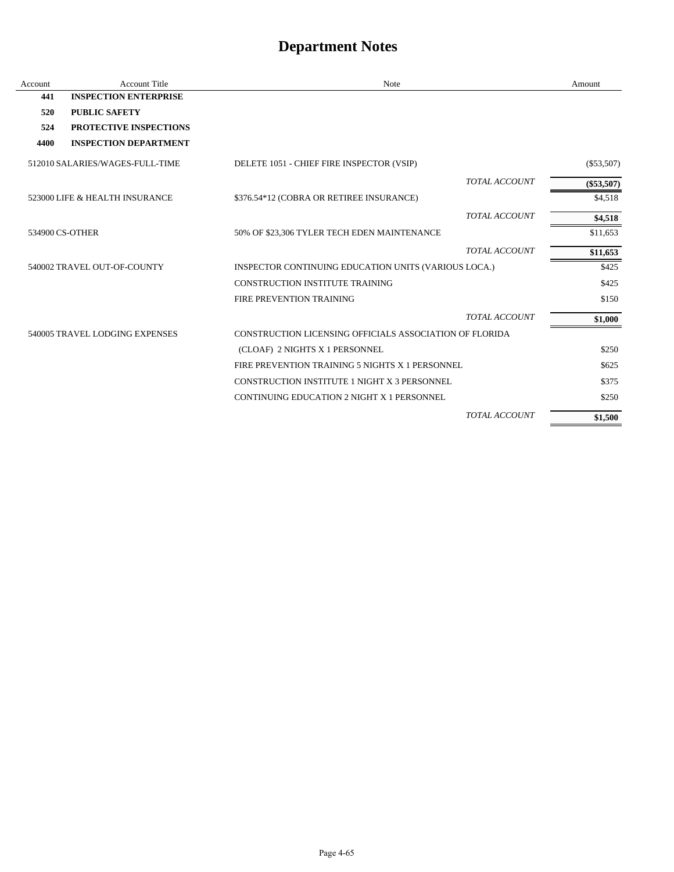| Account         | <b>Account Title</b>            | Note                                                    | Amount       |
|-----------------|---------------------------------|---------------------------------------------------------|--------------|
| 441             | <b>INSPECTION ENTERPRISE</b>    |                                                         |              |
| 520             | <b>PUBLIC SAFETY</b>            |                                                         |              |
| 524             | PROTECTIVE INSPECTIONS          |                                                         |              |
| 4400            | <b>INSPECTION DEPARTMENT</b>    |                                                         |              |
|                 | 512010 SALARIES/WAGES-FULL-TIME | DELETE 1051 - CHIEF FIRE INSPECTOR (VSIP)               | $(\$53,507)$ |
|                 |                                 | <b>TOTAL ACCOUNT</b>                                    | $(\$53,507)$ |
|                 | 523000 LIFE & HEALTH INSURANCE  | \$376.54*12 (COBRA OR RETIREE INSURANCE)                | \$4,518      |
|                 |                                 | <b>TOTAL ACCOUNT</b>                                    | \$4,518      |
| 534900 CS-OTHER |                                 | 50% OF \$23,306 TYLER TECH EDEN MAINTENANCE             | \$11,653     |
|                 |                                 | <b>TOTAL ACCOUNT</b>                                    | \$11,653     |
|                 | 540002 TRAVEL OUT-OF-COUNTY     | INSPECTOR CONTINUING EDUCATION UNITS (VARIOUS LOCA.)    | \$425        |
|                 |                                 | CONSTRUCTION INSTITUTE TRAINING                         | \$425        |
|                 |                                 | <b>FIRE PREVENTION TRAINING</b>                         | \$150        |
|                 |                                 | <b>TOTAL ACCOUNT</b>                                    | \$1,000      |
|                 | 540005 TRAVEL LODGING EXPENSES  | CONSTRUCTION LICENSING OFFICIALS ASSOCIATION OF FLORIDA |              |
|                 |                                 | (CLOAF) 2 NIGHTS X 1 PERSONNEL                          | \$250        |
|                 |                                 | FIRE PREVENTION TRAINING 5 NIGHTS X 1 PERSONNEL         | \$625        |
|                 |                                 | CONSTRUCTION INSTITUTE 1 NIGHT X 3 PERSONNEL            | \$375        |
|                 |                                 | CONTINUING EDUCATION 2 NIGHT X 1 PERSONNEL              | \$250        |
|                 |                                 | TOTAL ACCOUNT                                           | \$1,500      |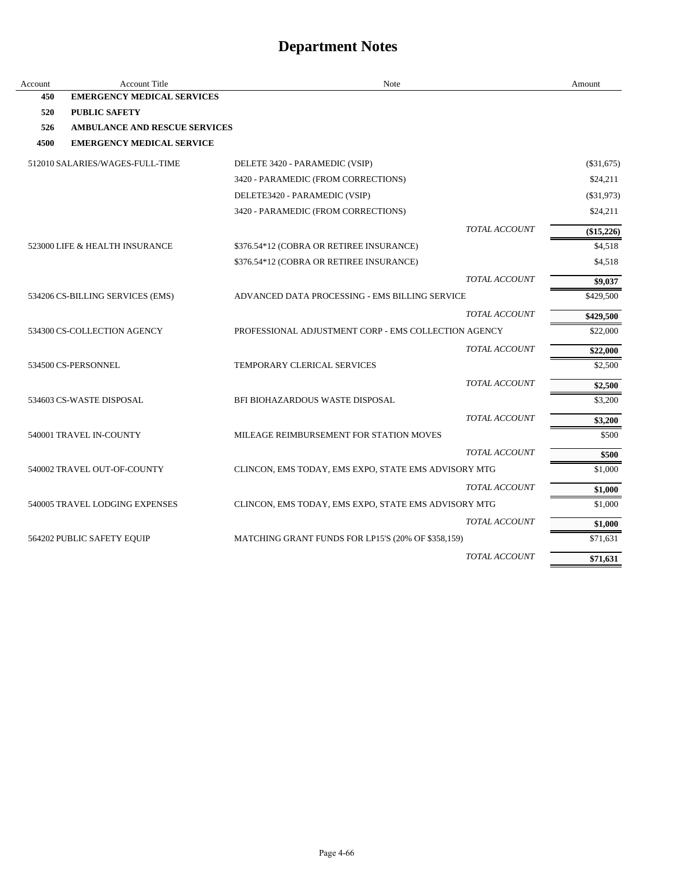| Account | <b>Account Title</b>                 | Note                                                 | Amount       |
|---------|--------------------------------------|------------------------------------------------------|--------------|
| 450     | <b>EMERGENCY MEDICAL SERVICES</b>    |                                                      |              |
| 520     | <b>PUBLIC SAFETY</b>                 |                                                      |              |
| 526     | <b>AMBULANCE AND RESCUE SERVICES</b> |                                                      |              |
| 4500    | <b>EMERGENCY MEDICAL SERVICE</b>     |                                                      |              |
|         | 512010 SALARIES/WAGES-FULL-TIME      | DELETE 3420 - PARAMEDIC (VSIP)                       | (\$31,675)   |
|         |                                      | 3420 - PARAMEDIC (FROM CORRECTIONS)                  | \$24,211     |
|         |                                      | DELETE3420 - PARAMEDIC (VSIP)                        | $(\$31,973)$ |
|         |                                      | 3420 - PARAMEDIC (FROM CORRECTIONS)                  | \$24,211     |
|         |                                      | <b>TOTAL ACCOUNT</b>                                 | (\$15,226)   |
|         | 523000 LIFE & HEALTH INSURANCE       | \$376.54*12 (COBRA OR RETIREE INSURANCE)             | \$4,518      |
|         |                                      | \$376.54*12 (COBRA OR RETIREE INSURANCE)             | \$4,518      |
|         |                                      | <b>TOTAL ACCOUNT</b>                                 | \$9,037      |
|         | 534206 CS-BILLING SERVICES (EMS)     | ADVANCED DATA PROCESSING - EMS BILLING SERVICE       | \$429,500    |
|         |                                      | <b>TOTAL ACCOUNT</b>                                 | \$429,500    |
|         | 534300 CS-COLLECTION AGENCY          | PROFESSIONAL ADJUSTMENT CORP - EMS COLLECTION AGENCY | \$22,000     |
|         |                                      | <b>TOTAL ACCOUNT</b>                                 | \$22,000     |
|         | 534500 CS-PERSONNEL                  | TEMPORARY CLERICAL SERVICES                          | \$2,500      |
|         |                                      | <b>TOTAL ACCOUNT</b>                                 | \$2,500      |
|         | 534603 CS-WASTE DISPOSAL             | BFI BIOHAZARDOUS WASTE DISPOSAL                      | \$3,200      |
|         |                                      | <b>TOTAL ACCOUNT</b>                                 | \$3,200      |
|         | 540001 TRAVEL IN-COUNTY              | MILEAGE REIMBURSEMENT FOR STATION MOVES              | \$500        |
|         |                                      | <b>TOTAL ACCOUNT</b>                                 | \$500        |
|         | 540002 TRAVEL OUT-OF-COUNTY          | CLINCON, EMS TODAY, EMS EXPO, STATE EMS ADVISORY MTG | \$1,000      |
|         |                                      | <b>TOTAL ACCOUNT</b>                                 | \$1,000      |
|         | 540005 TRAVEL LODGING EXPENSES       | CLINCON, EMS TODAY, EMS EXPO, STATE EMS ADVISORY MTG | \$1,000      |
|         |                                      | TOTAL ACCOUNT                                        | \$1,000      |
|         | 564202 PUBLIC SAFETY EQUIP           | MATCHING GRANT FUNDS FOR LP15'S (20% OF \$358,159)   | \$71,631     |
|         |                                      | <b>TOTAL ACCOUNT</b>                                 | \$71,631     |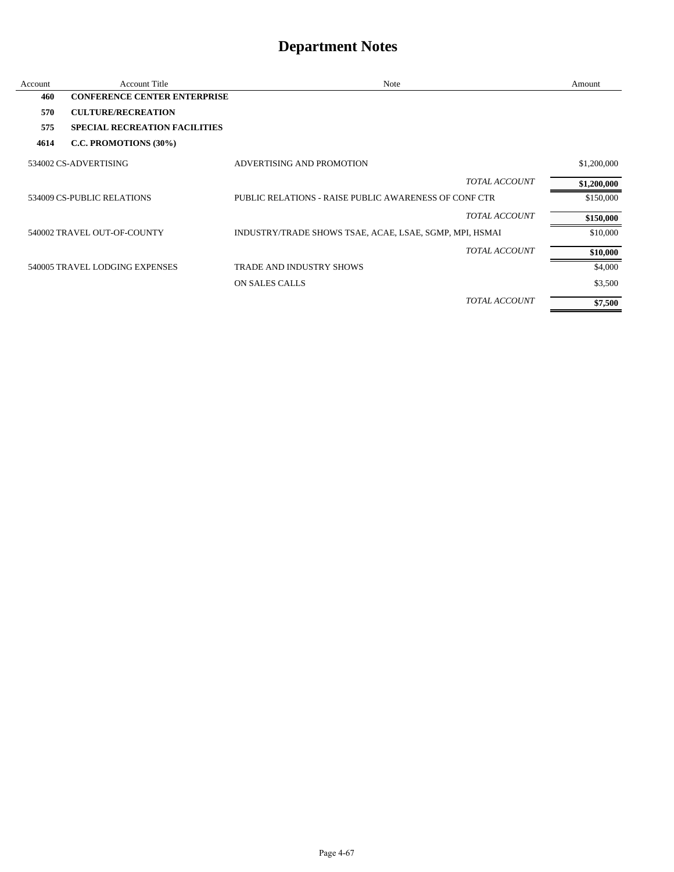| Account | <b>Account Title</b>                 | <b>Note</b>                                             | Amount      |
|---------|--------------------------------------|---------------------------------------------------------|-------------|
| 460     | <b>CONFERENCE CENTER ENTERPRISE</b>  |                                                         |             |
| 570     | <b>CULTURE/RECREATION</b>            |                                                         |             |
| 575     | <b>SPECIAL RECREATION FACILITIES</b> |                                                         |             |
| 4614    | C.C. PROMOTIONS (30%)                |                                                         |             |
|         | 534002 CS-ADVERTISING                | ADVERTISING AND PROMOTION                               | \$1,200,000 |
|         |                                      | <b>TOTAL ACCOUNT</b>                                    | \$1,200,000 |
|         | 534009 CS-PUBLIC RELATIONS           | PUBLIC RELATIONS - RAISE PUBLIC AWARENESS OF CONF CTR   | \$150,000   |
|         |                                      | <b>TOTAL ACCOUNT</b>                                    | \$150,000   |
|         | 540002 TRAVEL OUT-OF-COUNTY          | INDUSTRY/TRADE SHOWS TSAE, ACAE, LSAE, SGMP, MPI, HSMAI | \$10,000    |
|         |                                      | <b>TOTAL ACCOUNT</b>                                    | \$10,000    |
|         | 540005 TRAVEL LODGING EXPENSES       | <b>TRADE AND INDUSTRY SHOWS</b>                         | \$4,000     |
|         |                                      | ON SALES CALLS                                          | \$3,500     |
|         |                                      | <b>TOTAL ACCOUNT</b>                                    | \$7,500     |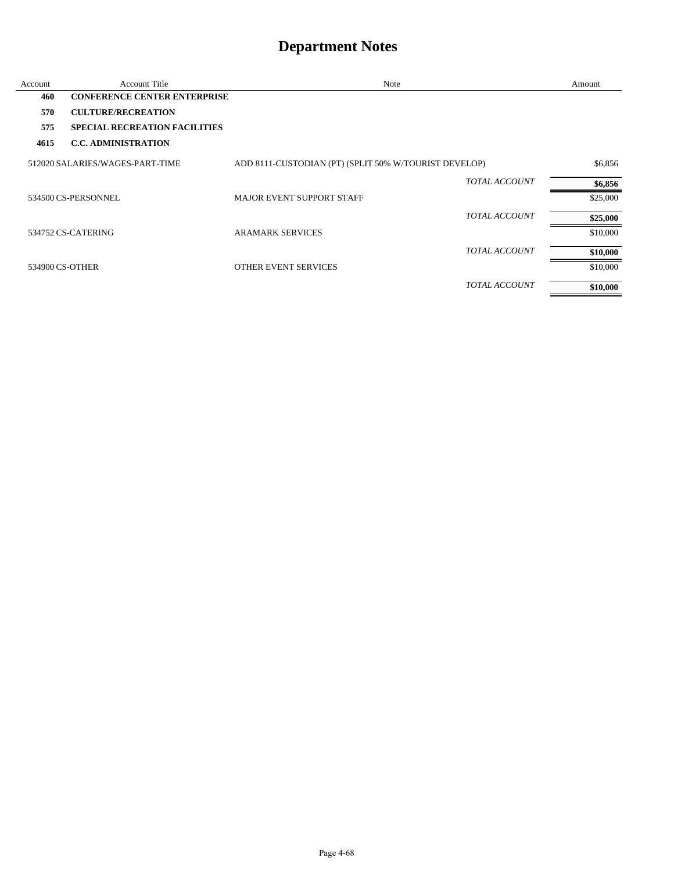| Account         | <b>Account Title</b>                 | Note                                                  | Amount   |
|-----------------|--------------------------------------|-------------------------------------------------------|----------|
| 460             | <b>CONFERENCE CENTER ENTERPRISE</b>  |                                                       |          |
| 570             | <b>CULTURE/RECREATION</b>            |                                                       |          |
| 575             | <b>SPECIAL RECREATION FACILITIES</b> |                                                       |          |
| 4615            | <b>C.C. ADMINISTRATION</b>           |                                                       |          |
|                 | 512020 SALARIES/WAGES-PART-TIME      | ADD 8111-CUSTODIAN (PT) (SPLIT 50% W/TOURIST DEVELOP) | \$6,856  |
|                 |                                      | <b>TOTAL ACCOUNT</b>                                  | \$6,856  |
|                 | 534500 CS-PERSONNEL                  | <b>MAJOR EVENT SUPPORT STAFF</b>                      | \$25,000 |
|                 |                                      | <b>TOTAL ACCOUNT</b>                                  | \$25,000 |
|                 | 534752 CS-CATERING                   | <b>ARAMARK SERVICES</b>                               | \$10,000 |
|                 |                                      | <b>TOTAL ACCOUNT</b>                                  | \$10,000 |
| 534900 CS-OTHER |                                      | <b>OTHER EVENT SERVICES</b>                           | \$10,000 |
|                 |                                      | <b>TOTAL ACCOUNT</b>                                  | \$10,000 |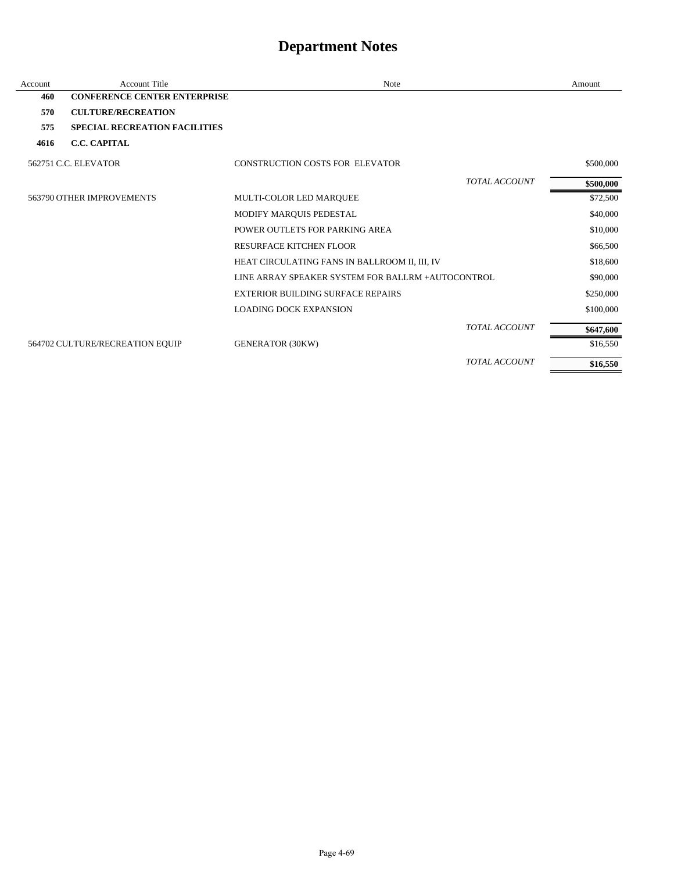| Account | <b>Account Title</b>                 | <b>Note</b>                                       |                      | Amount    |
|---------|--------------------------------------|---------------------------------------------------|----------------------|-----------|
| 460     | <b>CONFERENCE CENTER ENTERPRISE</b>  |                                                   |                      |           |
| 570     | <b>CULTURE/RECREATION</b>            |                                                   |                      |           |
| 575     | <b>SPECIAL RECREATION FACILITIES</b> |                                                   |                      |           |
| 4616    | <b>C.C. CAPITAL</b>                  |                                                   |                      |           |
|         | 562751 C.C. ELEVATOR                 | <b>CONSTRUCTION COSTS FOR ELEVATOR</b>            |                      | \$500,000 |
|         |                                      |                                                   | <b>TOTAL ACCOUNT</b> | \$500,000 |
|         | 563790 OTHER IMPROVEMENTS            | MULTI-COLOR LED MARQUEE                           |                      | \$72,500  |
|         |                                      | MODIFY MARQUIS PEDESTAL                           |                      | \$40,000  |
|         |                                      | POWER OUTLETS FOR PARKING AREA                    |                      | \$10,000  |
|         |                                      | <b>RESURFACE KITCHEN FLOOR</b>                    |                      | \$66,500  |
|         |                                      | HEAT CIRCULATING FANS IN BALLROOM II, III, IV     |                      | \$18,600  |
|         |                                      | LINE ARRAY SPEAKER SYSTEM FOR BALLRM +AUTOCONTROL |                      | \$90,000  |
|         |                                      | <b>EXTERIOR BUILDING SURFACE REPAIRS</b>          |                      | \$250,000 |
|         |                                      | <b>LOADING DOCK EXPANSION</b>                     |                      | \$100,000 |
|         |                                      |                                                   | <b>TOTAL ACCOUNT</b> | \$647,600 |
|         | 564702 CULTURE/RECREATION EQUIP      | <b>GENERATOR (30KW)</b>                           |                      | \$16,550  |
|         |                                      |                                                   | <b>TOTAL ACCOUNT</b> | \$16,550  |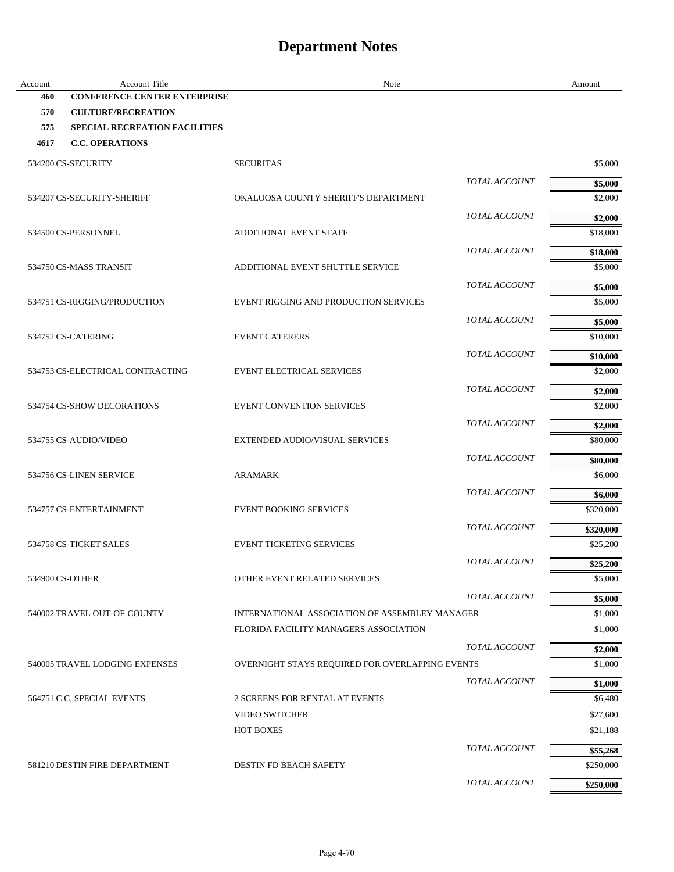| Account         | <b>Account Title</b>                 | Note                                            | Amount              |
|-----------------|--------------------------------------|-------------------------------------------------|---------------------|
| 460             | <b>CONFERENCE CENTER ENTERPRISE</b>  |                                                 |                     |
| 570             | <b>CULTURE/RECREATION</b>            |                                                 |                     |
| 575             | <b>SPECIAL RECREATION FACILITIES</b> |                                                 |                     |
| 4617            | <b>C.C. OPERATIONS</b>               |                                                 |                     |
|                 | 534200 CS-SECURITY                   | <b>SECURITAS</b>                                | \$5,000             |
|                 |                                      | <b>TOTAL ACCOUNT</b>                            | \$5,000             |
|                 | 534207 CS-SECURITY-SHERIFF           | OKALOOSA COUNTY SHERIFF'S DEPARTMENT            | \$2,000             |
|                 |                                      | <b>TOTAL ACCOUNT</b>                            | \$2,000             |
|                 | 534500 CS-PERSONNEL                  | <b>ADDITIONAL EVENT STAFF</b>                   | \$18,000            |
|                 |                                      | <b>TOTAL ACCOUNT</b>                            | \$18,000            |
|                 | 534750 CS-MASS TRANSIT               | ADDITIONAL EVENT SHUTTLE SERVICE                | \$5,000             |
|                 |                                      | <b>TOTAL ACCOUNT</b>                            | \$5,000             |
|                 | 534751 CS-RIGGING/PRODUCTION         | EVENT RIGGING AND PRODUCTION SERVICES           | \$5,000             |
|                 |                                      | <b>TOTAL ACCOUNT</b>                            | \$5,000             |
|                 | 534752 CS-CATERING                   | <b>EVENT CATERERS</b>                           | \$10,000            |
|                 |                                      | <b>TOTAL ACCOUNT</b>                            |                     |
|                 | 534753 CS-ELECTRICAL CONTRACTING     | <b>EVENT ELECTRICAL SERVICES</b>                | \$10,000<br>\$2,000 |
|                 |                                      |                                                 |                     |
|                 |                                      | <b>TOTAL ACCOUNT</b>                            | \$2,000             |
|                 | 534754 CS-SHOW DECORATIONS           | <b>EVENT CONVENTION SERVICES</b>                | \$2,000             |
|                 |                                      | <b>TOTAL ACCOUNT</b>                            | \$2,000             |
|                 | 534755 CS-AUDIO/VIDEO                | EXTENDED AUDIO/VISUAL SERVICES                  | \$80,000            |
|                 |                                      | TOTAL ACCOUNT                                   | \$80,000            |
|                 | 534756 CS-LINEN SERVICE              | <b>ARAMARK</b>                                  | \$6,000             |
|                 |                                      | <b>TOTAL ACCOUNT</b>                            | \$6,000             |
|                 | 534757 CS-ENTERTAINMENT              | <b>EVENT BOOKING SERVICES</b>                   | \$320,000           |
|                 |                                      | TOTAL ACCOUNT                                   | \$320,000           |
|                 | 534758 CS-TICKET SALES               | <b>EVENT TICKETING SERVICES</b>                 | \$25,200            |
|                 |                                      | TOTAL ACCOUNT                                   | \$25,200            |
| 534900 CS-OTHER |                                      | OTHER EVENT RELATED SERVICES                    | \$5,000             |
|                 |                                      | TOTAL ACCOUNT                                   | \$5,000             |
|                 | 540002 TRAVEL OUT-OF-COUNTY          | INTERNATIONAL ASSOCIATION OF ASSEMBLEY MANAGER  | \$1,000             |
|                 |                                      | FLORIDA FACILITY MANAGERS ASSOCIATION           | \$1,000             |
|                 |                                      | <b>TOTAL ACCOUNT</b>                            | \$2,000             |
|                 | 540005 TRAVEL LODGING EXPENSES       | OVERNIGHT STAYS REQUIRED FOR OVERLAPPING EVENTS | \$1,000             |
|                 |                                      | TOTAL ACCOUNT                                   | \$1,000             |
|                 | 564751 C.C. SPECIAL EVENTS           | 2 SCREENS FOR RENTAL AT EVENTS                  | \$6,480             |
|                 |                                      | <b>VIDEO SWITCHER</b>                           | \$27,600            |
|                 |                                      | <b>HOT BOXES</b>                                | \$21,188            |
|                 |                                      | TOTAL ACCOUNT                                   | \$55,268            |
|                 | 581210 DESTIN FIRE DEPARTMENT        | DESTIN FD BEACH SAFETY                          | \$250,000           |
|                 |                                      | TOTAL ACCOUNT                                   | \$250,000           |
|                 |                                      |                                                 |                     |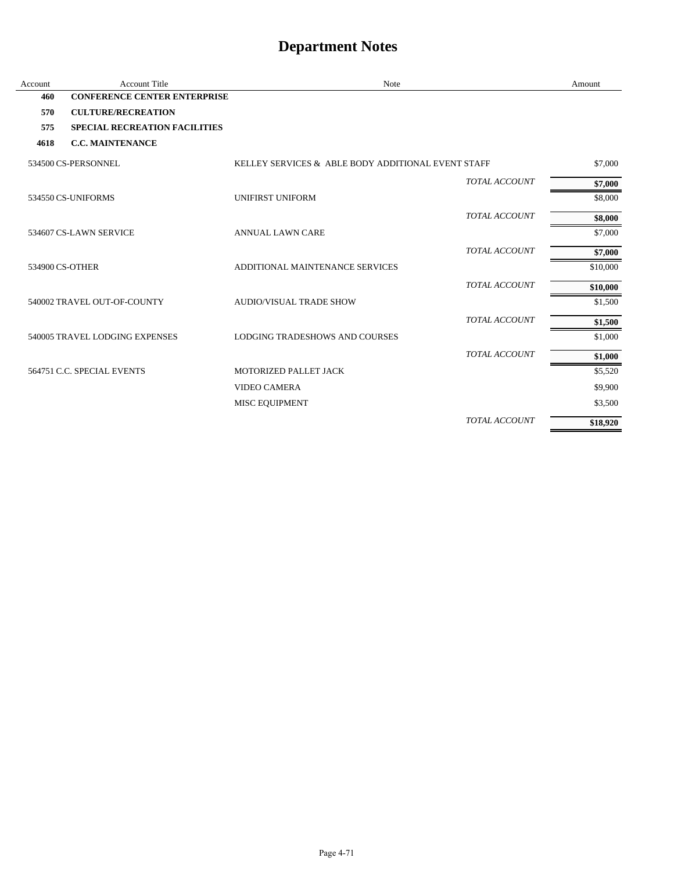| Account         | <b>Account Title</b>                 | Note                                               | Amount   |
|-----------------|--------------------------------------|----------------------------------------------------|----------|
| 460             | <b>CONFERENCE CENTER ENTERPRISE</b>  |                                                    |          |
| 570             | <b>CULTURE/RECREATION</b>            |                                                    |          |
| 575             | <b>SPECIAL RECREATION FACILITIES</b> |                                                    |          |
| 4618            | <b>C.C. MAINTENANCE</b>              |                                                    |          |
|                 | 534500 CS-PERSONNEL                  | KELLEY SERVICES & ABLE BODY ADDITIONAL EVENT STAFF | \$7,000  |
|                 |                                      | <b>TOTAL ACCOUNT</b>                               | \$7,000  |
|                 | 534550 CS-UNIFORMS                   | <b>UNIFIRST UNIFORM</b>                            | \$8,000  |
|                 |                                      | <b>TOTAL ACCOUNT</b>                               | \$8,000  |
|                 | 534607 CS-LAWN SERVICE               | <b>ANNUAL LAWN CARE</b>                            | \$7,000  |
|                 |                                      | TOTAL ACCOUNT                                      | \$7,000  |
| 534900 CS-OTHER |                                      | ADDITIONAL MAINTENANCE SERVICES                    | \$10,000 |
|                 |                                      | <b>TOTAL ACCOUNT</b>                               | \$10,000 |
|                 | 540002 TRAVEL OUT-OF-COUNTY          | <b>AUDIO/VISUAL TRADE SHOW</b>                     | \$1,500  |
|                 |                                      | <b>TOTAL ACCOUNT</b>                               | \$1,500  |
|                 | 540005 TRAVEL LODGING EXPENSES       | LODGING TRADESHOWS AND COURSES                     | \$1,000  |
|                 |                                      | TOTAL ACCOUNT                                      | \$1,000  |
|                 | 564751 C.C. SPECIAL EVENTS           | MOTORIZED PALLET JACK                              | \$5,520  |
|                 |                                      | <b>VIDEO CAMERA</b>                                | \$9,900  |
|                 |                                      | MISC EQUIPMENT                                     | \$3,500  |
|                 |                                      | <b>TOTAL ACCOUNT</b>                               | \$18,920 |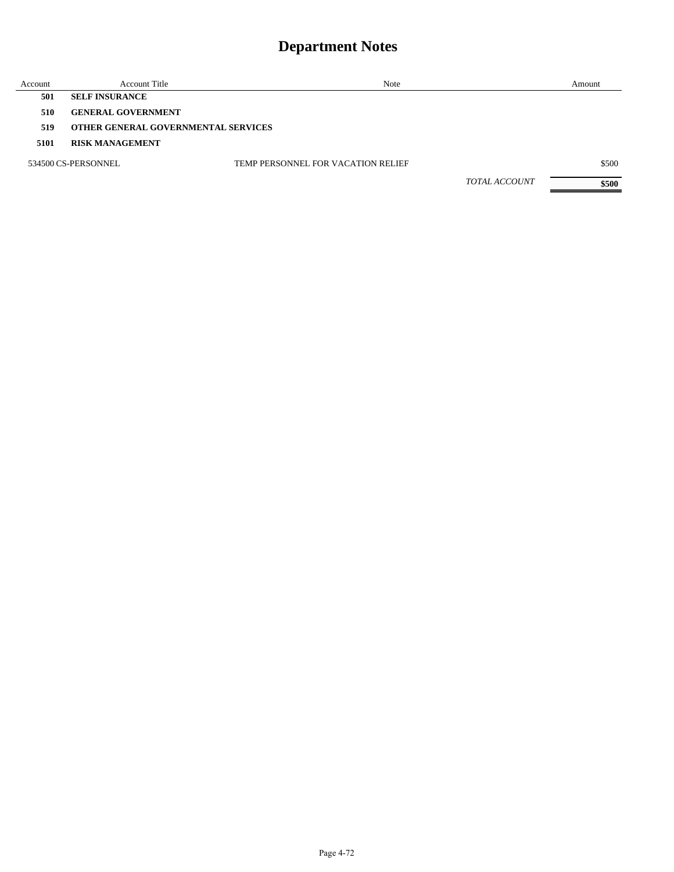| Account | <b>Account Title</b>                | Note                               |                      | Amount |
|---------|-------------------------------------|------------------------------------|----------------------|--------|
| 501     | <b>SELF INSURANCE</b>               |                                    |                      |        |
| 510     | <b>GENERAL GOVERNMENT</b>           |                                    |                      |        |
| 519     | OTHER GENERAL GOVERNMENTAL SERVICES |                                    |                      |        |
| 5101    | <b>RISK MANAGEMENT</b>              |                                    |                      |        |
|         | 534500 CS-PERSONNEL                 | TEMP PERSONNEL FOR VACATION RELIEF |                      | \$500  |
|         |                                     |                                    | <b>TOTAL ACCOUNT</b> | \$500  |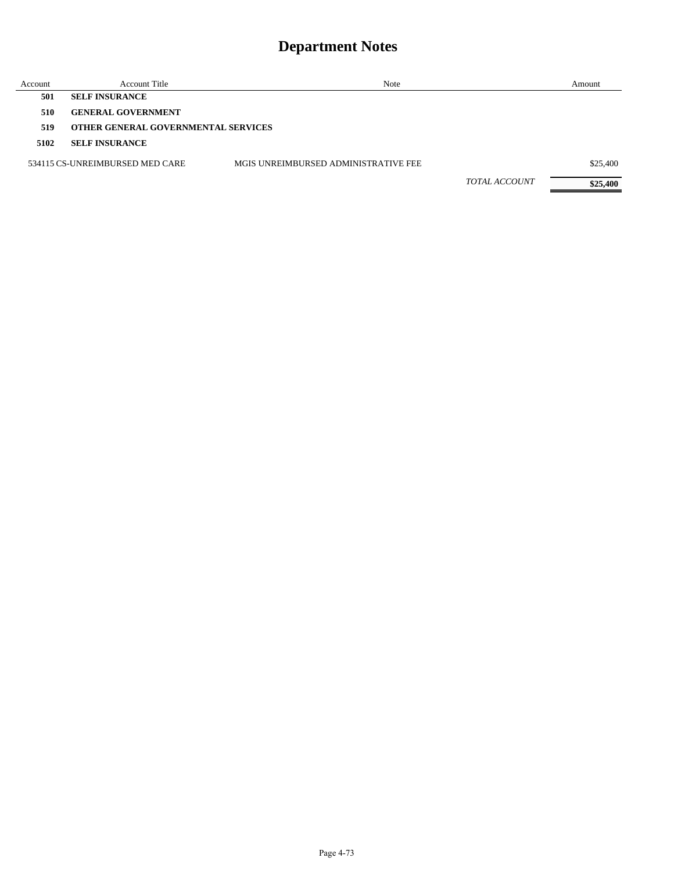## **Department Notes**

| Account | <b>Account Title</b>                | Note                                 |                      | Amount   |
|---------|-------------------------------------|--------------------------------------|----------------------|----------|
| 501     | <b>SELF INSURANCE</b>               |                                      |                      |          |
| 510     | <b>GENERAL GOVERNMENT</b>           |                                      |                      |          |
| 519     | OTHER GENERAL GOVERNMENTAL SERVICES |                                      |                      |          |
| 5102    | <b>SELF INSURANCE</b>               |                                      |                      |          |
|         | 534115 CS-UNREIMBURSED MED CARE     | MGIS UNREIMBURSED ADMINISTRATIVE FEE |                      | \$25,400 |
|         |                                     |                                      | <b>TOTAL ACCOUNT</b> | \$25,400 |